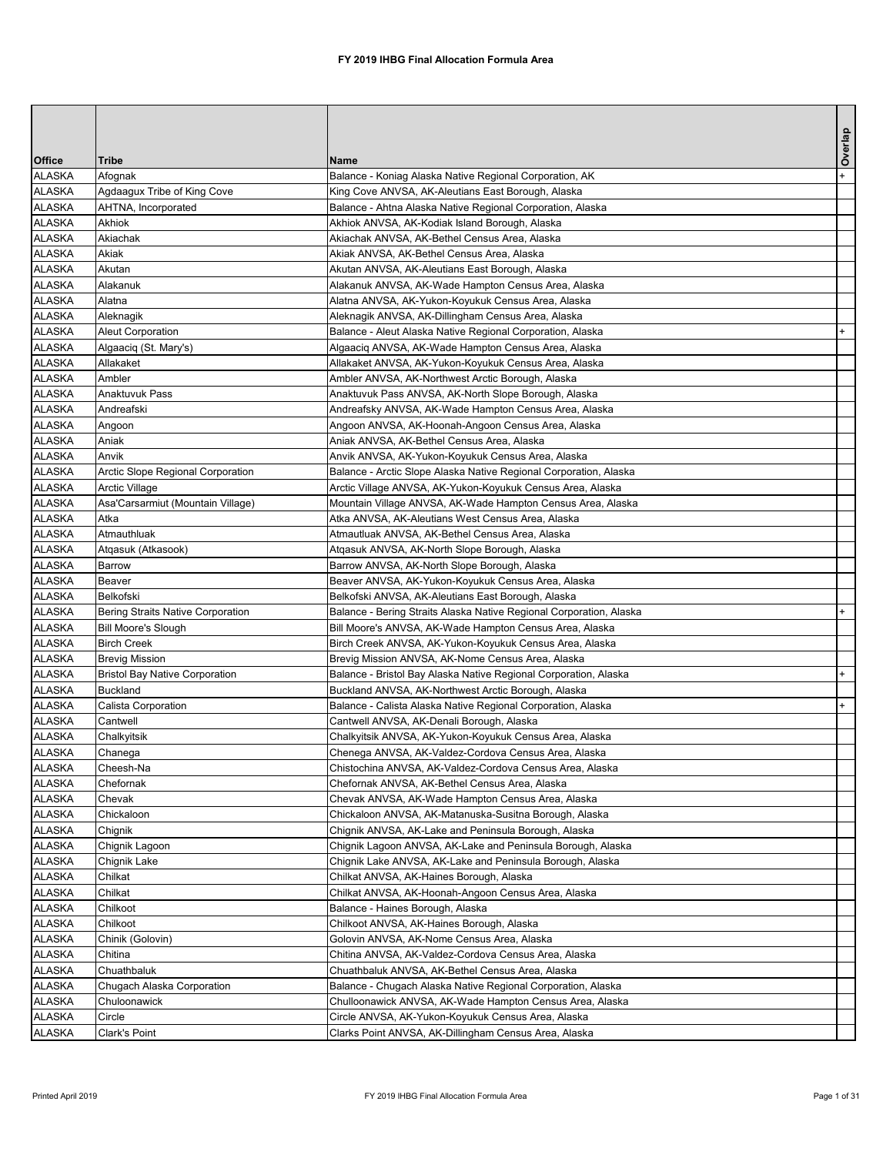|                                |                                        |                                                                                                                     | Overlap |
|--------------------------------|----------------------------------------|---------------------------------------------------------------------------------------------------------------------|---------|
| <b>Office</b>                  | <b>Tribe</b>                           | <b>Name</b>                                                                                                         |         |
| <b>ALASKA</b>                  | Afognak                                | Balance - Koniag Alaska Native Regional Corporation, AK                                                             | $+$     |
| <b>ALASKA</b>                  | Agdaagux Tribe of King Cove            | King Cove ANVSA, AK-Aleutians East Borough, Alaska                                                                  |         |
| <b>ALASKA</b>                  | AHTNA, Incorporated                    | Balance - Ahtna Alaska Native Regional Corporation, Alaska                                                          |         |
| <b>ALASKA</b>                  | <b>Akhiok</b>                          | Akhiok ANVSA, AK-Kodiak Island Borough, Alaska                                                                      |         |
| <b>ALASKA</b>                  | Akiachak                               | Akiachak ANVSA, AK-Bethel Census Area, Alaska                                                                       |         |
| <b>ALASKA</b>                  | Akiak                                  | Akiak ANVSA, AK-Bethel Census Area, Alaska                                                                          |         |
| <b>ALASKA</b>                  | Akutan                                 | Akutan ANVSA, AK-Aleutians East Borough, Alaska                                                                     |         |
| <b>ALASKA</b>                  | Alakanuk                               | Alakanuk ANVSA, AK-Wade Hampton Census Area, Alaska                                                                 |         |
| <b>ALASKA</b>                  | Alatna                                 | Alatna ANVSA, AK-Yukon-Koyukuk Census Area, Alaska                                                                  |         |
| <b>ALASKA</b>                  | Aleknagik                              | Aleknagik ANVSA, AK-Dillingham Census Area, Alaska                                                                  |         |
| <b>ALASKA</b>                  | <b>Aleut Corporation</b>               | Balance - Aleut Alaska Native Regional Corporation, Alaska                                                          | $+$     |
| <b>ALASKA</b>                  | Algaaciq (St. Mary's)                  | Algaaciq ANVSA, AK-Wade Hampton Census Area, Alaska                                                                 |         |
| <b>ALASKA</b>                  | Allakaket                              | Allakaket ANVSA, AK-Yukon-Koyukuk Census Area, Alaska                                                               |         |
| <b>ALASKA</b>                  | Ambler                                 | Ambler ANVSA, AK-Northwest Arctic Borough, Alaska                                                                   |         |
| <b>ALASKA</b>                  | <b>Anaktuvuk Pass</b>                  | Anaktuvuk Pass ANVSA, AK-North Slope Borough, Alaska                                                                |         |
| <b>ALASKA</b>                  | Andreafski                             | Andreafsky ANVSA, AK-Wade Hampton Census Area, Alaska                                                               |         |
| <b>ALASKA</b>                  | Angoon                                 | Angoon ANVSA, AK-Hoonah-Angoon Census Area, Alaska                                                                  |         |
| <b>ALASKA</b>                  | Aniak                                  | Aniak ANVSA, AK-Bethel Census Area, Alaska                                                                          |         |
| <b>ALASKA</b>                  | Anvik                                  | Anvik ANVSA, AK-Yukon-Koyukuk Census Area, Alaska                                                                   |         |
| <b>ALASKA</b>                  | Arctic Slope Regional Corporation      | Balance - Arctic Slope Alaska Native Regional Corporation, Alaska                                                   |         |
| <b>ALASKA</b>                  | <b>Arctic Village</b>                  | Arctic Village ANVSA, AK-Yukon-Koyukuk Census Area, Alaska                                                          |         |
| <b>ALASKA</b>                  | Asa'Carsarmiut (Mountain Village)      | Mountain Village ANVSA, AK-Wade Hampton Census Area, Alaska                                                         |         |
| <b>ALASKA</b>                  | Atka                                   | Atka ANVSA, AK-Aleutians West Census Area, Alaska                                                                   |         |
| <b>ALASKA</b>                  | Atmauthluak                            | Atmautluak ANVSA, AK-Bethel Census Area, Alaska                                                                     |         |
| <b>ALASKA</b>                  | Atqasuk (Atkasook)                     | Atqasuk ANVSA, AK-North Slope Borough, Alaska                                                                       |         |
| <b>ALASKA</b>                  | Barrow                                 | Barrow ANVSA, AK-North Slope Borough, Alaska                                                                        |         |
| <b>ALASKA</b>                  | <b>Beaver</b>                          | Beaver ANVSA, AK-Yukon-Koyukuk Census Area, Alaska                                                                  |         |
| <b>ALASKA</b>                  | Belkofski                              | Belkofski ANVSA, AK-Aleutians East Borough, Alaska                                                                  |         |
| <b>ALASKA</b>                  | Bering Straits Native Corporation      | Balance - Bering Straits Alaska Native Regional Corporation, Alaska                                                 | $+$     |
| <b>ALASKA</b>                  | <b>Bill Moore's Slough</b>             | Bill Moore's ANVSA, AK-Wade Hampton Census Area, Alaska                                                             |         |
| <b>ALASKA</b>                  | <b>Birch Creek</b>                     | Birch Creek ANVSA, AK-Yukon-Koyukuk Census Area, Alaska                                                             |         |
| <b>ALASKA</b>                  | <b>Brevig Mission</b>                  | Brevig Mission ANVSA, AK-Nome Census Area, Alaska                                                                   |         |
| <b>ALASKA</b>                  | <b>Bristol Bay Native Corporation</b>  | Balance - Bristol Bay Alaska Native Regional Corporation, Alaska                                                    | $+$     |
| <b>ALASKA</b><br><b>ALASKA</b> | <b>Buckland</b><br>Calista Corporation | Buckland ANVSA, AK-Northwest Arctic Borough, Alaska<br>Balance - Calista Alaska Native Regional Corporation, Alaska | $+$     |
| <b>ALASKA</b>                  | Cantwell                               | Cantwell ANVSA, AK-Denali Borough, Alaska                                                                           |         |
| <b>ALASKA</b>                  |                                        |                                                                                                                     |         |
| <b>ALASKA</b>                  | Chalkyitsik<br>Chanega                 | Chalkyitsik ANVSA, AK-Yukon-Koyukuk Census Area, Alaska<br>Chenega ANVSA, AK-Valdez-Cordova Census Area, Alaska     |         |
| <b>ALASKA</b>                  | Cheesh-Na                              | Chistochina ANVSA, AK-Valdez-Cordova Census Area, Alaska                                                            |         |
| <b>ALASKA</b>                  | Chefornak                              | Chefornak ANVSA, AK-Bethel Census Area, Alaska                                                                      |         |
| <b>ALASKA</b>                  | Chevak                                 | Chevak ANVSA, AK-Wade Hampton Census Area, Alaska                                                                   |         |
| <b>ALASKA</b>                  | Chickaloon                             | Chickaloon ANVSA, AK-Matanuska-Susitna Borough, Alaska                                                              |         |
| <b>ALASKA</b>                  | Chignik                                | Chignik ANVSA, AK-Lake and Peninsula Borough, Alaska                                                                |         |
| <b>ALASKA</b>                  | Chignik Lagoon                         | Chignik Lagoon ANVSA, AK-Lake and Peninsula Borough, Alaska                                                         |         |
| <b>ALASKA</b>                  | Chignik Lake                           | Chignik Lake ANVSA, AK-Lake and Peninsula Borough, Alaska                                                           |         |
| <b>ALASKA</b>                  | Chilkat                                | Chilkat ANVSA, AK-Haines Borough, Alaska                                                                            |         |
| <b>ALASKA</b>                  | Chilkat                                | Chilkat ANVSA, AK-Hoonah-Angoon Census Area, Alaska                                                                 |         |
| <b>ALASKA</b>                  | Chilkoot                               | Balance - Haines Borough, Alaska                                                                                    |         |
| <b>ALASKA</b>                  | Chilkoot                               | Chilkoot ANVSA, AK-Haines Borough, Alaska                                                                           |         |
| <b>ALASKA</b>                  | Chinik (Golovin)                       | Golovin ANVSA, AK-Nome Census Area, Alaska                                                                          |         |
| <b>ALASKA</b>                  | Chitina                                | Chitina ANVSA, AK-Valdez-Cordova Census Area, Alaska                                                                |         |
| <b>ALASKA</b>                  | Chuathbaluk                            | Chuathbaluk ANVSA, AK-Bethel Census Area, Alaska                                                                    |         |
| <b>ALASKA</b>                  | Chugach Alaska Corporation             | Balance - Chugach Alaska Native Regional Corporation, Alaska                                                        |         |
| <b>ALASKA</b>                  | Chuloonawick                           | Chulloonawick ANVSA, AK-Wade Hampton Census Area, Alaska                                                            |         |
| <b>ALASKA</b>                  | Circle                                 | Circle ANVSA, AK-Yukon-Koyukuk Census Area, Alaska                                                                  |         |
| <b>ALASKA</b>                  | <b>Clark's Point</b>                   | Clarks Point ANVSA, AK-Dillingham Census Area, Alaska                                                               |         |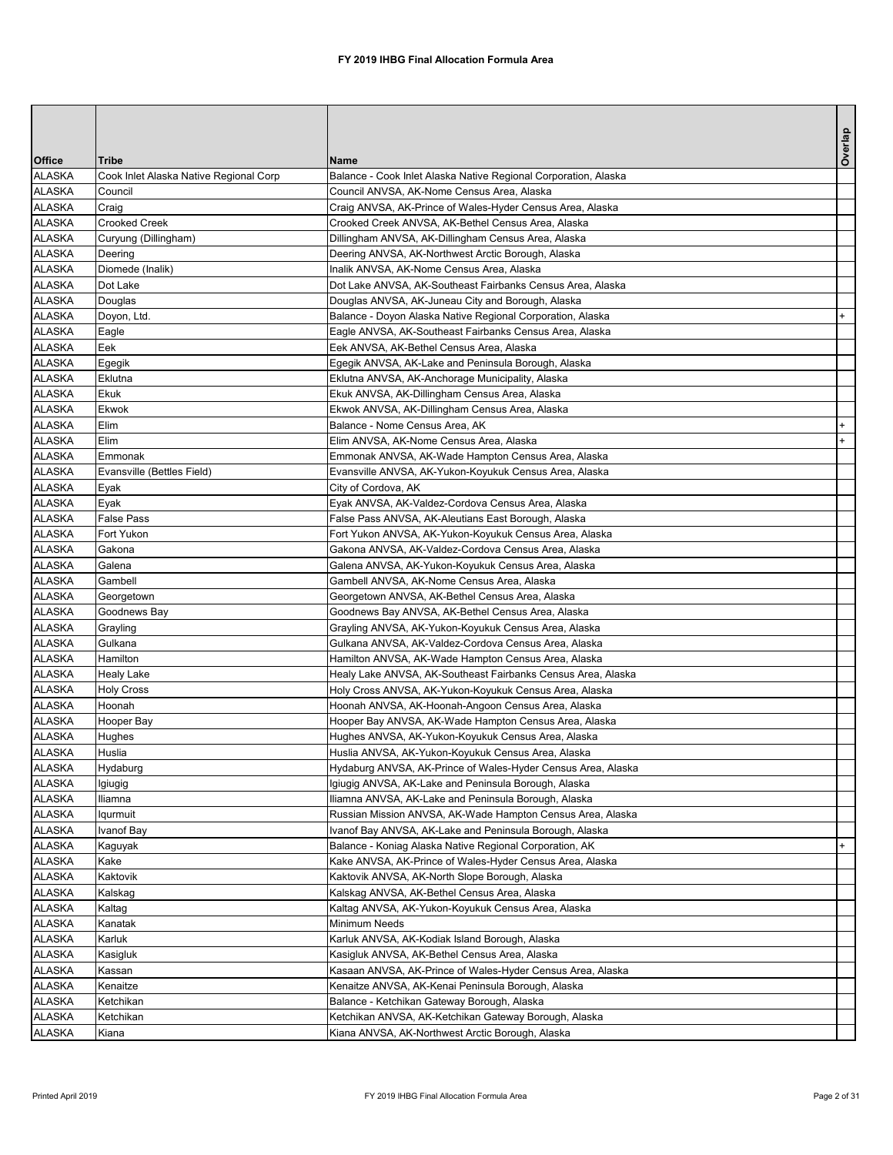| <b>Office</b> | <b>Tribe</b>                           | <b>Name</b>                                                     | Overlap |
|---------------|----------------------------------------|-----------------------------------------------------------------|---------|
| <b>ALASKA</b> | Cook Inlet Alaska Native Regional Corp | Balance - Cook Inlet Alaska Native Regional Corporation, Alaska |         |
| <b>ALASKA</b> | Council                                | Council ANVSA, AK-Nome Census Area, Alaska                      |         |
| <b>ALASKA</b> | Craig                                  | Craig ANVSA, AK-Prince of Wales-Hyder Census Area, Alaska       |         |
| <b>ALASKA</b> | <b>Crooked Creek</b>                   | Crooked Creek ANVSA, AK-Bethel Census Area, Alaska              |         |
| <b>ALASKA</b> | Curyung (Dillingham)                   | Dillingham ANVSA, AK-Dillingham Census Area, Alaska             |         |
| <b>ALASKA</b> | Deering                                | Deering ANVSA, AK-Northwest Arctic Borough, Alaska              |         |
| <b>ALASKA</b> | Diomede (Inalik)                       | Inalik ANVSA, AK-Nome Census Area, Alaska                       |         |
| <b>ALASKA</b> | Dot Lake                               | Dot Lake ANVSA, AK-Southeast Fairbanks Census Area, Alaska      |         |
| <b>ALASKA</b> | Douglas                                | Douglas ANVSA, AK-Juneau City and Borough, Alaska               |         |
| <b>ALASKA</b> | Doyon, Ltd.                            | Balance - Doyon Alaska Native Regional Corporation, Alaska      |         |
| <b>ALASKA</b> | Eagle                                  | Eagle ANVSA, AK-Southeast Fairbanks Census Area, Alaska         |         |
| <b>ALASKA</b> | Eek                                    | Eek ANVSA, AK-Bethel Census Area, Alaska                        |         |
| <b>ALASKA</b> | Egegik                                 | Egegik ANVSA, AK-Lake and Peninsula Borough, Alaska             |         |
| <b>ALASKA</b> | Eklutna                                | Eklutna ANVSA, AK-Anchorage Municipality, Alaska                |         |
| <b>ALASKA</b> | <b>Ekuk</b>                            | Ekuk ANVSA, AK-Dillingham Census Area, Alaska                   |         |
| <b>ALASKA</b> | Ekwok                                  | Ekwok ANVSA, AK-Dillingham Census Area, Alaska                  |         |
| <b>ALASKA</b> | Elim                                   | Balance - Nome Census Area, AK                                  |         |
| <b>ALASKA</b> | Elim                                   | Elim ANVSA, AK-Nome Census Area, Alaska                         |         |
| <b>ALASKA</b> | Emmonak                                | Emmonak ANVSA, AK-Wade Hampton Census Area, Alaska              |         |
| <b>ALASKA</b> | Evansville (Bettles Field)             | Evansville ANVSA, AK-Yukon-Koyukuk Census Area, Alaska          |         |
| <b>ALASKA</b> | Eyak                                   | City of Cordova, AK                                             |         |
| <b>ALASKA</b> | Eyak                                   | Eyak ANVSA, AK-Valdez-Cordova Census Area, Alaska               |         |
| <b>ALASKA</b> | <b>False Pass</b>                      | False Pass ANVSA, AK-Aleutians East Borough, Alaska             |         |
| <b>ALASKA</b> | Fort Yukon                             | Fort Yukon ANVSA, AK-Yukon-Koyukuk Census Area, Alaska          |         |
| <b>ALASKA</b> | Gakona                                 | Gakona ANVSA, AK-Valdez-Cordova Census Area, Alaska             |         |
| <b>ALASKA</b> | Galena                                 | Galena ANVSA, AK-Yukon-Koyukuk Census Area, Alaska              |         |
| <b>ALASKA</b> | Gambell                                | Gambell ANVSA, AK-Nome Census Area, Alaska                      |         |
| <b>ALASKA</b> | Georgetown                             | Georgetown ANVSA, AK-Bethel Census Area, Alaska                 |         |
| <b>ALASKA</b> | Goodnews Bay                           | Goodnews Bay ANVSA, AK-Bethel Census Area, Alaska               |         |
| <b>ALASKA</b> | Grayling                               | Grayling ANVSA, AK-Yukon-Koyukuk Census Area, Alaska            |         |
| <b>ALASKA</b> | Gulkana                                | Gulkana ANVSA, AK-Valdez-Cordova Census Area, Alaska            |         |
| <b>ALASKA</b> | Hamilton                               | Hamilton ANVSA, AK-Wade Hampton Census Area, Alaska             |         |
| <b>ALASKA</b> | <b>Healy Lake</b>                      | Healy Lake ANVSA, AK-Southeast Fairbanks Census Area, Alaska    |         |
| <b>ALASKA</b> | <b>Holy Cross</b>                      | Holy Cross ANVSA, AK-Yukon-Koyukuk Census Area, Alaska          |         |
| <b>ALASKA</b> | Hoonah                                 | Hoonah ANVSA, AK-Hoonah-Angoon Census Area, Alaska              |         |
| <b>ALASKA</b> | Hooper Bay                             | Hooper Bay ANVSA, AK-Wade Hampton Census Area, Alaska           |         |
| <b>ALASKA</b> | Hughes                                 | Hughes ANVSA, AK-Yukon-Koyukuk Census Area, Alaska              |         |
| <b>ALASKA</b> | Huslia                                 | Huslia ANVSA, AK-Yukon-Koyukuk Census Area, Alaska              |         |
| <b>ALASKA</b> | Hydaburg                               | Hydaburg ANVSA, AK-Prince of Wales-Hyder Census Area, Alaska    |         |
| <b>ALASKA</b> | Igiugig                                | Igiugig ANVSA, AK-Lake and Peninsula Borough, Alaska            |         |
| <b>ALASKA</b> | Iliamna                                | Iliamna ANVSA, AK-Lake and Peninsula Borough, Alaska            |         |
| <b>ALASKA</b> | <b>Iqurmuit</b>                        | Russian Mission ANVSA, AK-Wade Hampton Census Area, Alaska      |         |
| <b>ALASKA</b> | Ivanof Bay                             | Ivanof Bay ANVSA, AK-Lake and Peninsula Borough, Alaska         |         |
| <b>ALASKA</b> | Kaguyak                                | Balance - Koniag Alaska Native Regional Corporation, AK         |         |
| <b>ALASKA</b> | Kake                                   | Kake ANVSA, AK-Prince of Wales-Hyder Census Area, Alaska        |         |
| <b>ALASKA</b> | Kaktovik                               | Kaktovik ANVSA, AK-North Slope Borough, Alaska                  |         |
| <b>ALASKA</b> | Kalskag                                | Kalskag ANVSA, AK-Bethel Census Area, Alaska                    |         |
| <b>ALASKA</b> | Kaltag                                 | Kaltag ANVSA, AK-Yukon-Koyukuk Census Area, Alaska              |         |
| <b>ALASKA</b> | Kanatak                                | <b>Minimum Needs</b>                                            |         |
| <b>ALASKA</b> | Karluk                                 | Karluk ANVSA, AK-Kodiak Island Borough, Alaska                  |         |
| <b>ALASKA</b> | Kasigluk                               | Kasigluk ANVSA, AK-Bethel Census Area, Alaska                   |         |
| <b>ALASKA</b> | Kassan                                 | Kasaan ANVSA, AK-Prince of Wales-Hyder Census Area, Alaska      |         |
| <b>ALASKA</b> | Kenaitze                               | Kenaitze ANVSA, AK-Kenai Peninsula Borough, Alaska              |         |
| <b>ALASKA</b> | Ketchikan                              | Balance - Ketchikan Gateway Borough, Alaska                     |         |
| <b>ALASKA</b> | Ketchikan                              | Ketchikan ANVSA, AK-Ketchikan Gateway Borough, Alaska           |         |
| <b>ALASKA</b> | Kiana                                  | Kiana ANVSA, AK-Northwest Arctic Borough, Alaska                |         |
|               |                                        |                                                                 |         |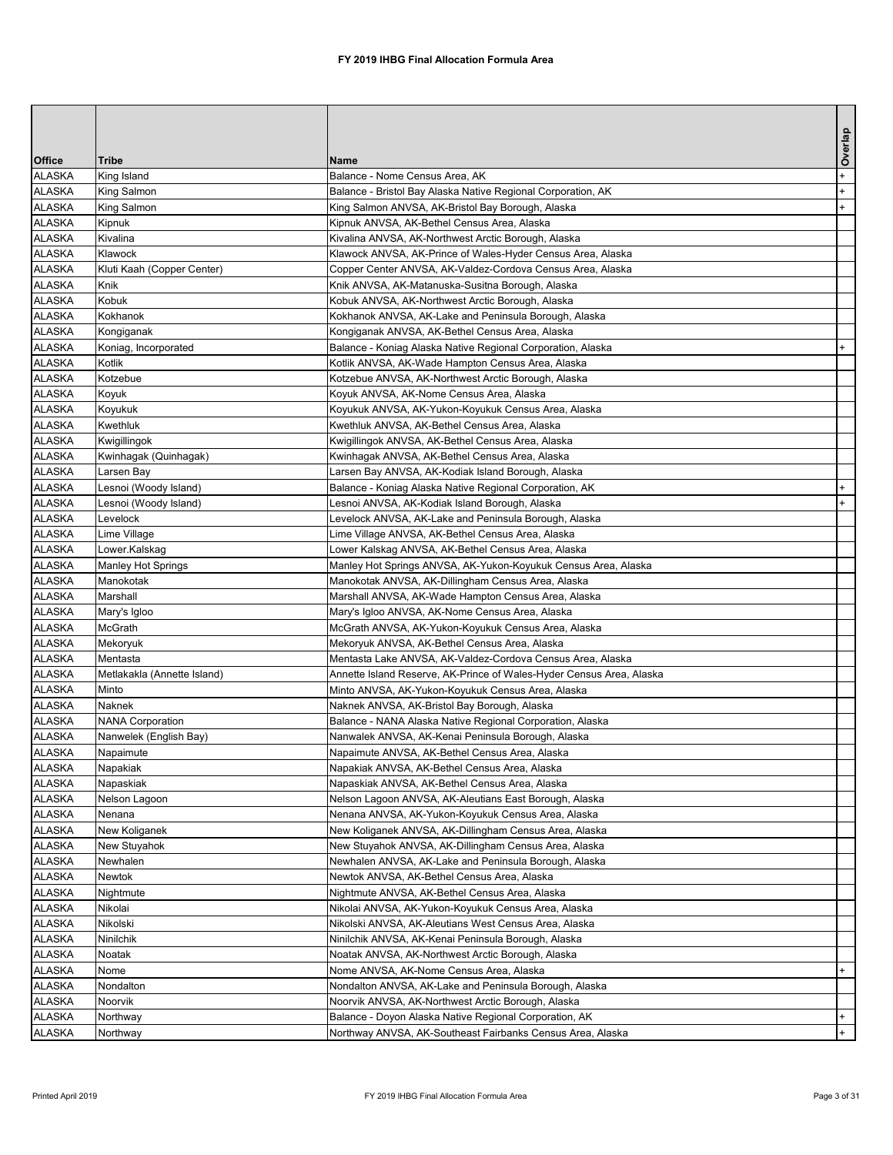|                                |                             |                                                                                                              | Overlap |
|--------------------------------|-----------------------------|--------------------------------------------------------------------------------------------------------------|---------|
| <b>Office</b>                  | <b>Tribe</b>                | <b>Name</b>                                                                                                  |         |
| <b>ALASKA</b>                  | King Island                 | Balance - Nome Census Area, AK                                                                               | $+$     |
| <b>ALASKA</b>                  | King Salmon                 | Balance - Bristol Bay Alaska Native Regional Corporation, AK                                                 | $+$     |
| <b>ALASKA</b>                  | King Salmon                 | King Salmon ANVSA, AK-Bristol Bay Borough, Alaska                                                            | $+$     |
| <b>ALASKA</b>                  | Kipnuk                      | Kipnuk ANVSA, AK-Bethel Census Area, Alaska                                                                  |         |
| <b>ALASKA</b>                  | Kivalina                    | Kivalina ANVSA, AK-Northwest Arctic Borough, Alaska                                                          |         |
| <b>ALASKA</b>                  | Klawock                     | Klawock ANVSA, AK-Prince of Wales-Hyder Census Area, Alaska                                                  |         |
| <b>ALASKA</b>                  | Kluti Kaah (Copper Center)  | Copper Center ANVSA, AK-Valdez-Cordova Census Area, Alaska                                                   |         |
| <b>ALASKA</b>                  | Knik                        | Knik ANVSA, AK-Matanuska-Susitna Borough, Alaska                                                             |         |
| <b>ALASKA</b>                  | Kobuk                       | Kobuk ANVSA, AK-Northwest Arctic Borough, Alaska                                                             |         |
| <b>ALASKA</b>                  | Kokhanok                    | Kokhanok ANVSA, AK-Lake and Peninsula Borough, Alaska                                                        |         |
| <b>ALASKA</b>                  | Kongiganak                  | Kongiganak ANVSA, AK-Bethel Census Area, Alaska                                                              |         |
| <b>ALASKA</b>                  | Koniag, Incorporated        | Balance - Koniag Alaska Native Regional Corporation, Alaska                                                  | $+$     |
| <b>ALASKA</b>                  | Kotlik<br>Kotzebue          | Kotlik ANVSA, AK-Wade Hampton Census Area, Alaska                                                            |         |
| <b>ALASKA</b><br><b>ALASKA</b> |                             | Kotzebue ANVSA, AK-Northwest Arctic Borough, Alaska                                                          |         |
| <b>ALASKA</b>                  | Koyuk<br>Koyukuk            | Koyuk ANVSA, AK-Nome Census Area, Alaska<br>Koyukuk ANVSA, AK-Yukon-Koyukuk Census Area, Alaska              |         |
| <b>ALASKA</b>                  | <b>Kwethluk</b>             | Kwethluk ANVSA, AK-Bethel Census Area, Alaska                                                                |         |
| <b>ALASKA</b>                  | Kwigillingok                | Kwigillingok ANVSA, AK-Bethel Census Area, Alaska                                                            |         |
| <b>ALASKA</b>                  | Kwinhagak (Quinhagak)       | Kwinhagak ANVSA, AK-Bethel Census Area, Alaska                                                               |         |
| <b>ALASKA</b>                  | Larsen Bay                  | Larsen Bay ANVSA, AK-Kodiak Island Borough, Alaska                                                           |         |
| <b>ALASKA</b>                  | Lesnoi (Woody Island)       | Balance - Koniag Alaska Native Regional Corporation, AK                                                      | $+$     |
| <b>ALASKA</b>                  | Lesnoi (Woody Island)       | Lesnoi ANVSA, AK-Kodiak Island Borough, Alaska                                                               |         |
| <b>ALASKA</b>                  | Levelock                    | Levelock ANVSA, AK-Lake and Peninsula Borough, Alaska                                                        |         |
| <b>ALASKA</b>                  | Lime Village                | Lime Village ANVSA, AK-Bethel Census Area, Alaska                                                            |         |
| <b>ALASKA</b>                  | Lower.Kalskag               | Lower Kalskag ANVSA, AK-Bethel Census Area, Alaska                                                           |         |
| <b>ALASKA</b>                  | <b>Manley Hot Springs</b>   | Manley Hot Springs ANVSA, AK-Yukon-Koyukuk Census Area, Alaska                                               |         |
| <b>ALASKA</b>                  | Manokotak                   | Manokotak ANVSA, AK-Dillingham Census Area, Alaska                                                           |         |
| <b>ALASKA</b>                  | Marshall                    | Marshall ANVSA, AK-Wade Hampton Census Area, Alaska                                                          |         |
| <b>ALASKA</b>                  | Mary's Igloo                | Mary's Igloo ANVSA, AK-Nome Census Area, Alaska                                                              |         |
| <b>ALASKA</b>                  | <b>McGrath</b>              | McGrath ANVSA, AK-Yukon-Koyukuk Census Area, Alaska                                                          |         |
| <b>ALASKA</b>                  | Mekoryuk                    | Mekoryuk ANVSA, AK-Bethel Census Area, Alaska                                                                |         |
| <b>ALASKA</b>                  | Mentasta                    | Mentasta Lake ANVSA, AK-Valdez-Cordova Census Area, Alaska                                                   |         |
| <b>ALASKA</b>                  | Metlakakla (Annette Island) | Annette Island Reserve, AK-Prince of Wales-Hyder Census Area, Alaska                                         |         |
| <b>ALASKA</b>                  | Minto                       | Minto ANVSA, AK-Yukon-Koyukuk Census Area, Alaska                                                            |         |
| <b>ALASKA</b>                  | <b>Naknek</b>               | Naknek ANVSA, AK-Bristol Bay Borough, Alaska                                                                 |         |
| <b>ALASKA</b>                  | <b>NANA Corporation</b>     | Balance - NANA Alaska Native Regional Corporation, Alaska                                                    |         |
| <b>ALASKA</b>                  | Nanwelek (English Bay)      | Nanwalek ANVSA, AK-Kenai Peninsula Borough, Alaska                                                           |         |
| <b>ALASKA</b>                  | Napaimute                   | Napaimute ANVSA, AK-Bethel Census Area, Alaska                                                               |         |
| <b>ALASKA</b>                  | Napakiak                    | Napakiak ANVSA, AK-Bethel Census Area, Alaska                                                                |         |
| <b>ALASKA</b>                  | Napaskiak                   | Napaskiak ANVSA, AK-Bethel Census Area, Alaska                                                               |         |
| <b>ALASKA</b>                  | Nelson Lagoon               | Nelson Lagoon ANVSA, AK-Aleutians East Borough, Alaska                                                       |         |
| <b>ALASKA</b>                  | Nenana                      | Nenana ANVSA, AK-Yukon-Koyukuk Census Area, Alaska                                                           |         |
| <b>ALASKA</b>                  | New Koliganek               | New Koliganek ANVSA, AK-Dillingham Census Area, Alaska                                                       |         |
| <b>ALASKA</b>                  | New Stuyahok                | New Stuyahok ANVSA, AK-Dillingham Census Area, Alaska                                                        |         |
| <b>ALASKA</b>                  | Newhalen                    | Newhalen ANVSA, AK-Lake and Peninsula Borough, Alaska                                                        |         |
| <b>ALASKA</b>                  | <b>Newtok</b>               | Newtok ANVSA, AK-Bethel Census Area, Alaska                                                                  |         |
| <b>ALASKA</b>                  | Nightmute                   | Nightmute ANVSA, AK-Bethel Census Area, Alaska                                                               |         |
| <b>ALASKA</b>                  | Nikolai                     | Nikolai ANVSA, AK-Yukon-Koyukuk Census Area, Alaska                                                          |         |
| <b>ALASKA</b>                  | Nikolski                    | Nikolski ANVSA, AK-Aleutians West Census Area, Alaska                                                        |         |
| <b>ALASKA</b>                  | Ninilchik                   | Ninilchik ANVSA, AK-Kenai Peninsula Borough, Alaska                                                          |         |
| <b>ALASKA</b>                  | Noatak                      | Noatak ANVSA, AK-Northwest Arctic Borough, Alaska                                                            |         |
| <b>ALASKA</b>                  | Nome                        | Nome ANVSA, AK-Nome Census Area, Alaska                                                                      | $+$     |
| <b>ALASKA</b><br><b>ALASKA</b> | Nondalton<br>Noorvik        | Nondalton ANVSA, AK-Lake and Peninsula Borough, Alaska<br>Noorvik ANVSA, AK-Northwest Arctic Borough, Alaska |         |
| <b>ALASKA</b>                  | Northway                    | Balance - Doyon Alaska Native Regional Corporation, AK                                                       | $+$     |
| <b>ALASKA</b>                  | Northway                    | Northway ANVSA, AK-Southeast Fairbanks Census Area, Alaska                                                   | $+$     |
|                                |                             |                                                                                                              |         |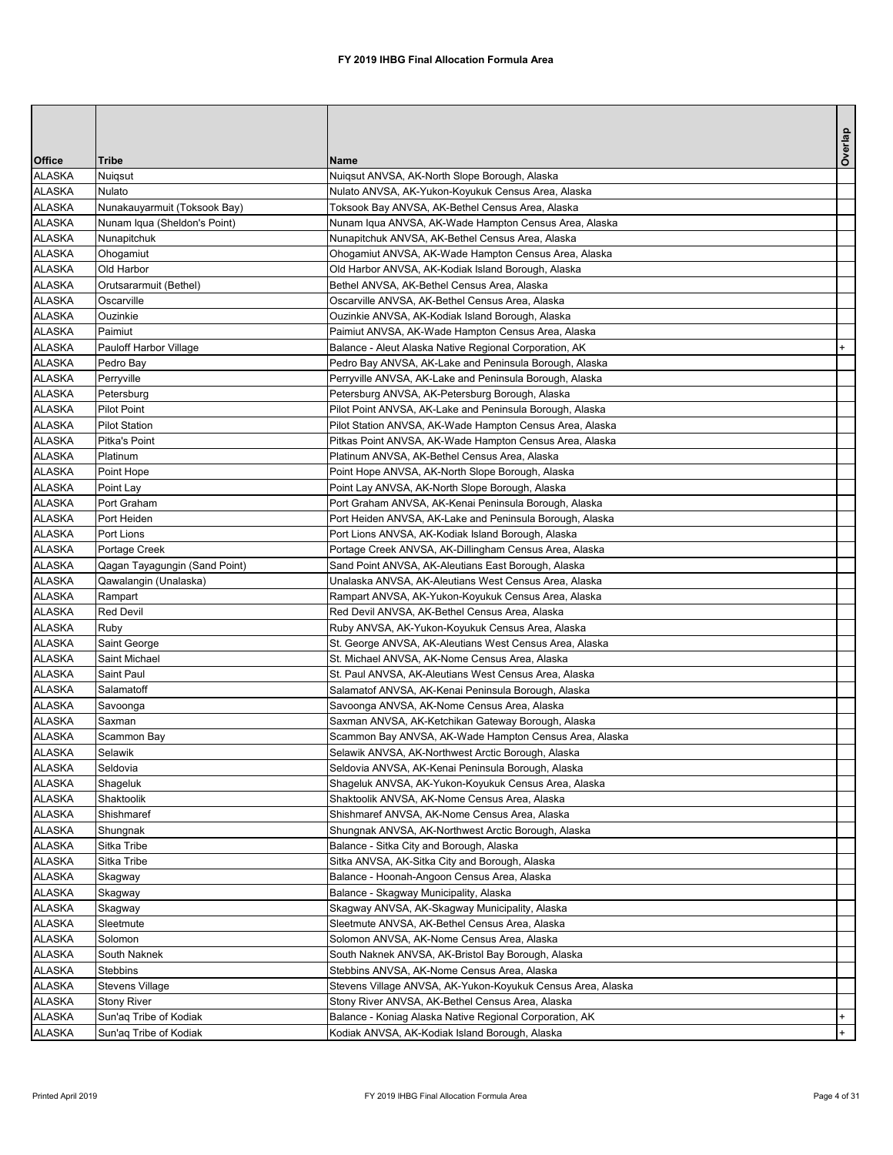|                                |                               |                                                                                                              | Overlap |
|--------------------------------|-------------------------------|--------------------------------------------------------------------------------------------------------------|---------|
| <b>Office</b>                  | <b>Tribe</b>                  | <b>Name</b>                                                                                                  |         |
| <b>ALASKA</b>                  | Nuiqsut                       | Nuiqsut ANVSA, AK-North Slope Borough, Alaska                                                                |         |
| <b>ALASKA</b>                  | <b>Nulato</b>                 | Nulato ANVSA, AK-Yukon-Koyukuk Census Area, Alaska                                                           |         |
| <b>ALASKA</b>                  | Nunakauyarmuit (Toksook Bay)  | Toksook Bay ANVSA, AK-Bethel Census Area, Alaska                                                             |         |
| <b>ALASKA</b>                  | Nunam Iqua (Sheldon's Point)  | Nunam Iqua ANVSA, AK-Wade Hampton Census Area, Alaska                                                        |         |
| <b>ALASKA</b>                  | Nunapitchuk                   | Nunapitchuk ANVSA, AK-Bethel Census Area, Alaska                                                             |         |
| <b>ALASKA</b>                  | Ohogamiut                     | Ohogamiut ANVSA, AK-Wade Hampton Census Area, Alaska                                                         |         |
| <b>ALASKA</b>                  | Old Harbor                    | Old Harbor ANVSA, AK-Kodiak Island Borough, Alaska                                                           |         |
| <b>ALASKA</b>                  | Orutsararmuit (Bethel)        | Bethel ANVSA, AK-Bethel Census Area, Alaska                                                                  |         |
| <b>ALASKA</b>                  | Oscarville                    | Oscarville ANVSA, AK-Bethel Census Area, Alaska                                                              |         |
| <b>ALASKA</b><br><b>ALASKA</b> | Ouzinkie<br>Paimiut           | Ouzinkie ANVSA, AK-Kodiak Island Borough, Alaska                                                             |         |
| <b>ALASKA</b>                  |                               | Paimiut ANVSA, AK-Wade Hampton Census Area, Alaska<br>Balance - Aleut Alaska Native Regional Corporation, AK | $+$     |
| <b>ALASKA</b>                  | Pauloff Harbor Village        | Pedro Bay ANVSA, AK-Lake and Peninsula Borough, Alaska                                                       |         |
| <b>ALASKA</b>                  | Pedro Bay<br>Perryville       | Perryville ANVSA, AK-Lake and Peninsula Borough, Alaska                                                      |         |
| <b>ALASKA</b>                  | Petersburg                    | Petersburg ANVSA, AK-Petersburg Borough, Alaska                                                              |         |
| <b>ALASKA</b>                  | <b>Pilot Point</b>            | Pilot Point ANVSA, AK-Lake and Peninsula Borough, Alaska                                                     |         |
| <b>ALASKA</b>                  | <b>Pilot Station</b>          | Pilot Station ANVSA, AK-Wade Hampton Census Area, Alaska                                                     |         |
| <b>ALASKA</b>                  | Pitka's Point                 | Pitkas Point ANVSA, AK-Wade Hampton Census Area, Alaska                                                      |         |
| <b>ALASKA</b>                  | Platinum                      | Platinum ANVSA, AK-Bethel Census Area, Alaska                                                                |         |
| <b>ALASKA</b>                  | Point Hope                    | Point Hope ANVSA, AK-North Slope Borough, Alaska                                                             |         |
| <b>ALASKA</b>                  | Point Lay                     | Point Lay ANVSA, AK-North Slope Borough, Alaska                                                              |         |
| <b>ALASKA</b>                  | Port Graham                   | Port Graham ANVSA, AK-Kenai Peninsula Borough, Alaska                                                        |         |
| <b>ALASKA</b>                  | Port Heiden                   | Port Heiden ANVSA, AK-Lake and Peninsula Borough, Alaska                                                     |         |
| <b>ALASKA</b>                  | Port Lions                    | Port Lions ANVSA, AK-Kodiak Island Borough, Alaska                                                           |         |
| <b>ALASKA</b>                  | Portage Creek                 | Portage Creek ANVSA, AK-Dillingham Census Area, Alaska                                                       |         |
| <b>ALASKA</b>                  | Qagan Tayagungin (Sand Point) | Sand Point ANVSA, AK-Aleutians East Borough, Alaska                                                          |         |
| ALASKA                         | Qawalangin (Unalaska)         | Unalaska ANVSA, AK-Aleutians West Census Area, Alaska                                                        |         |
| <b>ALASKA</b>                  | Rampart                       | Rampart ANVSA, AK-Yukon-Koyukuk Census Area, Alaska                                                          |         |
| <b>ALASKA</b>                  | <b>Red Devil</b>              | Red Devil ANVSA, AK-Bethel Census Area, Alaska                                                               |         |
| <b>ALASKA</b>                  | Ruby                          | Ruby ANVSA, AK-Yukon-Koyukuk Census Area, Alaska                                                             |         |
| <b>ALASKA</b>                  | Saint George                  | St. George ANVSA, AK-Aleutians West Census Area, Alaska                                                      |         |
| <b>ALASKA</b>                  | Saint Michael                 | St. Michael ANVSA, AK-Nome Census Area, Alaska                                                               |         |
| <b>ALASKA</b>                  | Saint Paul                    | St. Paul ANVSA, AK-Aleutians West Census Area, Alaska                                                        |         |
| <b>ALASKA</b>                  | Salamatoff                    | Salamatof ANVSA, AK-Kenai Peninsula Borough, Alaska                                                          |         |
| <b>ALASKA</b>                  | Savoonga                      | Savoonga ANVSA, AK-Nome Census Area, Alaska                                                                  |         |
| <b>ALASKA</b>                  | Saxman                        | Saxman ANVSA, AK-Ketchikan Gateway Borough, Alaska                                                           |         |
| <b>ALASKA</b>                  | Scammon Bay                   | Scammon Bay ANVSA, AK-Wade Hampton Census Area, Alaska                                                       |         |
| <b>ALASKA</b>                  | Selawik                       | Selawik ANVSA, AK-Northwest Arctic Borough, Alaska                                                           |         |
| <b>ALASKA</b>                  | Seldovia                      | Seldovia ANVSA, AK-Kenai Peninsula Borough, Alaska                                                           |         |
| <b>ALASKA</b>                  | Shageluk                      | Shageluk ANVSA, AK-Yukon-Koyukuk Census Area, Alaska                                                         |         |
| <b>ALASKA</b>                  | Shaktoolik                    | Shaktoolik ANVSA, AK-Nome Census Area, Alaska                                                                |         |
| <b>ALASKA</b>                  | Shishmaref                    | Shishmaref ANVSA, AK-Nome Census Area, Alaska                                                                |         |
| <b>ALASKA</b>                  | Shungnak                      | Shungnak ANVSA, AK-Northwest Arctic Borough, Alaska                                                          |         |
| <b>ALASKA</b>                  | Sitka Tribe                   | Balance - Sitka City and Borough, Alaska                                                                     |         |
| <b>ALASKA</b>                  | Sitka Tribe                   | Sitka ANVSA, AK-Sitka City and Borough, Alaska                                                               |         |
| <b>ALASKA</b>                  | Skagway                       | Balance - Hoonah-Angoon Census Area, Alaska                                                                  |         |
| <b>ALASKA</b>                  | Skagway                       | Balance - Skagway Municipality, Alaska                                                                       |         |
| <b>ALASKA</b>                  | Skagway                       | Skagway ANVSA, AK-Skagway Municipality, Alaska                                                               |         |
| <b>ALASKA</b>                  | Sleetmute                     | Sleetmute ANVSA, AK-Bethel Census Area, Alaska                                                               |         |
| <b>ALASKA</b>                  | Solomon                       | Solomon ANVSA, AK-Nome Census Area, Alaska                                                                   |         |
| <b>ALASKA</b>                  | South Naknek                  | South Naknek ANVSA, AK-Bristol Bay Borough, Alaska                                                           |         |
| <b>ALASKA</b>                  | <b>Stebbins</b>               | Stebbins ANVSA, AK-Nome Census Area, Alaska                                                                  |         |
| <b>ALASKA</b>                  | <b>Stevens Village</b>        | Stevens Village ANVSA, AK-Yukon-Koyukuk Census Area, Alaska                                                  |         |
| <b>ALASKA</b><br><b>ALASKA</b> | <b>Stony River</b>            | Stony River ANVSA, AK-Bethel Census Area, Alaska                                                             | $+$     |
|                                | Sun'aq Tribe of Kodiak        | Balance - Koniag Alaska Native Regional Corporation, AK                                                      | $+$     |
|                                | ALASKA Sun'aq Tribe of Kodiak | Kodiak ANVSA, AK-Kodiak Island Borough, Alaska                                                               |         |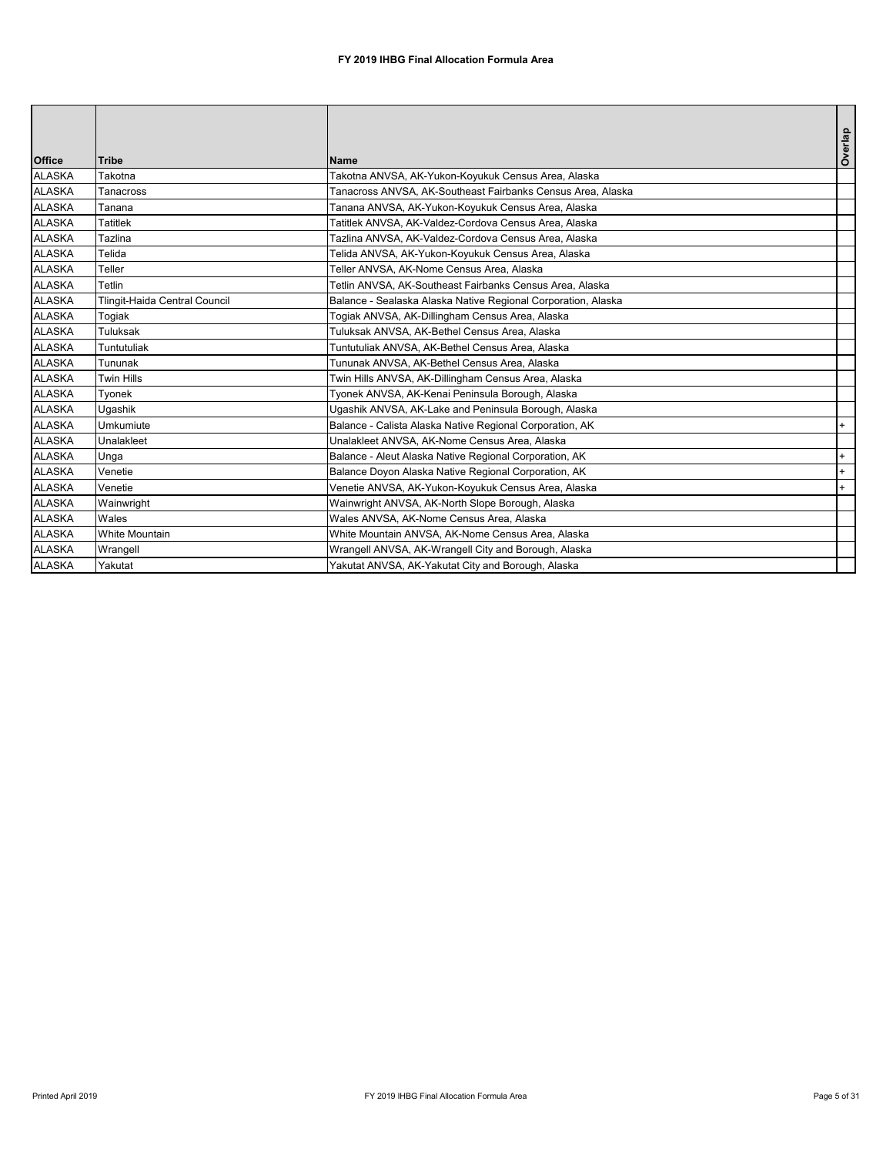| <b>Office</b> | <b>Tribe</b>                  | Name                                                          | Overlap |
|---------------|-------------------------------|---------------------------------------------------------------|---------|
| <b>ALASKA</b> | Takotna                       | Takotna ANVSA, AK-Yukon-Koyukuk Census Area, Alaska           |         |
| <b>ALASKA</b> |                               |                                                               |         |
|               | Tanacross                     | Tanacross ANVSA, AK-Southeast Fairbanks Census Area, Alaska   |         |
| <b>ALASKA</b> | Tanana                        | Tanana ANVSA, AK-Yukon-Koyukuk Census Area, Alaska            |         |
| <b>ALASKA</b> | <b>Tatitlek</b>               | Tatitlek ANVSA, AK-Valdez-Cordova Census Area, Alaska         |         |
| <b>ALASKA</b> | Tazlina                       | Tazlina ANVSA, AK-Valdez-Cordova Census Area, Alaska          |         |
| <b>ALASKA</b> | Telida                        | Telida ANVSA, AK-Yukon-Koyukuk Census Area, Alaska            |         |
| <b>ALASKA</b> | Teller                        | Teller ANVSA, AK-Nome Census Area, Alaska                     |         |
| <b>ALASKA</b> | <b>Tetlin</b>                 | Tetlin ANVSA, AK-Southeast Fairbanks Census Area, Alaska      |         |
| <b>ALASKA</b> | Tlingit-Haida Central Council | Balance - Sealaska Alaska Native Regional Corporation, Alaska |         |
| <b>ALASKA</b> | Togiak                        | Togiak ANVSA, AK-Dillingham Census Area, Alaska               |         |
| <b>ALASKA</b> | <b>Tuluksak</b>               | Tuluksak ANVSA, AK-Bethel Census Area, Alaska                 |         |
| <b>ALASKA</b> | Tuntutuliak                   | Tuntutuliak ANVSA, AK-Bethel Census Area, Alaska              |         |
| <b>ALASKA</b> | Tununak                       | Tununak ANVSA, AK-Bethel Census Area, Alaska                  |         |
| <b>ALASKA</b> | <b>Twin Hills</b>             | Twin Hills ANVSA, AK-Dillingham Census Area, Alaska           |         |
| <b>ALASKA</b> | Tyonek                        | Tyonek ANVSA, AK-Kenai Peninsula Borough, Alaska              |         |
| <b>ALASKA</b> | Ugashik                       | Ugashik ANVSA, AK-Lake and Peninsula Borough, Alaska          |         |
| <b>ALASKA</b> | <b>Umkumiute</b>              | Balance - Calista Alaska Native Regional Corporation, AK      | $+$     |
| <b>ALASKA</b> | <b>Unalakleet</b>             | Unalakleet ANVSA, AK-Nome Census Area, Alaska                 |         |
| <b>ALASKA</b> | Unga                          | Balance - Aleut Alaska Native Regional Corporation, AK        | $^+$    |
| <b>ALASKA</b> | Venetie                       | Balance Doyon Alaska Native Regional Corporation, AK          | $+$     |
| <b>ALASKA</b> | Venetie                       | Venetie ANVSA, AK-Yukon-Koyukuk Census Area, Alaska           |         |
| <b>ALASKA</b> | Wainwright                    | Wainwright ANVSA, AK-North Slope Borough, Alaska              |         |
| <b>ALASKA</b> | Wales                         | Wales ANVSA, AK-Nome Census Area, Alaska                      |         |
| <b>ALASKA</b> | <b>White Mountain</b>         | White Mountain ANVSA, AK-Nome Census Area, Alaska             |         |
| <b>ALASKA</b> | Wrangell                      | Wrangell ANVSA, AK-Wrangell City and Borough, Alaska          |         |
| <b>ALASKA</b> | Yakutat                       | Yakutat ANVSA, AK-Yakutat City and Borough, Alaska            |         |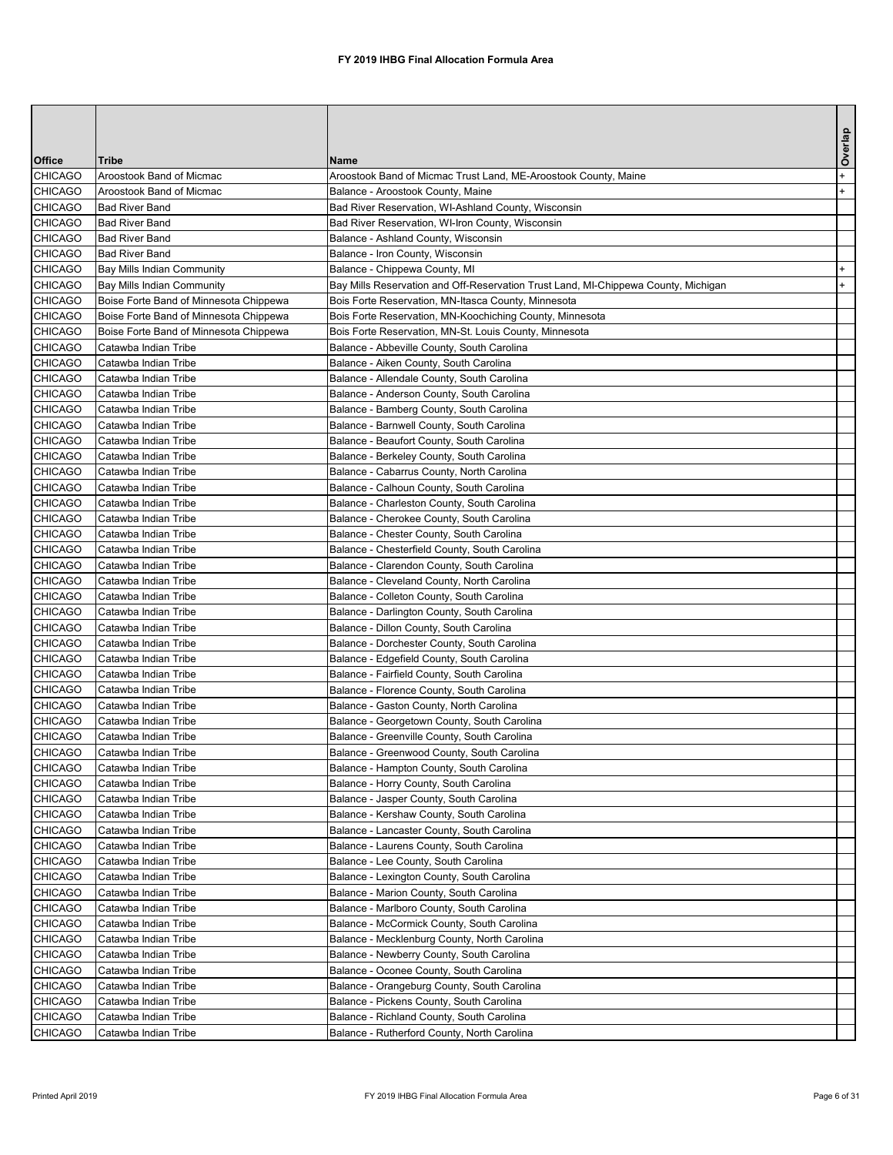|                                  |                                              |                                                                                       | Overlap |
|----------------------------------|----------------------------------------------|---------------------------------------------------------------------------------------|---------|
| <b>Office</b>                    | <b>Tribe</b>                                 | <b>Name</b>                                                                           |         |
| <b>CHICAGO</b>                   | <b>Aroostook Band of Micmac</b>              | Aroostook Band of Micmac Trust Land, ME-Aroostook County, Maine                       | $+$     |
| <b>CHICAGO</b>                   | <b>Aroostook Band of Micmac</b>              | Balance - Aroostook County, Maine                                                     | $+$     |
| <b>CHICAGO</b>                   | <b>Bad River Band</b>                        | Bad River Reservation, WI-Ashland County, Wisconsin                                   |         |
| <b>CHICAGO</b>                   | <b>Bad River Band</b>                        | Bad River Reservation, WI-Iron County, Wisconsin                                      |         |
| <b>CHICAGO</b>                   | <b>Bad River Band</b>                        | Balance - Ashland County, Wisconsin                                                   |         |
| <b>CHICAGO</b>                   | <b>Bad River Band</b>                        | Balance - Iron County, Wisconsin                                                      |         |
| <b>CHICAGO</b>                   | <b>Bay Mills Indian Community</b>            | Balance - Chippewa County, MI                                                         | $+$     |
| <b>CHICAGO</b>                   | <b>Bay Mills Indian Community</b>            | Bay Mills Reservation and Off-Reservation Trust Land, MI-Chippewa County, Michigan    | $+$     |
| <b>CHICAGO</b>                   | Boise Forte Band of Minnesota Chippewa       | Bois Forte Reservation, MN-Itasca County, Minnesota                                   |         |
| <b>CHICAGO</b>                   | Boise Forte Band of Minnesota Chippewa       | Bois Forte Reservation, MN-Koochiching County, Minnesota                              |         |
| <b>CHICAGO</b>                   | Boise Forte Band of Minnesota Chippewa       | Bois Forte Reservation, MN-St. Louis County, Minnesota                                |         |
| <b>CHICAGO</b>                   | Catawba Indian Tribe                         | Balance - Abbeville County, South Carolina                                            |         |
| <b>CHICAGO</b>                   | Catawba Indian Tribe                         | Balance - Aiken County, South Carolina                                                |         |
| <b>CHICAGO</b>                   | Catawba Indian Tribe                         | Balance - Allendale County, South Carolina                                            |         |
| <b>CHICAGO</b>                   | Catawba Indian Tribe                         | Balance - Anderson County, South Carolina                                             |         |
| <b>CHICAGO</b>                   | Catawba Indian Tribe                         | Balance - Bamberg County, South Carolina                                              |         |
| <b>CHICAGO</b>                   | Catawba Indian Tribe                         | Balance - Barnwell County, South Carolina                                             |         |
| <b>CHICAGO</b><br><b>CHICAGO</b> | Catawba Indian Tribe<br>Catawba Indian Tribe | Balance - Beaufort County, South Carolina                                             |         |
| <b>CHICAGO</b>                   | Catawba Indian Tribe                         | Balance - Berkeley County, South Carolina                                             |         |
| <b>CHICAGO</b>                   | Catawba Indian Tribe                         | Balance - Cabarrus County, North Carolina<br>Balance - Calhoun County, South Carolina |         |
| <b>CHICAGO</b>                   | Catawba Indian Tribe                         | Balance - Charleston County, South Carolina                                           |         |
| <b>CHICAGO</b>                   | Catawba Indian Tribe                         | Balance - Cherokee County, South Carolina                                             |         |
| <b>CHICAGO</b>                   | Catawba Indian Tribe                         | Balance - Chester County, South Carolina                                              |         |
| <b>CHICAGO</b>                   | Catawba Indian Tribe                         | Balance - Chesterfield County, South Carolina                                         |         |
| <b>CHICAGO</b>                   | Catawba Indian Tribe                         | Balance - Clarendon County, South Carolina                                            |         |
| <b>CHICAGO</b>                   | Catawba Indian Tribe                         | Balance - Cleveland County, North Carolina                                            |         |
| <b>CHICAGO</b>                   | Catawba Indian Tribe                         | Balance - Colleton County, South Carolina                                             |         |
| <b>CHICAGO</b>                   | Catawba Indian Tribe                         | Balance - Darlington County, South Carolina                                           |         |
| <b>CHICAGO</b>                   | Catawba Indian Tribe                         | Balance - Dillon County, South Carolina                                               |         |
| <b>CHICAGO</b>                   | Catawba Indian Tribe                         | Balance - Dorchester County, South Carolina                                           |         |
| <b>CHICAGO</b>                   | Catawba Indian Tribe                         | Balance - Edgefield County, South Carolina                                            |         |
| <b>CHICAGO</b>                   | Catawba Indian Tribe                         | Balance - Fairfield County, South Carolina                                            |         |
| <b>CHICAGO</b>                   | Catawba Indian Tribe                         | Balance - Florence County, South Carolina                                             |         |
| <b>CHICAGO</b>                   | Catawba Indian Tribe                         | Balance - Gaston County, North Carolina                                               |         |
| <b>CHICAGO</b>                   | Catawba Indian Tribe                         | Balance - Georgetown County, South Carolina                                           |         |
| <b>CHICAGO</b>                   | Catawba Indian Tribe                         | Balance - Greenville County, South Carolina                                           |         |
| <b>CHICAGO</b>                   | Catawba Indian Tribe                         | Balance - Greenwood County, South Carolina                                            |         |
| <b>CHICAGO</b>                   | Catawba Indian Tribe                         | Balance - Hampton County, South Carolina                                              |         |
| <b>CHICAGO</b>                   | Catawba Indian Tribe                         | Balance - Horry County, South Carolina                                                |         |
| <b>CHICAGO</b>                   | Catawba Indian Tribe                         | Balance - Jasper County, South Carolina                                               |         |
| <b>CHICAGO</b>                   | Catawba Indian Tribe                         | Balance - Kershaw County, South Carolina                                              |         |
| <b>CHICAGO</b>                   | Catawba Indian Tribe                         | Balance - Lancaster County, South Carolina                                            |         |
| <b>CHICAGO</b>                   | Catawba Indian Tribe                         | Balance - Laurens County, South Carolina                                              |         |
| <b>CHICAGO</b>                   | Catawba Indian Tribe                         | Balance - Lee County, South Carolina                                                  |         |
| <b>CHICAGO</b>                   | Catawba Indian Tribe                         | Balance - Lexington County, South Carolina                                            |         |
| <b>CHICAGO</b>                   | Catawba Indian Tribe                         | Balance - Marion County, South Carolina                                               |         |
| <b>CHICAGO</b>                   | Catawba Indian Tribe                         | Balance - Marlboro County, South Carolina                                             |         |
| <b>CHICAGO</b>                   | Catawba Indian Tribe                         | Balance - McCormick County, South Carolina                                            |         |
| <b>CHICAGO</b>                   | Catawba Indian Tribe                         | Balance - Mecklenburg County, North Carolina                                          |         |
| <b>CHICAGO</b>                   | Catawba Indian Tribe                         | Balance - Newberry County, South Carolina                                             |         |
| <b>CHICAGO</b>                   | Catawba Indian Tribe                         | Balance - Oconee County, South Carolina                                               |         |
| <b>CHICAGO</b>                   | Catawba Indian Tribe                         | Balance - Orangeburg County, South Carolina                                           |         |
| <b>CHICAGO</b>                   | Catawba Indian Tribe                         | Balance - Pickens County, South Carolina                                              |         |
| <b>CHICAGO</b>                   | Catawba Indian Tribe                         | Balance - Richland County, South Carolina                                             |         |
| <b>CHICAGO</b>                   | ICatawba Indian Tribe                        | Balance - Rutherford County, North Carolina                                           |         |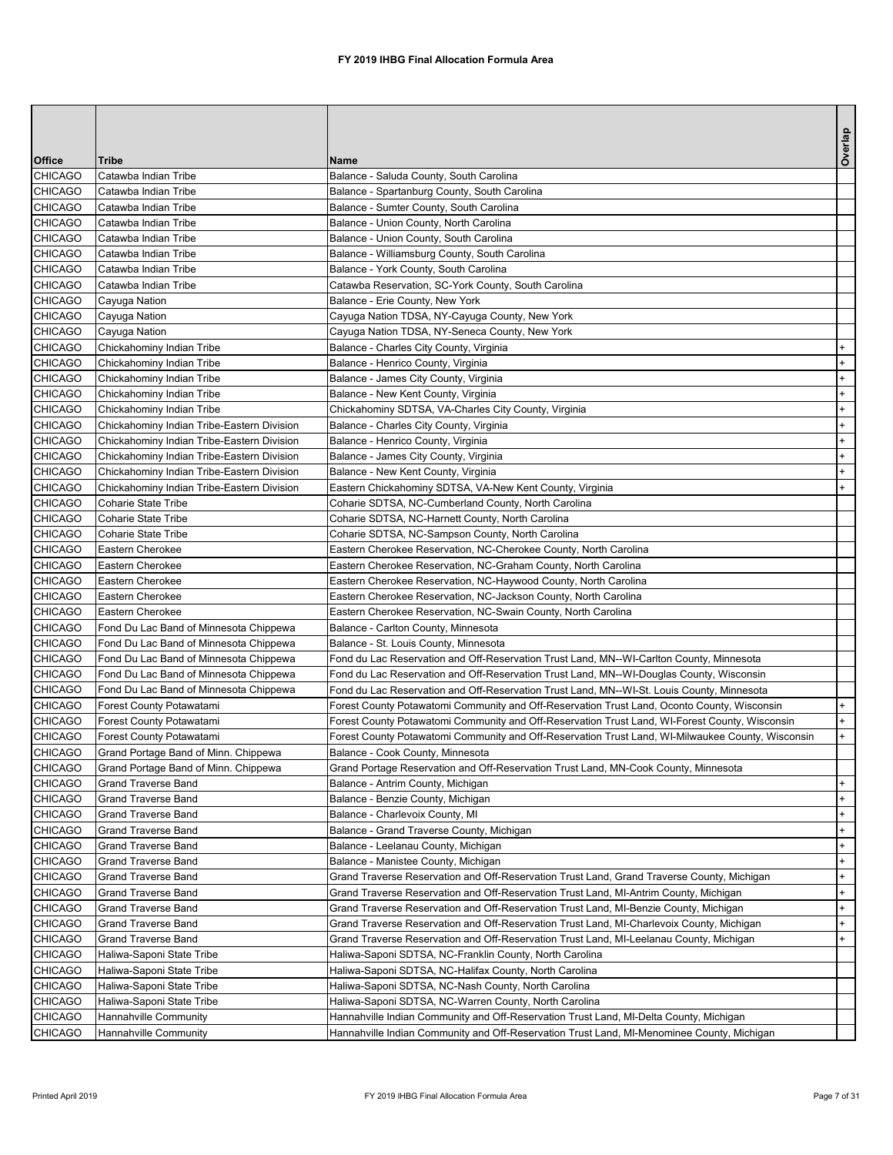|                                  |                                                      |                                                                                                                                       | Overlap    |
|----------------------------------|------------------------------------------------------|---------------------------------------------------------------------------------------------------------------------------------------|------------|
| <b>Office</b>                    | <b>Tribe</b>                                         | <b>Name</b>                                                                                                                           |            |
| <b>CHICAGO</b>                   | Catawba Indian Tribe                                 | Balance - Saluda County, South Carolina                                                                                               |            |
| <b>CHICAGO</b>                   | Catawba Indian Tribe                                 | Balance - Spartanburg County, South Carolina                                                                                          |            |
| <b>CHICAGO</b>                   | Catawba Indian Tribe                                 | Balance - Sumter County, South Carolina                                                                                               |            |
| <b>CHICAGO</b>                   | Catawba Indian Tribe                                 | Balance - Union County, North Carolina                                                                                                |            |
| <b>CHICAGO</b>                   | Catawba Indian Tribe                                 | Balance - Union County, South Carolina                                                                                                |            |
| <b>CHICAGO</b>                   | Catawba Indian Tribe                                 | Balance - Williamsburg County, South Carolina                                                                                         |            |
| <b>CHICAGO</b>                   | Catawba Indian Tribe                                 | Balance - York County, South Carolina                                                                                                 |            |
| <b>CHICAGO</b><br><b>CHICAGO</b> | Catawba Indian Tribe<br>Cayuga Nation                | Catawba Reservation, SC-York County, South Carolina<br>Balance - Erie County, New York                                                |            |
| <b>CHICAGO</b>                   | Cayuga Nation                                        | Cayuga Nation TDSA, NY-Cayuga County, New York                                                                                        |            |
| <b>CHICAGO</b>                   | Cayuga Nation                                        | Cayuga Nation TDSA, NY-Seneca County, New York                                                                                        |            |
| <b>CHICAGO</b>                   | Chickahominy Indian Tribe                            | Balance - Charles City County, Virginia                                                                                               |            |
| <b>CHICAGO</b>                   | Chickahominy Indian Tribe                            | Balance - Henrico County, Virginia                                                                                                    | $+$        |
| <b>CHICAGO</b>                   | Chickahominy Indian Tribe                            | Balance - James City County, Virginia                                                                                                 |            |
| <b>CHICAGO</b>                   | Chickahominy Indian Tribe                            | Balance - New Kent County, Virginia                                                                                                   | $+$        |
| <b>CHICAGO</b>                   | Chickahominy Indian Tribe                            | Chickahominy SDTSA, VA-Charles City County, Virginia                                                                                  |            |
| <b>CHICAGO</b>                   | Chickahominy Indian Tribe-Eastern Division           | Balance - Charles City County, Virginia                                                                                               | $+$        |
| <b>CHICAGO</b>                   | Chickahominy Indian Tribe-Eastern Division           | Balance - Henrico County, Virginia                                                                                                    |            |
| <b>CHICAGO</b>                   | Chickahominy Indian Tribe-Eastern Division           | Balance - James City County, Virginia                                                                                                 | $+$        |
| <b>CHICAGO</b>                   | Chickahominy Indian Tribe-Eastern Division           | Balance - New Kent County, Virginia                                                                                                   | $+$        |
| <b>CHICAGO</b>                   | Chickahominy Indian Tribe-Eastern Division           | Eastern Chickahominy SDTSA, VA-New Kent County, Virginia                                                                              | $+$        |
| <b>CHICAGO</b>                   | Coharie State Tribe                                  | Coharie SDTSA, NC-Cumberland County, North Carolina                                                                                   |            |
| <b>CHICAGO</b>                   | Coharie State Tribe                                  | Coharie SDTSA, NC-Harnett County, North Carolina                                                                                      |            |
| <b>CHICAGO</b>                   | Coharie State Tribe                                  | Coharie SDTSA, NC-Sampson County, North Carolina                                                                                      |            |
| <b>CHICAGO</b>                   | Eastern Cherokee                                     | Eastern Cherokee Reservation, NC-Cherokee County, North Carolina                                                                      |            |
| <b>CHICAGO</b>                   | Eastern Cherokee                                     | Eastern Cherokee Reservation, NC-Graham County, North Carolina                                                                        |            |
| <b>CHICAGO</b>                   | Eastern Cherokee                                     | Eastern Cherokee Reservation, NC-Haywood County, North Carolina                                                                       |            |
| <b>CHICAGO</b>                   | Eastern Cherokee                                     | Eastern Cherokee Reservation, NC-Jackson County, North Carolina                                                                       |            |
| <b>CHICAGO</b>                   | Eastern Cherokee                                     | Eastern Cherokee Reservation, NC-Swain County, North Carolina                                                                         |            |
| <b>CHICAGO</b>                   | Fond Du Lac Band of Minnesota Chippewa               | Balance - Carlton County, Minnesota                                                                                                   |            |
| <b>CHICAGO</b>                   | Fond Du Lac Band of Minnesota Chippewa               | Balance - St. Louis County, Minnesota                                                                                                 |            |
| <b>CHICAGO</b>                   | Fond Du Lac Band of Minnesota Chippewa               | Fond du Lac Reservation and Off-Reservation Trust Land, MN--WI-Carlton County, Minnesota                                              |            |
| <b>CHICAGO</b>                   | Fond Du Lac Band of Minnesota Chippewa               | Fond du Lac Reservation and Off-Reservation Trust Land, MN--WI-Douglas County, Wisconsin                                              |            |
| <b>CHICAGO</b>                   | Fond Du Lac Band of Minnesota Chippewa               | Fond du Lac Reservation and Off-Reservation Trust Land, MN--WI-St. Louis County, Minnesota                                            |            |
| <b>CHICAGO</b><br><b>CHICAGO</b> | Forest County Potawatami                             | Forest County Potawatomi Community and Off-Reservation Trust Land, Oconto County, Wisconsin                                           | $+$<br>$+$ |
| <b>CHICAGO</b>                   | Forest County Potawatami<br>Forest County Potawatami | Forest County Potawatomi Community and Off-Reservation Trust Land, WI-Forest County, Wisconsin                                        | $+$        |
| <b>CHICAGO</b>                   | Grand Portage Band of Minn. Chippewa                 | Forest County Potawatomi Community and Off-Reservation Trust Land, WI-Milwaukee County, Wisconsin<br>Balance - Cook County, Minnesota |            |
| <b>CHICAGO</b>                   | Grand Portage Band of Minn. Chippewa                 | Grand Portage Reservation and Off-Reservation Trust Land, MN-Cook County, Minnesota                                                   |            |
| <b>CHICAGO</b>                   | <b>Grand Traverse Band</b>                           | Balance - Antrim County, Michigan                                                                                                     |            |
| <b>CHICAGO</b>                   | <b>Grand Traverse Band</b>                           | Balance - Benzie County, Michigan                                                                                                     |            |
| <b>CHICAGO</b>                   | <b>Grand Traverse Band</b>                           | Balance - Charlevoix County, MI                                                                                                       |            |
| <b>CHICAGO</b>                   | <b>Grand Traverse Band</b>                           | Balance - Grand Traverse County, Michigan                                                                                             |            |
| <b>CHICAGO</b>                   | <b>Grand Traverse Band</b>                           | Balance - Leelanau County, Michigan                                                                                                   |            |
| <b>CHICAGO</b>                   | <b>Grand Traverse Band</b>                           | Balance - Manistee County, Michigan                                                                                                   | $+$        |
| <b>CHICAGO</b>                   | <b>Grand Traverse Band</b>                           | Grand Traverse Reservation and Off-Reservation Trust Land, Grand Traverse County, Michigan                                            | $+$        |
| <b>CHICAGO</b>                   | <b>Grand Traverse Band</b>                           | Grand Traverse Reservation and Off-Reservation Trust Land, MI-Antrim County, Michigan                                                 | $+$        |
| <b>CHICAGO</b>                   | <b>Grand Traverse Band</b>                           | Grand Traverse Reservation and Off-Reservation Trust Land, MI-Benzie County, Michigan                                                 | $+$        |
| <b>CHICAGO</b>                   | <b>Grand Traverse Band</b>                           | Grand Traverse Reservation and Off-Reservation Trust Land, MI-Charlevoix County, Michigan                                             | $+$        |
| <b>CHICAGO</b>                   | <b>Grand Traverse Band</b>                           | Grand Traverse Reservation and Off-Reservation Trust Land, MI-Leelanau County, Michigan                                               | $+$        |
| <b>CHICAGO</b>                   | Haliwa-Saponi State Tribe                            | Haliwa-Saponi SDTSA, NC-Franklin County, North Carolina                                                                               |            |
| <b>CHICAGO</b>                   | Haliwa-Saponi State Tribe                            | Haliwa-Saponi SDTSA, NC-Halifax County, North Carolina                                                                                |            |
| <b>CHICAGO</b>                   | Haliwa-Saponi State Tribe                            | Haliwa-Saponi SDTSA, NC-Nash County, North Carolina                                                                                   |            |
| <b>CHICAGO</b>                   | Haliwa-Saponi State Tribe                            | Haliwa-Saponi SDTSA, NC-Warren County, North Carolina                                                                                 |            |
| <b>CHICAGO</b>                   | Hannahville Community                                | Hannahville Indian Community and Off-Reservation Trust Land, MI-Delta County, Michigan                                                |            |
| <b>CHICAGO</b>                   | Hannahville Community                                | Hannahville Indian Community and Off-Reservation Trust Land, MI-Menominee County, Michigan                                            |            |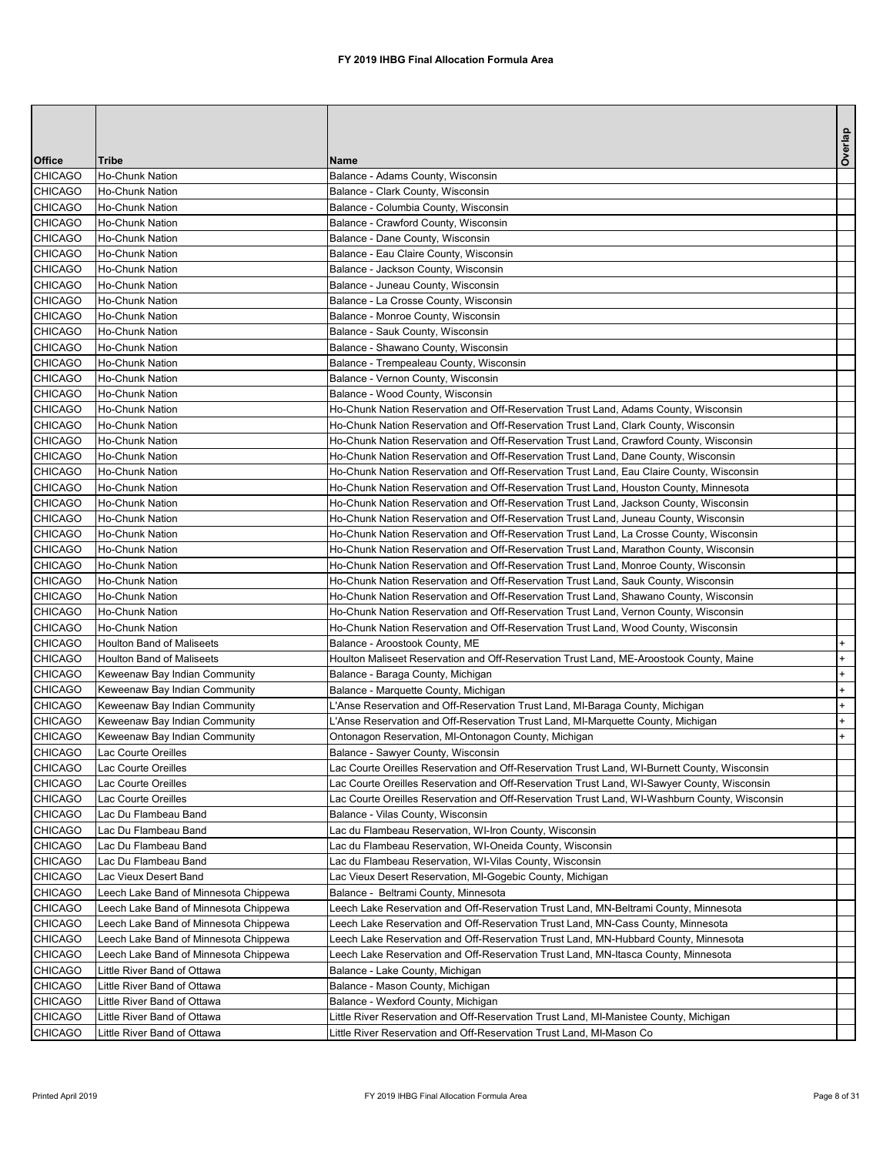|                                  |                                                    |                                                                                                                                                                                   | Overlap |
|----------------------------------|----------------------------------------------------|-----------------------------------------------------------------------------------------------------------------------------------------------------------------------------------|---------|
| <b>Office</b>                    | <b>Tribe</b>                                       | <b>IName</b>                                                                                                                                                                      |         |
| <b>CHICAGO</b>                   | Ho-Chunk Nation                                    | Balance - Adams County, Wisconsin                                                                                                                                                 |         |
| <b>CHICAGO</b>                   | Ho-Chunk Nation                                    | Balance - Clark County, Wisconsin                                                                                                                                                 |         |
| <b>CHICAGO</b>                   | Ho-Chunk Nation                                    | Balance - Columbia County, Wisconsin                                                                                                                                              |         |
| <b>CHICAGO</b>                   | Ho-Chunk Nation                                    | Balance - Crawford County, Wisconsin                                                                                                                                              |         |
| <b>CHICAGO</b>                   | Ho-Chunk Nation                                    | Balance - Dane County, Wisconsin                                                                                                                                                  |         |
| <b>CHICAGO</b><br><b>CHICAGO</b> | Ho-Chunk Nation<br>Ho-Chunk Nation                 | Balance - Eau Claire County, Wisconsin<br>Balance - Jackson County, Wisconsin                                                                                                     |         |
| <b>CHICAGO</b>                   | Ho-Chunk Nation                                    | Balance - Juneau County, Wisconsin                                                                                                                                                |         |
| <b>CHICAGO</b>                   | Ho-Chunk Nation                                    | Balance - La Crosse County, Wisconsin                                                                                                                                             |         |
| <b>CHICAGO</b>                   | Ho-Chunk Nation                                    | Balance - Monroe County, Wisconsin                                                                                                                                                |         |
| <b>CHICAGO</b>                   | Ho-Chunk Nation                                    | Balance - Sauk County, Wisconsin                                                                                                                                                  |         |
| <b>CHICAGO</b>                   | Ho-Chunk Nation                                    | Balance - Shawano County, Wisconsin                                                                                                                                               |         |
| <b>CHICAGO</b>                   | Ho-Chunk Nation                                    | Balance - Trempealeau County, Wisconsin                                                                                                                                           |         |
| <b>CHICAGO</b>                   | Ho-Chunk Nation                                    | Balance - Vernon County, Wisconsin                                                                                                                                                |         |
| <b>CHICAGO</b>                   | Ho-Chunk Nation                                    | Balance - Wood County, Wisconsin                                                                                                                                                  |         |
| <b>CHICAGO</b>                   | Ho-Chunk Nation                                    | Ho-Chunk Nation Reservation and Off-Reservation Trust Land, Adams County, Wisconsin                                                                                               |         |
| <b>CHICAGO</b>                   | Ho-Chunk Nation                                    | Ho-Chunk Nation Reservation and Off-Reservation Trust Land, Clark County, Wisconsin                                                                                               |         |
| <b>CHICAGO</b>                   | Ho-Chunk Nation                                    | Ho-Chunk Nation Reservation and Off-Reservation Trust Land, Crawford County, Wisconsin                                                                                            |         |
| <b>CHICAGO</b>                   | Ho-Chunk Nation                                    | Ho-Chunk Nation Reservation and Off-Reservation Trust Land, Dane County, Wisconsin                                                                                                |         |
| <b>CHICAGO</b>                   | Ho-Chunk Nation                                    | Ho-Chunk Nation Reservation and Off-Reservation Trust Land, Eau Claire County, Wisconsin                                                                                          |         |
| <b>CHICAGO</b>                   | Ho-Chunk Nation                                    | Ho-Chunk Nation Reservation and Off-Reservation Trust Land, Houston County, Minnesota                                                                                             |         |
| <b>CHICAGO</b>                   | Ho-Chunk Nation                                    | Ho-Chunk Nation Reservation and Off-Reservation Trust Land, Jackson County, Wisconsin                                                                                             |         |
| <b>CHICAGO</b>                   | Ho-Chunk Nation<br>Ho-Chunk Nation                 | Ho-Chunk Nation Reservation and Off-Reservation Trust Land, Juneau County, Wisconsin                                                                                              |         |
| <b>CHICAGO</b><br><b>CHICAGO</b> | Ho-Chunk Nation                                    | Ho-Chunk Nation Reservation and Off-Reservation Trust Land, La Crosse County, Wisconsin<br>Ho-Chunk Nation Reservation and Off-Reservation Trust Land, Marathon County, Wisconsin |         |
| <b>CHICAGO</b>                   | Ho-Chunk Nation                                    | Ho-Chunk Nation Reservation and Off-Reservation Trust Land, Monroe County, Wisconsin                                                                                              |         |
| <b>CHICAGO</b>                   | Ho-Chunk Nation                                    | Ho-Chunk Nation Reservation and Off-Reservation Trust Land, Sauk County, Wisconsin                                                                                                |         |
| <b>CHICAGO</b>                   | Ho-Chunk Nation                                    | Ho-Chunk Nation Reservation and Off-Reservation Trust Land, Shawano County, Wisconsin                                                                                             |         |
| <b>CHICAGO</b>                   | Ho-Chunk Nation                                    | Ho-Chunk Nation Reservation and Off-Reservation Trust Land, Vernon County, Wisconsin                                                                                              |         |
| <b>CHICAGO</b>                   | Ho-Chunk Nation                                    | Ho-Chunk Nation Reservation and Off-Reservation Trust Land, Wood County, Wisconsin                                                                                                |         |
| <b>CHICAGO</b>                   | <b>Houlton Band of Maliseets</b>                   | Balance - Aroostook County, ME                                                                                                                                                    | $+$     |
| <b>CHICAGO</b>                   | <b>Houlton Band of Maliseets</b>                   | Houlton Maliseet Reservation and Off-Reservation Trust Land, ME-Aroostook County, Maine                                                                                           | $+$     |
| <b>CHICAGO</b>                   | Keweenaw Bay Indian Community                      | Balance - Baraga County, Michigan                                                                                                                                                 | $+$     |
| <b>CHICAGO</b>                   | Keweenaw Bay Indian Community                      | Balance - Marquette County, Michigan                                                                                                                                              | $+$     |
| <b>CHICAGO</b>                   | Keweenaw Bay Indian Community                      | L'Anse Reservation and Off-Reservation Trust Land, MI-Baraga County, Michigan                                                                                                     | $+$     |
| <b>CHICAGO</b>                   | Keweenaw Bay Indian Community                      | L'Anse Reservation and Off-Reservation Trust Land, MI-Marquette County, Michigan                                                                                                  | $+$     |
| <b>CHICAGO</b>                   | Keweenaw Bay Indian Community                      | Ontonagon Reservation, MI-Ontonagon County, Michigan                                                                                                                              | $+$     |
| <b>CHICAGO</b>                   | Lac Courte Oreilles                                | Balance - Sawyer County, Wisconsin                                                                                                                                                |         |
| <b>CHICAGO</b>                   | Lac Courte Oreilles                                | Lac Courte Oreilles Reservation and Off-Reservation Trust Land, WI-Burnett County, Wisconsin                                                                                      |         |
| <b>CHICAGO</b>                   | Lac Courte Oreilles                                | Lac Courte Oreilles Reservation and Off-Reservation Trust Land, WI-Sawyer County, Wisconsin                                                                                       |         |
| <b>CHICAGO</b><br><b>CHICAGO</b> | <b>Lac Courte Oreilles</b><br>Lac Du Flambeau Band | Lac Courte Oreilles Reservation and Off-Reservation Trust Land, WI-Washburn County, Wisconsin<br>Balance - Vilas County, Wisconsin                                                |         |
| <b>CHICAGO</b>                   | Lac Du Flambeau Band                               | Lac du Flambeau Reservation, WI-Iron County, Wisconsin                                                                                                                            |         |
| <b>CHICAGO</b>                   | Lac Du Flambeau Band                               | Lac du Flambeau Reservation, WI-Oneida County, Wisconsin                                                                                                                          |         |
| <b>CHICAGO</b>                   | Lac Du Flambeau Band                               | Lac du Flambeau Reservation, WI-Vilas County, Wisconsin                                                                                                                           |         |
| <b>CHICAGO</b>                   | Lac Vieux Desert Band                              | Lac Vieux Desert Reservation, MI-Gogebic County, Michigan                                                                                                                         |         |
| <b>CHICAGO</b>                   | Leech Lake Band of Minnesota Chippewa              | Balance - Beltrami County, Minnesota                                                                                                                                              |         |
| <b>CHICAGO</b>                   | Leech Lake Band of Minnesota Chippewa              | Leech Lake Reservation and Off-Reservation Trust Land, MN-Beltrami County, Minnesota                                                                                              |         |
| <b>CHICAGO</b>                   | Leech Lake Band of Minnesota Chippewa              | Leech Lake Reservation and Off-Reservation Trust Land, MN-Cass County, Minnesota                                                                                                  |         |
| <b>CHICAGO</b>                   | Leech Lake Band of Minnesota Chippewa              | Leech Lake Reservation and Off-Reservation Trust Land, MN-Hubbard County, Minnesota                                                                                               |         |
| <b>CHICAGO</b>                   | Leech Lake Band of Minnesota Chippewa              | Leech Lake Reservation and Off-Reservation Trust Land, MN-Itasca County, Minnesota                                                                                                |         |
| <b>CHICAGO</b>                   | Little River Band of Ottawa                        | Balance - Lake County, Michigan                                                                                                                                                   |         |
| <b>CHICAGO</b>                   | Little River Band of Ottawa                        | Balance - Mason County, Michigan                                                                                                                                                  |         |
| <b>CHICAGO</b>                   | Little River Band of Ottawa                        | Balance - Wexford County, Michigan                                                                                                                                                |         |
| <b>CHICAGO</b>                   | Little River Band of Ottawa                        | Little River Reservation and Off-Reservation Trust Land, MI-Manistee County, Michigan                                                                                             |         |
| <b>CHICAGO</b>                   | Little River Band of Ottawa                        | Little River Reservation and Off-Reservation Trust Land, MI-Mason Co                                                                                                              |         |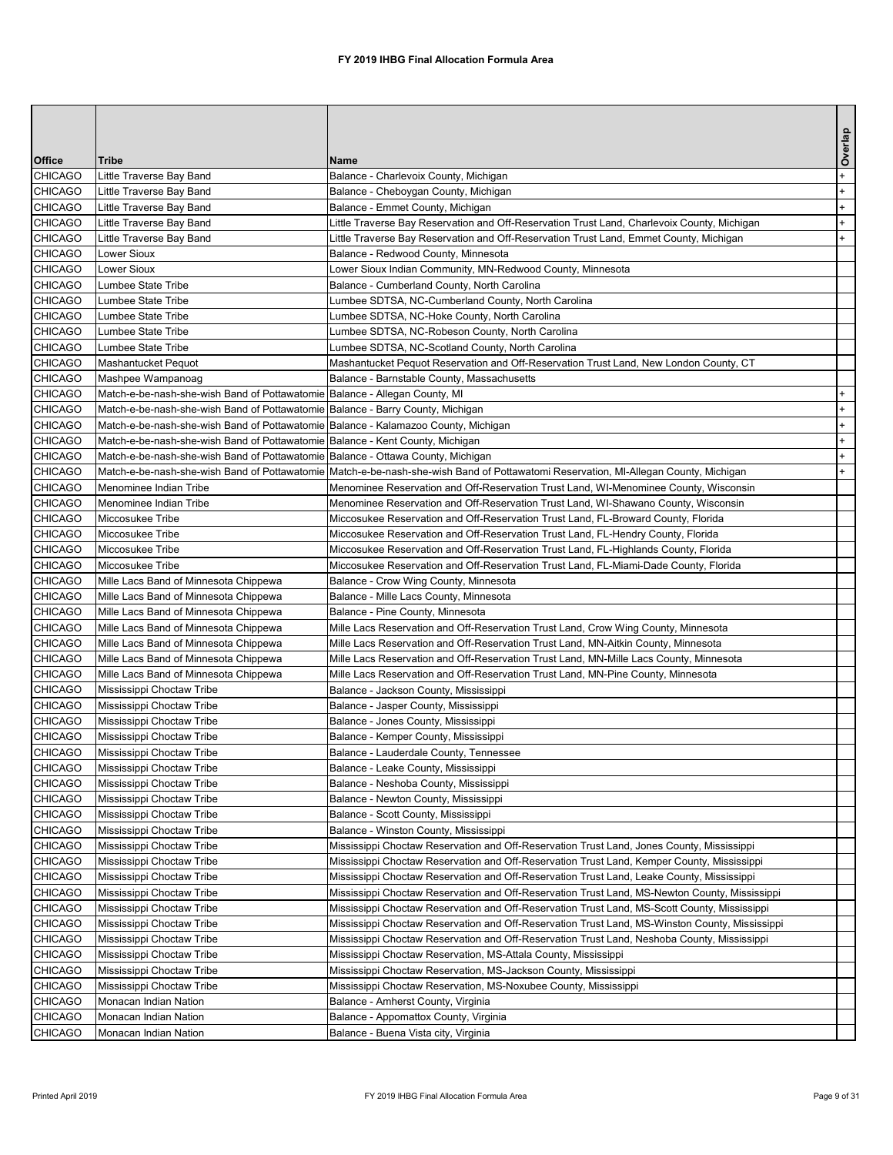|                                  |                                                                                    |                                                                                                                                     | Overlap |
|----------------------------------|------------------------------------------------------------------------------------|-------------------------------------------------------------------------------------------------------------------------------------|---------|
| <b>Office</b>                    | <b>Tribe</b>                                                                       | <b>Name</b>                                                                                                                         |         |
| <b>CHICAGO</b>                   | Little Traverse Bay Band                                                           | Balance - Charlevoix County, Michigan                                                                                               | $+$     |
| <b>CHICAGO</b>                   | Little Traverse Bay Band                                                           | Balance - Cheboygan County, Michigan                                                                                                | $+$     |
| <b>CHICAGO</b>                   | Little Traverse Bay Band                                                           | Balance - Emmet County, Michigan                                                                                                    | $+$     |
| <b>CHICAGO</b>                   | Little Traverse Bay Band                                                           | Little Traverse Bay Reservation and Off-Reservation Trust Land, Charlevoix County, Michigan                                         | $+$     |
| <b>CHICAGO</b>                   | Little Traverse Bay Band                                                           | Little Traverse Bay Reservation and Off-Reservation Trust Land, Emmet County, Michigan                                              | $+$     |
| <b>CHICAGO</b>                   | <b>Lower Sioux</b>                                                                 | Balance - Redwood County, Minnesota                                                                                                 |         |
| <b>CHICAGO</b>                   | Lower Sioux                                                                        | _ower Sioux Indian Community, MN-Redwood County, Minnesota                                                                          |         |
| <b>CHICAGO</b>                   | Lumbee State Tribe                                                                 | Balance - Cumberland County, North Carolina                                                                                         |         |
| <b>CHICAGO</b><br><b>CHICAGO</b> | Lumbee State Tribe<br>Lumbee State Tribe                                           | Lumbee SDTSA, NC-Cumberland County, North Carolina<br>Lumbee SDTSA, NC-Hoke County, North Carolina                                  |         |
| <b>CHICAGO</b>                   | Lumbee State Tribe                                                                 | Lumbee SDTSA, NC-Robeson County, North Carolina                                                                                     |         |
| <b>CHICAGO</b>                   | Lumbee State Tribe                                                                 | Lumbee SDTSA, NC-Scotland County, North Carolina                                                                                    |         |
| <b>CHICAGO</b>                   | Mashantucket Pequot                                                                | Mashantucket Pequot Reservation and Off-Reservation Trust Land, New London County, CT                                               |         |
| <b>CHICAGO</b>                   | Mashpee Wampanoag                                                                  | Balance - Barnstable County, Massachusetts                                                                                          |         |
| <b>CHICAGO</b>                   | Match-e-be-nash-she-wish Band of Pottawatomie Balance - Allegan County, MI         |                                                                                                                                     | $+$     |
| <b>CHICAGO</b>                   | Match-e-be-nash-she-wish Band of Pottawatomie Balance - Barry County, Michigan     |                                                                                                                                     | $+$     |
| <b>CHICAGO</b>                   | Match-e-be-nash-she-wish Band of Pottawatomie Balance - Kalamazoo County, Michigan |                                                                                                                                     | $+$     |
| <b>CHICAGO</b>                   | Match-e-be-nash-she-wish Band of Pottawatomie Balance - Kent County, Michigan      |                                                                                                                                     | $+$     |
| <b>CHICAGO</b>                   | Match-e-be-nash-she-wish Band of Pottawatomie Balance - Ottawa County, Michigan    |                                                                                                                                     | $+$     |
| <b>CHICAGO</b>                   |                                                                                    | Match-e-be-nash-she-wish Band of Pottawatomie Match-e-be-nash-she-wish Band of Pottawatomi Reservation, MI-Allegan County, Michigan | $+$     |
| <b>CHICAGO</b>                   | Menominee Indian Tribe                                                             | Menominee Reservation and Off-Reservation Trust Land, WI-Menominee County, Wisconsin                                                |         |
| <b>CHICAGO</b>                   | Menominee Indian Tribe                                                             | Menominee Reservation and Off-Reservation Trust Land, WI-Shawano County, Wisconsin                                                  |         |
| <b>CHICAGO</b>                   | Miccosukee Tribe                                                                   | Miccosukee Reservation and Off-Reservation Trust Land, FL-Broward County, Florida                                                   |         |
| <b>CHICAGO</b>                   | Miccosukee Tribe                                                                   | Miccosukee Reservation and Off-Reservation Trust Land, FL-Hendry County, Florida                                                    |         |
| <b>CHICAGO</b>                   | Miccosukee Tribe                                                                   | Miccosukee Reservation and Off-Reservation Trust Land, FL-Highlands County, Florida                                                 |         |
| <b>CHICAGO</b>                   | Miccosukee Tribe                                                                   | Miccosukee Reservation and Off-Reservation Trust Land, FL-Miami-Dade County, Florida                                                |         |
| <b>CHICAGO</b>                   | Mille Lacs Band of Minnesota Chippewa                                              | Balance - Crow Wing County, Minnesota                                                                                               |         |
| <b>CHICAGO</b>                   | Mille Lacs Band of Minnesota Chippewa                                              | Balance - Mille Lacs County, Minnesota                                                                                              |         |
| <b>CHICAGO</b>                   | Mille Lacs Band of Minnesota Chippewa                                              | Balance - Pine County, Minnesota                                                                                                    |         |
| <b>CHICAGO</b>                   | Mille Lacs Band of Minnesota Chippewa                                              | Mille Lacs Reservation and Off-Reservation Trust Land, Crow Wing County, Minnesota                                                  |         |
| <b>CHICAGO</b>                   | Mille Lacs Band of Minnesota Chippewa                                              | Mille Lacs Reservation and Off-Reservation Trust Land, MN-Aitkin County, Minnesota                                                  |         |
| <b>CHICAGO</b>                   | Mille Lacs Band of Minnesota Chippewa                                              | Mille Lacs Reservation and Off-Reservation Trust Land, MN-Mille Lacs County, Minnesota                                              |         |
| <b>CHICAGO</b>                   | Mille Lacs Band of Minnesota Chippewa                                              | Mille Lacs Reservation and Off-Reservation Trust Land, MN-Pine County, Minnesota                                                    |         |
| <b>CHICAGO</b>                   | Mississippi Choctaw Tribe                                                          | Balance - Jackson County, Mississippi                                                                                               |         |
| <b>CHICAGO</b>                   | Mississippi Choctaw Tribe                                                          | Balance - Jasper County, Mississippi                                                                                                |         |
| <b>CHICAGO</b>                   | Mississippi Choctaw Tribe                                                          | Balance - Jones County, Mississippi                                                                                                 |         |
| <b>CHICAGO</b>                   | Mississippi Choctaw Tribe                                                          | Balance - Kemper County, Mississippi                                                                                                |         |
| <b>CHICAGO</b>                   | Mississippi Choctaw Tribe                                                          | Balance - Lauderdale County, Tennessee                                                                                              |         |
| <b>CHICAGO</b>                   | Mississippi Choctaw Tribe                                                          | Balance - Leake County, Mississippi                                                                                                 |         |
| <b>CHICAGO</b>                   | Mississippi Choctaw Tribe                                                          | Balance - Neshoba County, Mississippi                                                                                               |         |
| <b>CHICAGO</b>                   | Mississippi Choctaw Tribe                                                          | Balance - Newton County, Mississippi                                                                                                |         |
| <b>CHICAGO</b><br><b>CHICAGO</b> | Mississippi Choctaw Tribe<br>Mississippi Choctaw Tribe                             | Balance - Scott County, Mississippi                                                                                                 |         |
| <b>CHICAGO</b>                   | Mississippi Choctaw Tribe                                                          | Balance - Winston County, Mississippi<br>Mississippi Choctaw Reservation and Off-Reservation Trust Land, Jones County, Mississippi  |         |
| <b>CHICAGO</b>                   | Mississippi Choctaw Tribe                                                          | Mississippi Choctaw Reservation and Off-Reservation Trust Land, Kemper County, Mississippi                                          |         |
| <b>CHICAGO</b>                   | Mississippi Choctaw Tribe                                                          | Mississippi Choctaw Reservation and Off-Reservation Trust Land, Leake County, Mississippi                                           |         |
| <b>CHICAGO</b>                   | Mississippi Choctaw Tribe                                                          | Mississippi Choctaw Reservation and Off-Reservation Trust Land, MS-Newton County, Mississippi                                       |         |
| <b>CHICAGO</b>                   | Mississippi Choctaw Tribe                                                          | Mississippi Choctaw Reservation and Off-Reservation Trust Land, MS-Scott County, Mississippi                                        |         |
| <b>CHICAGO</b>                   | Mississippi Choctaw Tribe                                                          | Mississippi Choctaw Reservation and Off-Reservation Trust Land, MS-Winston County, Mississippi                                      |         |
| <b>CHICAGO</b>                   | Mississippi Choctaw Tribe                                                          | Mississippi Choctaw Reservation and Off-Reservation Trust Land, Neshoba County, Mississippi                                         |         |
| <b>CHICAGO</b>                   | Mississippi Choctaw Tribe                                                          | Mississippi Choctaw Reservation, MS-Attala County, Mississippi                                                                      |         |
| <b>CHICAGO</b>                   | Mississippi Choctaw Tribe                                                          | Mississippi Choctaw Reservation, MS-Jackson County, Mississippi                                                                     |         |
| <b>CHICAGO</b>                   | Mississippi Choctaw Tribe                                                          | Mississippi Choctaw Reservation, MS-Noxubee County, Mississippi                                                                     |         |
| <b>CHICAGO</b>                   | Monacan Indian Nation                                                              | Balance - Amherst County, Virginia                                                                                                  |         |
| <b>CHICAGO</b>                   | Monacan Indian Nation                                                              | Balance - Appomattox County, Virginia                                                                                               |         |
| <b>CHICAGO</b>                   | Monacan Indian Nation                                                              | Balance - Buena Vista city, Virginia                                                                                                |         |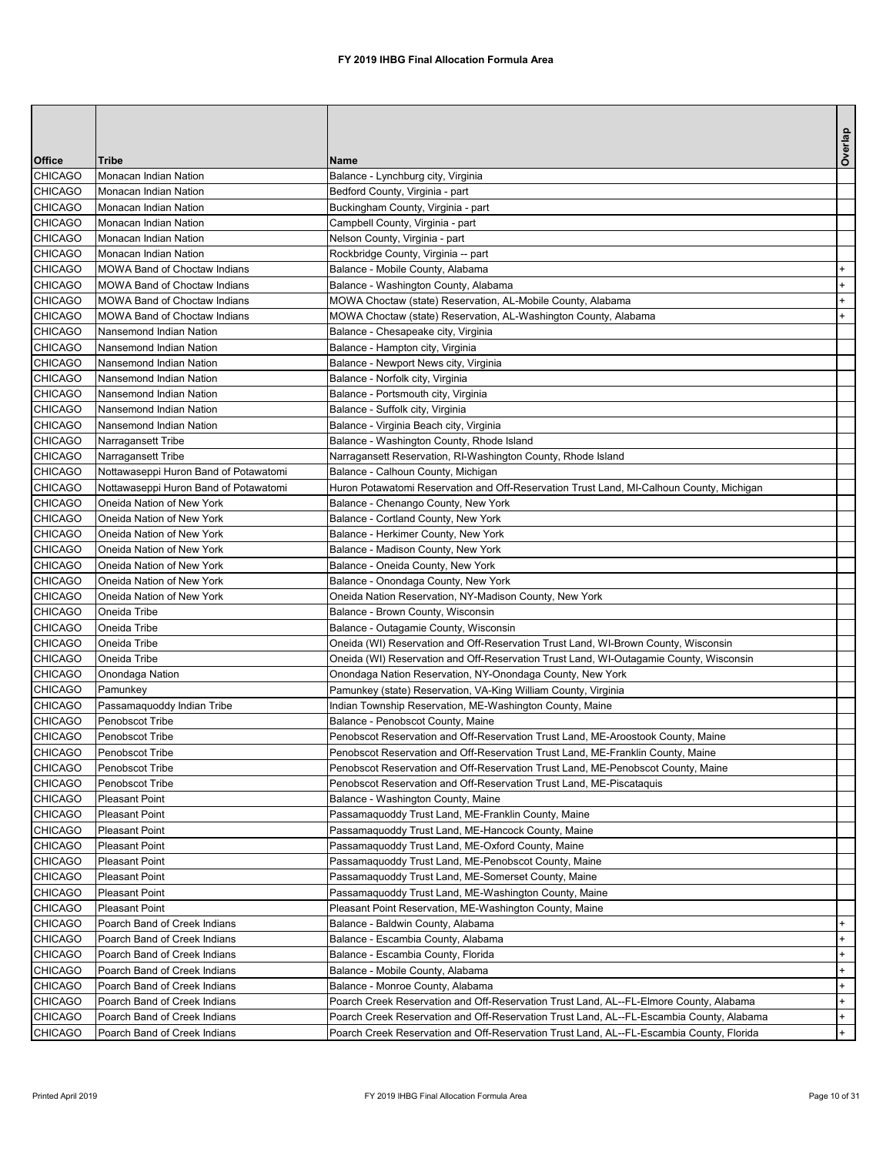|                                  |                                                              |                                                                                                            | Overlap    |
|----------------------------------|--------------------------------------------------------------|------------------------------------------------------------------------------------------------------------|------------|
| <b>Office</b>                    | <b>Tribe</b>                                                 | Name                                                                                                       |            |
| <b>CHICAGO</b>                   | Monacan Indian Nation                                        | Balance - Lynchburg city, Virginia                                                                         |            |
| <b>CHICAGO</b>                   | Monacan Indian Nation                                        | Bedford County, Virginia - part                                                                            |            |
| <b>CHICAGO</b>                   | Monacan Indian Nation                                        | Buckingham County, Virginia - part                                                                         |            |
| <b>CHICAGO</b>                   | Monacan Indian Nation                                        | Campbell County, Virginia - part                                                                           |            |
| <b>CHICAGO</b>                   | Monacan Indian Nation                                        | Nelson County, Virginia - part                                                                             |            |
| <b>CHICAGO</b>                   | Monacan Indian Nation                                        | Rockbridge County, Virginia -- part                                                                        |            |
| <b>CHICAGO</b><br><b>CHICAGO</b> | MOWA Band of Choctaw Indians<br>MOWA Band of Choctaw Indians | Balance - Mobile County, Alabama<br>Balance - Washington County, Alabama                                   | $+$<br>$+$ |
| <b>CHICAGO</b>                   | MOWA Band of Choctaw Indians                                 | MOWA Choctaw (state) Reservation, AL-Mobile County, Alabama                                                | $+$        |
| <b>CHICAGO</b>                   | MOWA Band of Choctaw Indians                                 | MOWA Choctaw (state) Reservation, AL-Washington County, Alabama                                            | $+$        |
| <b>CHICAGO</b>                   | Nansemond Indian Nation                                      | Balance - Chesapeake city, Virginia                                                                        |            |
| <b>CHICAGO</b>                   | Nansemond Indian Nation                                      | Balance - Hampton city, Virginia                                                                           |            |
| <b>CHICAGO</b>                   | Nansemond Indian Nation                                      | Balance - Newport News city, Virginia                                                                      |            |
| <b>CHICAGO</b>                   | Nansemond Indian Nation                                      | Balance - Norfolk city, Virginia                                                                           |            |
| <b>CHICAGO</b>                   | Nansemond Indian Nation                                      | Balance - Portsmouth city, Virginia                                                                        |            |
| <b>CHICAGO</b>                   | Nansemond Indian Nation                                      | Balance - Suffolk city, Virginia                                                                           |            |
| <b>CHICAGO</b>                   | Nansemond Indian Nation                                      | Balance - Virginia Beach city, Virginia                                                                    |            |
| <b>CHICAGO</b>                   | Narragansett Tribe                                           | Balance - Washington County, Rhode Island                                                                  |            |
| <b>CHICAGO</b>                   | Narragansett Tribe                                           | Narragansett Reservation, RI-Washington County, Rhode Island                                               |            |
| <b>CHICAGO</b>                   | Nottawaseppi Huron Band of Potawatomi                        | Balance - Calhoun County, Michigan                                                                         |            |
| <b>CHICAGO</b>                   | Nottawaseppi Huron Band of Potawatomi                        | Huron Potawatomi Reservation and Off-Reservation Trust Land, MI-Calhoun County, Michigan                   |            |
| <b>CHICAGO</b>                   | Oneida Nation of New York                                    | Balance - Chenango County, New York                                                                        |            |
| <b>CHICAGO</b>                   | Oneida Nation of New York                                    | Balance - Cortland County, New York                                                                        |            |
| <b>CHICAGO</b>                   | Oneida Nation of New York                                    | Balance - Herkimer County, New York                                                                        |            |
| <b>CHICAGO</b>                   | <b>Oneida Nation of New York</b>                             | Balance - Madison County, New York                                                                         |            |
| <b>CHICAGO</b>                   | Oneida Nation of New York                                    | Balance - Oneida County, New York                                                                          |            |
| <b>CHICAGO</b>                   | Oneida Nation of New York                                    | Balance - Onondaga County, New York                                                                        |            |
| <b>CHICAGO</b>                   | Oneida Nation of New York                                    | Oneida Nation Reservation, NY-Madison County, New York                                                     |            |
| <b>CHICAGO</b>                   | Oneida Tribe                                                 | Balance - Brown County, Wisconsin                                                                          |            |
| <b>CHICAGO</b>                   | Oneida Tribe                                                 | Balance - Outagamie County, Wisconsin                                                                      |            |
| <b>CHICAGO</b>                   | Oneida Tribe                                                 | Oneida (WI) Reservation and Off-Reservation Trust Land, WI-Brown County, Wisconsin                         |            |
| <b>CHICAGO</b>                   | Oneida Tribe                                                 | Oneida (WI) Reservation and Off-Reservation Trust Land, WI-Outagamie County, Wisconsin                     |            |
| <b>CHICAGO</b>                   | Onondaga Nation                                              | Onondaga Nation Reservation, NY-Onondaga County, New York                                                  |            |
| <b>CHICAGO</b>                   | Pamunkey                                                     | Pamunkey (state) Reservation, VA-King William County, Virginia                                             |            |
| <b>CHICAGO</b>                   | Passamaquoddy Indian Tribe                                   | Indian Township Reservation, ME-Washington County, Maine                                                   |            |
| <b>CHICAGO</b>                   | Penobscot Tribe                                              | Balance - Penobscot County, Maine                                                                          |            |
| <b>CHICAGO</b>                   | Penobscot Tribe                                              | Penobscot Reservation and Off-Reservation Trust Land, ME-Aroostook County, Maine                           |            |
| <b>CHICAGO</b>                   | Penobscot Tribe                                              | Penobscot Reservation and Off-Reservation Trust Land, ME-Franklin County, Maine                            |            |
| <b>CHICAGO</b><br><b>CHICAGO</b> | Penobscot Tribe                                              | Penobscot Reservation and Off-Reservation Trust Land, ME-Penobscot County, Maine                           |            |
| <b>CHICAGO</b>                   | Penobscot Tribe<br>Pleasant Point                            | Penobscot Reservation and Off-Reservation Trust Land, ME-Piscataquis<br>Balance - Washington County, Maine |            |
| <b>CHICAGO</b>                   | <b>Pleasant Point</b>                                        | Passamaquoddy Trust Land, ME-Franklin County, Maine                                                        |            |
| <b>CHICAGO</b>                   | Pleasant Point                                               | Passamaquoddy Trust Land, ME-Hancock County, Maine                                                         |            |
| <b>CHICAGO</b>                   | <b>Pleasant Point</b>                                        | Passamaquoddy Trust Land, ME-Oxford County, Maine                                                          |            |
| <b>CHICAGO</b>                   | <b>Pleasant Point</b>                                        | Passamaquoddy Trust Land, ME-Penobscot County, Maine                                                       |            |
| <b>CHICAGO</b>                   | Pleasant Point                                               | Passamaquoddy Trust Land, ME-Somerset County, Maine                                                        |            |
| <b>CHICAGO</b>                   | <b>Pleasant Point</b>                                        | Passamaquoddy Trust Land, ME-Washington County, Maine                                                      |            |
| <b>CHICAGO</b>                   | <b>Pleasant Point</b>                                        | Pleasant Point Reservation, ME-Washington County, Maine                                                    |            |
| <b>CHICAGO</b>                   | Poarch Band of Creek Indians                                 | Balance - Baldwin County, Alabama                                                                          | $+$        |
| <b>CHICAGO</b>                   | Poarch Band of Creek Indians                                 | Balance - Escambia County, Alabama                                                                         | $+$        |
| <b>CHICAGO</b>                   | Poarch Band of Creek Indians                                 | Balance - Escambia County, Florida                                                                         | $+$        |
| <b>CHICAGO</b>                   | Poarch Band of Creek Indians                                 | Balance - Mobile County, Alabama                                                                           | $+$        |
| <b>CHICAGO</b>                   | Poarch Band of Creek Indians                                 | Balance - Monroe County, Alabama                                                                           | $+$        |
| <b>CHICAGO</b>                   | Poarch Band of Creek Indians                                 | Poarch Creek Reservation and Off-Reservation Trust Land, AL--FL-Elmore County, Alabama                     | $+$        |
| <b>CHICAGO</b>                   | Poarch Band of Creek Indians                                 | Poarch Creek Reservation and Off-Reservation Trust Land, AL--FL-Escambia County, Alabama                   | $+$        |
| <b>CHICAGO</b>                   | Poarch Band of Creek Indians                                 | Poarch Creek Reservation and Off-Reservation Trust Land, AL--FL-Escambia County, Florida                   | $+$        |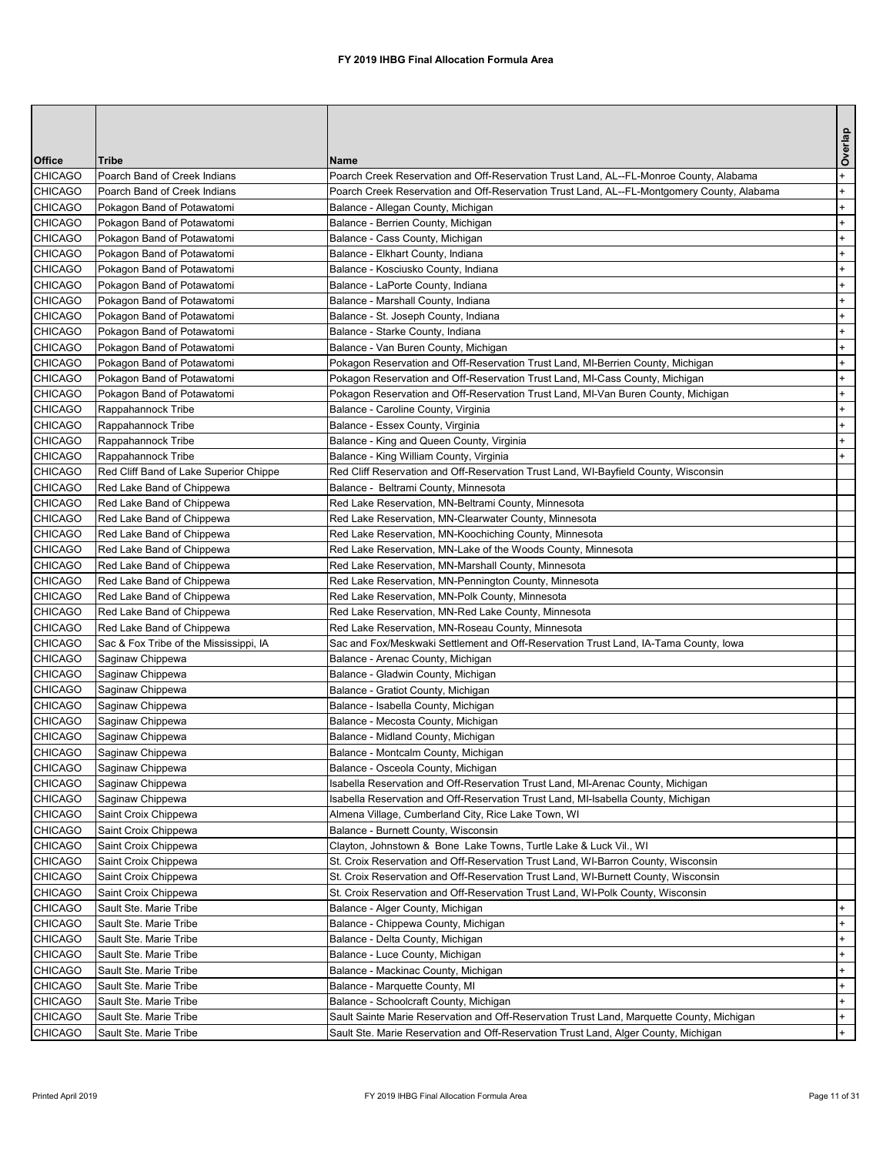|                                  |                                                          |                                                                                                                       | Overlap    |
|----------------------------------|----------------------------------------------------------|-----------------------------------------------------------------------------------------------------------------------|------------|
| <b>Office</b>                    | <b>Tribe</b>                                             | Name                                                                                                                  |            |
| <b>CHICAGO</b>                   | Poarch Band of Creek Indians                             | Poarch Creek Reservation and Off-Reservation Trust Land, AL--FL-Monroe County, Alabama                                | $+$        |
| <b>CHICAGO</b>                   | Poarch Band of Creek Indians                             | Poarch Creek Reservation and Off-Reservation Trust Land, AL--FL-Montgomery County, Alabama                            | $+$        |
| <b>CHICAGO</b>                   | Pokagon Band of Potawatomi                               | Balance - Allegan County, Michigan                                                                                    | $+$        |
| <b>CHICAGO</b>                   | Pokagon Band of Potawatomi                               | Balance - Berrien County, Michigan                                                                                    | $+$        |
| <b>CHICAGO</b>                   | Pokagon Band of Potawatomi                               | Balance - Cass County, Michigan                                                                                       | $+$        |
| <b>CHICAGO</b>                   | Pokagon Band of Potawatomi                               | Balance - Elkhart County, Indiana                                                                                     | $+$        |
| <b>CHICAGO</b>                   | Pokagon Band of Potawatomi                               | Balance - Kosciusko County, Indiana                                                                                   | $+$        |
| <b>CHICAGO</b>                   | Pokagon Band of Potawatomi                               | Balance - LaPorte County, Indiana                                                                                     | $+$        |
| <b>CHICAGO</b><br><b>CHICAGO</b> | Pokagon Band of Potawatomi<br>Pokagon Band of Potawatomi | Balance - Marshall County, Indiana                                                                                    | $+$<br>$+$ |
| <b>CHICAGO</b>                   | Pokagon Band of Potawatomi                               | Balance - St. Joseph County, Indiana<br>Balance - Starke County, Indiana                                              | $+$        |
| <b>CHICAGO</b>                   | Pokagon Band of Potawatomi                               | Balance - Van Buren County, Michigan                                                                                  | $+$        |
| <b>CHICAGO</b>                   | Pokagon Band of Potawatomi                               | Pokagon Reservation and Off-Reservation Trust Land, MI-Berrien County, Michigan                                       | $+$        |
| <b>CHICAGO</b>                   | Pokagon Band of Potawatomi                               | Pokagon Reservation and Off-Reservation Trust Land, MI-Cass County, Michigan                                          | $+$        |
| <b>CHICAGO</b>                   | Pokagon Band of Potawatomi                               | Pokagon Reservation and Off-Reservation Trust Land, MI-Van Buren County, Michigan                                     | $+$        |
| <b>CHICAGO</b>                   | Rappahannock Tribe                                       | Balance - Caroline County, Virginia                                                                                   | $+$        |
| <b>CHICAGO</b>                   | Rappahannock Tribe                                       | Balance - Essex County, Virginia                                                                                      | $+$        |
| <b>CHICAGO</b>                   | Rappahannock Tribe                                       | Balance - King and Queen County, Virginia                                                                             | $+$        |
| <b>CHICAGO</b>                   | Rappahannock Tribe                                       | Balance - King William County, Virginia                                                                               | $+$        |
| <b>CHICAGO</b>                   | Red Cliff Band of Lake Superior Chippe                   | Red Cliff Reservation and Off-Reservation Trust Land, WI-Bayfield County, Wisconsin                                   |            |
| <b>CHICAGO</b>                   | Red Lake Band of Chippewa                                | Balance - Beltrami County, Minnesota                                                                                  |            |
| <b>CHICAGO</b>                   | Red Lake Band of Chippewa                                | Red Lake Reservation, MN-Beltrami County, Minnesota                                                                   |            |
| <b>CHICAGO</b>                   | Red Lake Band of Chippewa                                | Red Lake Reservation, MN-Clearwater County, Minnesota                                                                 |            |
| <b>CHICAGO</b>                   | Red Lake Band of Chippewa                                | Red Lake Reservation, MN-Koochiching County, Minnesota                                                                |            |
| <b>CHICAGO</b>                   | Red Lake Band of Chippewa                                | Red Lake Reservation, MN-Lake of the Woods County, Minnesota                                                          |            |
| <b>CHICAGO</b>                   | Red Lake Band of Chippewa                                | Red Lake Reservation, MN-Marshall County, Minnesota                                                                   |            |
| <b>CHICAGO</b>                   | Red Lake Band of Chippewa                                | Red Lake Reservation, MN-Pennington County, Minnesota                                                                 |            |
| <b>CHICAGO</b>                   | Red Lake Band of Chippewa                                | Red Lake Reservation, MN-Polk County, Minnesota                                                                       |            |
| <b>CHICAGO</b>                   | Red Lake Band of Chippewa                                | Red Lake Reservation, MN-Red Lake County, Minnesota                                                                   |            |
| <b>CHICAGO</b>                   | Red Lake Band of Chippewa                                | Red Lake Reservation, MN-Roseau County, Minnesota                                                                     |            |
| <b>CHICAGO</b>                   | Sac & Fox Tribe of the Mississippi, IA                   | Sac and Fox/Meskwaki Settlement and Off-Reservation Trust Land, IA-Tama County, lowa                                  |            |
| <b>CHICAGO</b>                   | Saginaw Chippewa                                         | Balance - Arenac County, Michigan                                                                                     |            |
| <b>CHICAGO</b>                   | Saginaw Chippewa                                         | Balance - Gladwin County, Michigan                                                                                    |            |
| <b>CHICAGO</b>                   | Saginaw Chippewa                                         | Balance - Gratiot County, Michigan                                                                                    |            |
| <b>CHICAGO</b>                   | Saginaw Chippewa                                         | Balance - Isabella County, Michigan                                                                                   |            |
| <b>CHICAGO</b>                   | Saginaw Chippewa                                         | Balance - Mecosta County, Michigan                                                                                    |            |
| <b>CHICAGO</b>                   | Saginaw Chippewa                                         | Balance - Midland County, Michigan                                                                                    |            |
| <b>CHICAGO</b><br><b>CHICAGO</b> | Saginaw Chippewa                                         | Balance - Montcalm County, Michigan                                                                                   |            |
| <b>CHICAGO</b>                   | Saginaw Chippewa<br>Saginaw Chippewa                     | Balance - Osceola County, Michigan<br>Isabella Reservation and Off-Reservation Trust Land, MI-Arenac County, Michigan |            |
| <b>CHICAGO</b>                   | Saginaw Chippewa                                         | Isabella Reservation and Off-Reservation Trust Land, MI-Isabella County, Michigan                                     |            |
| <b>CHICAGO</b>                   | Saint Croix Chippewa                                     | Almena Village, Cumberland City, Rice Lake Town, WI                                                                   |            |
| <b>CHICAGO</b>                   | Saint Croix Chippewa                                     | Balance - Burnett County, Wisconsin                                                                                   |            |
| <b>CHICAGO</b>                   | Saint Croix Chippewa                                     | Clayton, Johnstown & Bone Lake Towns, Turtle Lake & Luck Vil., WI                                                     |            |
| <b>CHICAGO</b>                   | Saint Croix Chippewa                                     | St. Croix Reservation and Off-Reservation Trust Land, WI-Barron County, Wisconsin                                     |            |
| <b>CHICAGO</b>                   | Saint Croix Chippewa                                     | St. Croix Reservation and Off-Reservation Trust Land, WI-Burnett County, Wisconsin                                    |            |
| <b>CHICAGO</b>                   | Saint Croix Chippewa                                     | St. Croix Reservation and Off-Reservation Trust Land, WI-Polk County, Wisconsin                                       |            |
| <b>CHICAGO</b>                   | Sault Ste. Marie Tribe                                   | Balance - Alger County, Michigan                                                                                      | $+$        |
| <b>CHICAGO</b>                   | Sault Ste. Marie Tribe                                   | Balance - Chippewa County, Michigan                                                                                   | $+$        |
| <b>CHICAGO</b>                   | Sault Ste. Marie Tribe                                   | Balance - Delta County, Michigan                                                                                      | $+$        |
| <b>CHICAGO</b>                   | Sault Ste. Marie Tribe                                   | Balance - Luce County, Michigan                                                                                       | $+$        |
| <b>CHICAGO</b>                   | Sault Ste. Marie Tribe                                   | Balance - Mackinac County, Michigan                                                                                   | $+$        |
| <b>CHICAGO</b>                   | Sault Ste. Marie Tribe                                   | Balance - Marquette County, MI                                                                                        | $+$        |
| <b>CHICAGO</b>                   | Sault Ste. Marie Tribe                                   | Balance - Schoolcraft County, Michigan                                                                                | $+$        |
| <b>CHICAGO</b>                   | Sault Ste. Marie Tribe                                   | Sault Sainte Marie Reservation and Off-Reservation Trust Land, Marquette County, Michigan                             | $+$        |
| <b>CHICAGO</b>                   | Sault Ste. Marie Tribe                                   | Sault Ste. Marie Reservation and Off-Reservation Trust Land, Alger County, Michigan                                   | $+$        |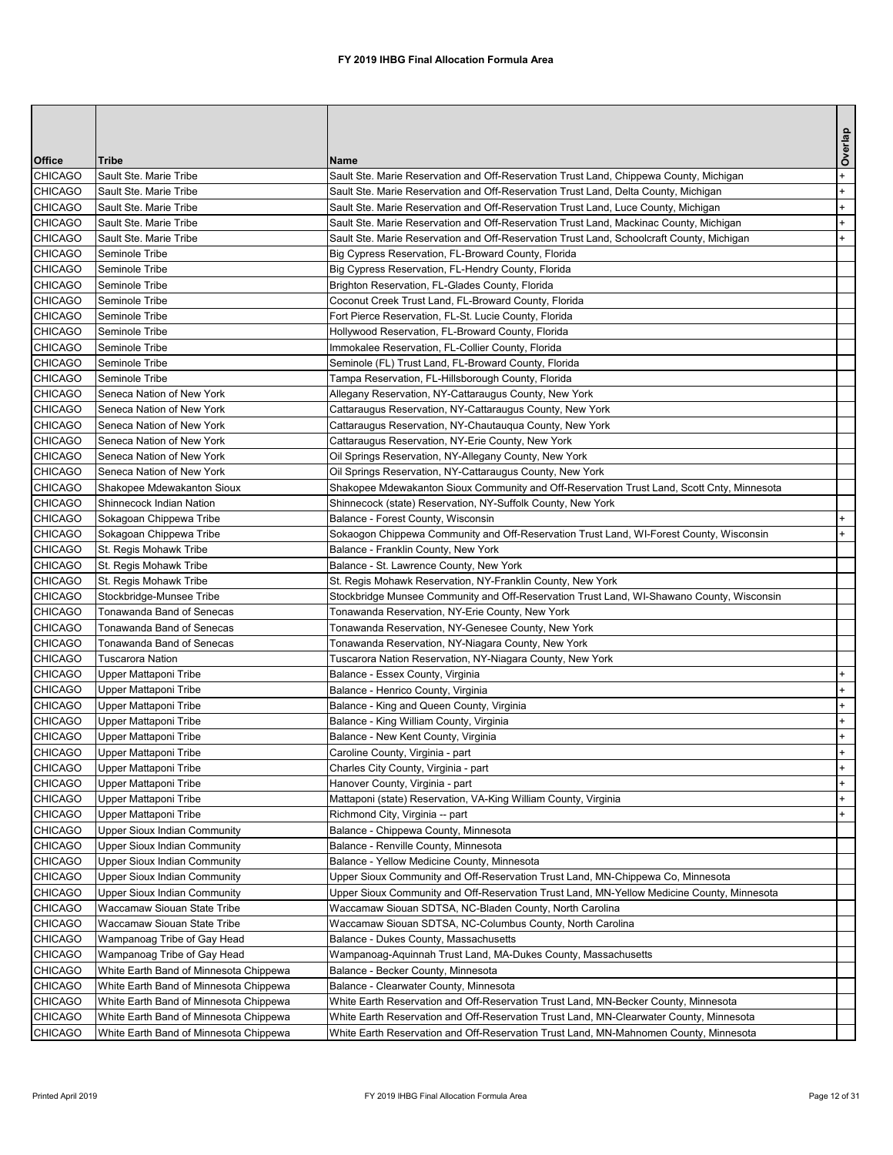|                                  |                                                        |                                                                                                                                                        | Overlap              |
|----------------------------------|--------------------------------------------------------|--------------------------------------------------------------------------------------------------------------------------------------------------------|----------------------|
| <b>Office</b>                    | <b>Tribe</b>                                           | lName                                                                                                                                                  |                      |
| <b>CHICAGO</b>                   | Sault Ste. Marie Tribe                                 | Sault Ste. Marie Reservation and Off-Reservation Trust Land, Chippewa County, Michigan                                                                 | $\ddot{\phantom{1}}$ |
| <b>CHICAGO</b>                   | Sault Ste. Marie Tribe                                 | Sault Ste. Marie Reservation and Off-Reservation Trust Land, Delta County, Michigan                                                                    | $+$                  |
| <b>CHICAGO</b>                   | Sault Ste. Marie Tribe                                 | Sault Ste. Marie Reservation and Off-Reservation Trust Land, Luce County, Michigan                                                                     | $+$                  |
| <b>CHICAGO</b>                   | Sault Ste. Marie Tribe                                 | Sault Ste. Marie Reservation and Off-Reservation Trust Land, Mackinac County, Michigan                                                                 |                      |
| <b>CHICAGO</b>                   | Sault Ste. Marie Tribe                                 | Sault Ste. Marie Reservation and Off-Reservation Trust Land, Schoolcraft County, Michigan                                                              | $+$                  |
| <b>CHICAGO</b>                   | Seminole Tribe                                         | Big Cypress Reservation, FL-Broward County, Florida                                                                                                    |                      |
| <b>CHICAGO</b>                   | Seminole Tribe                                         | Big Cypress Reservation, FL-Hendry County, Florida                                                                                                     |                      |
| <b>CHICAGO</b>                   | Seminole Tribe                                         | Brighton Reservation, FL-Glades County, Florida                                                                                                        |                      |
| <b>CHICAGO</b>                   | Seminole Tribe                                         | Coconut Creek Trust Land, FL-Broward County, Florida                                                                                                   |                      |
| <b>CHICAGO</b>                   | Seminole Tribe                                         | Fort Pierce Reservation, FL-St. Lucie County, Florida                                                                                                  |                      |
| <b>CHICAGO</b>                   | Seminole Tribe                                         | Hollywood Reservation, FL-Broward County, Florida                                                                                                      |                      |
| <b>CHICAGO</b>                   | Seminole Tribe                                         | Immokalee Reservation, FL-Collier County, Florida                                                                                                      |                      |
| <b>CHICAGO</b>                   | Seminole Tribe                                         | Seminole (FL) Trust Land, FL-Broward County, Florida                                                                                                   |                      |
| <b>CHICAGO</b>                   | Seminole Tribe                                         | Tampa Reservation, FL-Hillsborough County, Florida                                                                                                     |                      |
| <b>CHICAGO</b>                   | Seneca Nation of New York                              | Allegany Reservation, NY-Cattaraugus County, New York                                                                                                  |                      |
| <b>CHICAGO</b>                   | Seneca Nation of New York                              | Cattaraugus Reservation, NY-Cattaraugus County, New York                                                                                               |                      |
| <b>CHICAGO</b>                   | Seneca Nation of New York                              | Cattaraugus Reservation, NY-Chautauqua County, New York                                                                                                |                      |
| <b>CHICAGO</b>                   | Seneca Nation of New York<br>Seneca Nation of New York | Cattaraugus Reservation, NY-Erie County, New York                                                                                                      |                      |
| <b>CHICAGO</b>                   |                                                        | Oil Springs Reservation, NY-Allegany County, New York                                                                                                  |                      |
| <b>CHICAGO</b><br><b>CHICAGO</b> | Seneca Nation of New York                              | Oil Springs Reservation, NY-Cattaraugus County, New York<br>Shakopee Mdewakanton Sioux Community and Off-Reservation Trust Land, Scott Cnty, Minnesota |                      |
| <b>CHICAGO</b>                   | Shakopee Mdewakanton Sioux<br>Shinnecock Indian Nation | Shinnecock (state) Reservation, NY-Suffolk County, New York                                                                                            |                      |
| <b>CHICAGO</b>                   | Sokagoan Chippewa Tribe                                | Balance - Forest County, Wisconsin                                                                                                                     | $+$                  |
| <b>CHICAGO</b>                   | Sokagoan Chippewa Tribe                                | Sokaogon Chippewa Community and Off-Reservation Trust Land, WI-Forest County, Wisconsin                                                                | $+$                  |
| <b>CHICAGO</b>                   | St. Regis Mohawk Tribe                                 | Balance - Franklin County, New York                                                                                                                    |                      |
| <b>CHICAGO</b>                   | St. Regis Mohawk Tribe                                 | Balance - St. Lawrence County, New York                                                                                                                |                      |
| <b>CHICAGO</b>                   | St. Regis Mohawk Tribe                                 | St. Regis Mohawk Reservation, NY-Franklin County, New York                                                                                             |                      |
| <b>CHICAGO</b>                   | Stockbridge-Munsee Tribe                               | Stockbridge Munsee Community and Off-Reservation Trust Land, WI-Shawano County, Wisconsin                                                              |                      |
| <b>CHICAGO</b>                   | Tonawanda Band of Senecas                              | Tonawanda Reservation, NY-Erie County, New York                                                                                                        |                      |
| <b>CHICAGO</b>                   | Tonawanda Band of Senecas                              | Tonawanda Reservation, NY-Genesee County, New York                                                                                                     |                      |
| <b>CHICAGO</b>                   | Tonawanda Band of Senecas                              | Tonawanda Reservation, NY-Niagara County, New York                                                                                                     |                      |
| <b>CHICAGO</b>                   | <b>Tuscarora Nation</b>                                | Tuscarora Nation Reservation, NY-Niagara County, New York                                                                                              |                      |
| <b>CHICAGO</b>                   | Upper Mattaponi Tribe                                  | Balance - Essex County, Virginia                                                                                                                       |                      |
| <b>CHICAGO</b>                   | Upper Mattaponi Tribe                                  | Balance - Henrico County, Virginia                                                                                                                     |                      |
| <b>CHICAGO</b>                   | Upper Mattaponi Tribe                                  | Balance - King and Queen County, Virginia                                                                                                              |                      |
| <b>CHICAGO</b>                   | Upper Mattaponi Tribe                                  | Balance - King William County, Virginia                                                                                                                |                      |
| <b>CHICAGO</b>                   | Upper Mattaponi Tribe                                  | Balance - New Kent County, Virginia                                                                                                                    |                      |
| <b>CHICAGO</b>                   | Upper Mattaponi Tribe                                  | Caroline County, Virginia - part                                                                                                                       |                      |
| <b>CHICAGO</b>                   | Upper Mattaponi Tribe                                  | Charles City County, Virginia - part                                                                                                                   |                      |
| <b>CHICAGO</b>                   | Upper Mattaponi Tribe                                  | Hanover County, Virginia - part                                                                                                                        |                      |
| <b>CHICAGO</b>                   | Upper Mattaponi Tribe                                  | Mattaponi (state) Reservation, VA-King William County, Virginia                                                                                        |                      |
| <b>CHICAGO</b>                   | Upper Mattaponi Tribe                                  | Richmond City, Virginia -- part                                                                                                                        |                      |
| <b>CHICAGO</b>                   | <b>Upper Sioux Indian Community</b>                    | Balance - Chippewa County, Minnesota                                                                                                                   |                      |
| <b>CHICAGO</b>                   | <b>Upper Sioux Indian Community</b>                    | Balance - Renville County, Minnesota                                                                                                                   |                      |
| <b>CHICAGO</b>                   | Upper Sioux Indian Community                           | Balance - Yellow Medicine County, Minnesota                                                                                                            |                      |
| <b>CHICAGO</b>                   | <b>Upper Sioux Indian Community</b>                    | Upper Sioux Community and Off-Reservation Trust Land, MN-Chippewa Co, Minnesota                                                                        |                      |
| <b>CHICAGO</b>                   | <b>Upper Sioux Indian Community</b>                    | Upper Sioux Community and Off-Reservation Trust Land, MN-Yellow Medicine County, Minnesota                                                             |                      |
| <b>CHICAGO</b>                   | <b>Waccamaw Siouan State Tribe</b>                     | Waccamaw Siouan SDTSA, NC-Bladen County, North Carolina                                                                                                |                      |
| <b>CHICAGO</b>                   | <b>Waccamaw Siouan State Tribe</b>                     | Waccamaw Siouan SDTSA, NC-Columbus County, North Carolina                                                                                              |                      |
| <b>CHICAGO</b>                   | Wampanoag Tribe of Gay Head                            | Balance - Dukes County, Massachusetts                                                                                                                  |                      |
| <b>CHICAGO</b>                   | Wampanoag Tribe of Gay Head                            | Wampanoag-Aquinnah Trust Land, MA-Dukes County, Massachusetts                                                                                          |                      |
| <b>CHICAGO</b>                   | White Earth Band of Minnesota Chippewa                 | Balance - Becker County, Minnesota                                                                                                                     |                      |
| <b>CHICAGO</b>                   | White Earth Band of Minnesota Chippewa                 | Balance - Clearwater County, Minnesota                                                                                                                 |                      |
| <b>CHICAGO</b>                   | White Earth Band of Minnesota Chippewa                 | White Earth Reservation and Off-Reservation Trust Land, MN-Becker County, Minnesota                                                                    |                      |
| <b>CHICAGO</b>                   | White Earth Band of Minnesota Chippewa                 | White Earth Reservation and Off-Reservation Trust Land, MN-Clearwater County, Minnesota                                                                |                      |
|                                  | CHICAGO   White Earth Band of Minnesota Chippewa       | White Earth Reservation and Off-Reservation Trust Land, MN-Mahnomen County, Minnesota                                                                  |                      |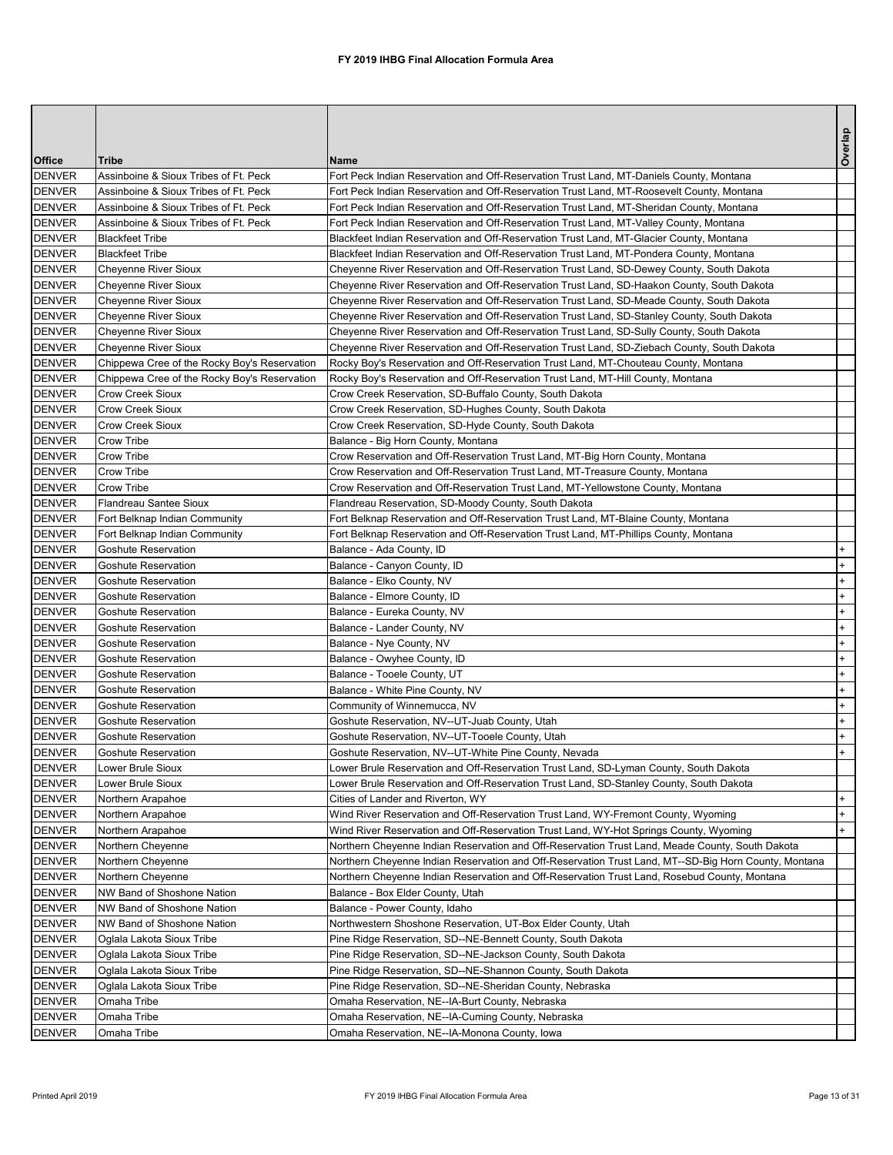|               |                                              |                                                                                                      | Overlap |
|---------------|----------------------------------------------|------------------------------------------------------------------------------------------------------|---------|
| <b>Office</b> | <b>Tribe</b>                                 | <b>Name</b>                                                                                          |         |
| <b>DENVER</b> | Assinboine & Sioux Tribes of Ft. Peck        | Fort Peck Indian Reservation and Off-Reservation Trust Land, MT-Daniels County, Montana              |         |
| <b>DENVER</b> | Assinboine & Sioux Tribes of Ft. Peck        | Fort Peck Indian Reservation and Off-Reservation Trust Land, MT-Roosevelt County, Montana            |         |
| <b>DENVER</b> | Assinboine & Sioux Tribes of Ft. Peck        | Fort Peck Indian Reservation and Off-Reservation Trust Land, MT-Sheridan County, Montana             |         |
| <b>DENVER</b> | Assinboine & Sioux Tribes of Ft. Peck        | Fort Peck Indian Reservation and Off-Reservation Trust Land, MT-Valley County, Montana               |         |
| <b>DENVER</b> | <b>Blackfeet Tribe</b>                       | Blackfeet Indian Reservation and Off-Reservation Trust Land, MT-Glacier County, Montana              |         |
| <b>DENVER</b> | <b>Blackfeet Tribe</b>                       | Blackfeet Indian Reservation and Off-Reservation Trust Land, MT-Pondera County, Montana              |         |
| <b>DENVER</b> | <b>Cheyenne River Sioux</b>                  | Cheyenne River Reservation and Off-Reservation Trust Land, SD-Dewey County, South Dakota             |         |
| <b>DENVER</b> | <b>Cheyenne River Sioux</b>                  | Cheyenne River Reservation and Off-Reservation Trust Land, SD-Haakon County, South Dakota            |         |
| <b>DENVER</b> | <b>Cheyenne River Sioux</b>                  | Cheyenne River Reservation and Off-Reservation Trust Land, SD-Meade County, South Dakota             |         |
| <b>DENVER</b> | <b>Cheyenne River Sioux</b>                  | Cheyenne River Reservation and Off-Reservation Trust Land, SD-Stanley County, South Dakota           |         |
| <b>DENVER</b> | Cheyenne River Sioux                         | Cheyenne River Reservation and Off-Reservation Trust Land, SD-Sully County, South Dakota             |         |
| <b>DENVER</b> | <b>Cheyenne River Sioux</b>                  | Cheyenne River Reservation and Off-Reservation Trust Land, SD-Ziebach County, South Dakota           |         |
| <b>DENVER</b> | Chippewa Cree of the Rocky Boy's Reservation | Rocky Boy's Reservation and Off-Reservation Trust Land, MT-Chouteau County, Montana                  |         |
| <b>DENVER</b> | Chippewa Cree of the Rocky Boy's Reservation | Rocky Boy's Reservation and Off-Reservation Trust Land, MT-Hill County, Montana                      |         |
| <b>DENVER</b> | <b>Crow Creek Sioux</b>                      | Crow Creek Reservation, SD-Buffalo County, South Dakota                                              |         |
| <b>DENVER</b> | <b>Crow Creek Sioux</b>                      | Crow Creek Reservation, SD-Hughes County, South Dakota                                               |         |
| <b>DENVER</b> | <b>Crow Creek Sioux</b>                      | Crow Creek Reservation, SD-Hyde County, South Dakota                                                 |         |
| <b>DENVER</b> | <b>Crow Tribe</b>                            | Balance - Big Horn County, Montana                                                                   |         |
| <b>DENVER</b> | <b>Crow Tribe</b>                            | Crow Reservation and Off-Reservation Trust Land, MT-Big Horn County, Montana                         |         |
| <b>DENVER</b> | <b>Crow Tribe</b>                            | Crow Reservation and Off-Reservation Trust Land, MT-Treasure County, Montana                         |         |
| <b>DENVER</b> | <b>Crow Tribe</b>                            | Crow Reservation and Off-Reservation Trust Land, MT-Yellowstone County, Montana                      |         |
| <b>DENVER</b> | Flandreau Santee Sioux                       | Flandreau Reservation, SD-Moody County, South Dakota                                                 |         |
| <b>DENVER</b> | Fort Belknap Indian Community                | Fort Belknap Reservation and Off-Reservation Trust Land, MT-Blaine County, Montana                   |         |
| <b>DENVER</b> | Fort Belknap Indian Community                | Fort Belknap Reservation and Off-Reservation Trust Land, MT-Phillips County, Montana                 |         |
| <b>DENVER</b> | <b>Goshute Reservation</b>                   | Balance - Ada County, ID                                                                             | $+$     |
| <b>DENVER</b> | Goshute Reservation                          | Balance - Canyon County, ID                                                                          | $+$     |
| <b>DENVER</b> | Goshute Reservation                          | Balance - Elko County, NV                                                                            | $+$     |
| <b>DENVER</b> | <b>Goshute Reservation</b>                   | Balance - Elmore County, ID                                                                          | $+$     |
| <b>DENVER</b> | <b>Goshute Reservation</b>                   | Balance - Eureka County, NV                                                                          | $+$     |
| <b>DENVER</b> | <b>Goshute Reservation</b>                   | Balance - Lander County, NV                                                                          | $+$     |
| <b>DENVER</b> | <b>Goshute Reservation</b>                   | Balance - Nye County, NV                                                                             |         |
| <b>DENVER</b> | <b>Goshute Reservation</b>                   | Balance - Owyhee County, ID                                                                          | $+$     |
| <b>DENVER</b> | <b>Goshute Reservation</b>                   | Balance - Tooele County, UT                                                                          | $+$     |
| <b>DENVER</b> | Goshute Reservation                          | Balance - White Pine County, NV                                                                      | $+$     |
| <b>DENVER</b> | <b>Goshute Reservation</b>                   | Community of Winnemucca, NV                                                                          |         |
| <b>DENVER</b> | <b>Goshute Reservation</b>                   | Goshute Reservation, NV--UT-Juab County, Utah                                                        | $+$     |
| <b>DENVER</b> | <b>Goshute Reservation</b>                   | Goshute Reservation, NV--UT-Tooele County, Utah                                                      | $+$     |
| <b>DENVER</b> | <b>Goshute Reservation</b>                   | Goshute Reservation, NV--UT-White Pine County, Nevada                                                | $+$     |
| <b>DENVER</b> | Lower Brule Sioux                            | Lower Brule Reservation and Off-Reservation Trust Land, SD-Lyman County, South Dakota                |         |
| <b>DENVER</b> | Lower Brule Sioux                            | Lower Brule Reservation and Off-Reservation Trust Land, SD-Stanley County, South Dakota              |         |
| <b>DENVER</b> | Northern Arapahoe                            | Cities of Lander and Riverton, WY                                                                    |         |
| <b>DENVER</b> | Northern Arapahoe                            | Wind River Reservation and Off-Reservation Trust Land, WY-Fremont County, Wyoming                    | $+$     |
| <b>DENVER</b> | Northern Arapahoe                            | Wind River Reservation and Off-Reservation Trust Land, WY-Hot Springs County, Wyoming                | $+$     |
| <b>DENVER</b> | Northern Cheyenne                            | Northern Cheyenne Indian Reservation and Off-Reservation Trust Land, Meade County, South Dakota      |         |
| <b>DENVER</b> | Northern Cheyenne                            | Northern Cheyenne Indian Reservation and Off-Reservation Trust Land, MT--SD-Big Horn County, Montana |         |
| <b>DENVER</b> | Northern Cheyenne                            | Northern Cheyenne Indian Reservation and Off-Reservation Trust Land, Rosebud County, Montana         |         |
| <b>DENVER</b> | NW Band of Shoshone Nation                   | Balance - Box Elder County, Utah                                                                     |         |
| <b>DENVER</b> | NW Band of Shoshone Nation                   | Balance - Power County, Idaho                                                                        |         |
| <b>DENVER</b> | NW Band of Shoshone Nation                   | Northwestern Shoshone Reservation, UT-Box Elder County, Utah                                         |         |
| <b>DENVER</b> | Oglala Lakota Sioux Tribe                    | Pine Ridge Reservation, SD--NE-Bennett County, South Dakota                                          |         |
| <b>DENVER</b> | Oglala Lakota Sioux Tribe                    | Pine Ridge Reservation, SD--NE-Jackson County, South Dakota                                          |         |
| <b>DENVER</b> | Oglala Lakota Sioux Tribe                    | Pine Ridge Reservation, SD--NE-Shannon County, South Dakota                                          |         |
| <b>DENVER</b> | Oglala Lakota Sioux Tribe                    | Pine Ridge Reservation, SD--NE-Sheridan County, Nebraska                                             |         |
| <b>DENVER</b> | Omaha Tribe                                  | Omaha Reservation, NE--IA-Burt County, Nebraska                                                      |         |
| <b>DENVER</b> | Omaha Tribe                                  | Omaha Reservation, NE--IA-Cuming County, Nebraska                                                    |         |
|               | DENVER Omaha Tribe                           | Omaha Reservation, NE--IA-Monona County, Iowa                                                        |         |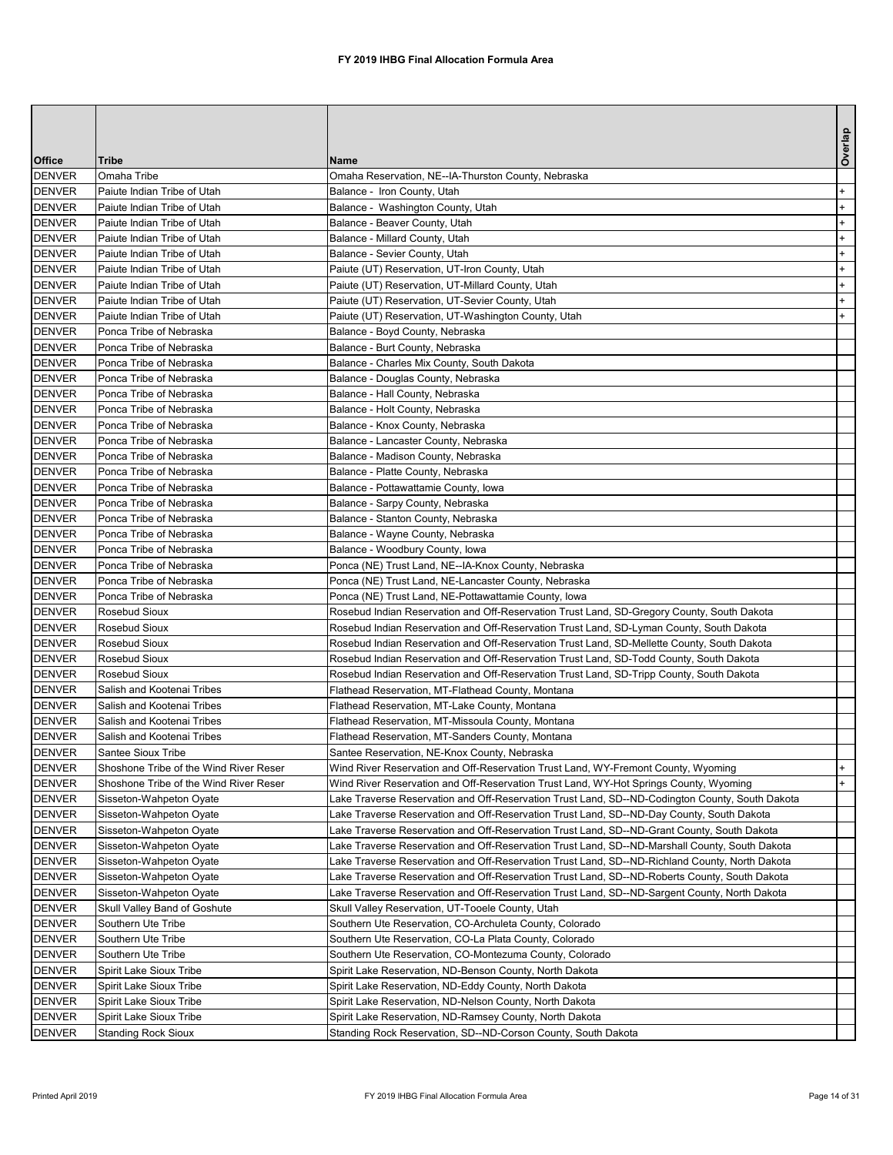|                                |                                                    |                                                                                                 | Overlap |
|--------------------------------|----------------------------------------------------|-------------------------------------------------------------------------------------------------|---------|
| <b>Office</b>                  | <b>Tribe</b>                                       | <b>Name</b>                                                                                     |         |
| <b>DENVER</b>                  | Omaha Tribe                                        | Omaha Reservation, NE--IA-Thurston County, Nebraska                                             |         |
| <b>DENVER</b>                  | Paiute Indian Tribe of Utah                        | Balance - Iron County, Utah                                                                     | $+$     |
| <b>DENVER</b>                  | Paiute Indian Tribe of Utah                        | Balance - Washington County, Utah                                                               | $+$     |
| <b>DENVER</b>                  | Paiute Indian Tribe of Utah                        | Balance - Beaver County, Utah                                                                   | $+$     |
| <b>DENVER</b>                  | Paiute Indian Tribe of Utah                        | Balance - Millard County, Utah                                                                  | $+$     |
| <b>DENVER</b>                  | Paiute Indian Tribe of Utah                        | Balance - Sevier County, Utah                                                                   | $+$     |
| <b>DENVER</b>                  | Paiute Indian Tribe of Utah                        | Paiute (UT) Reservation, UT-Iron County, Utah                                                   | $+$     |
| <b>DENVER</b>                  | Paiute Indian Tribe of Utah                        | Paiute (UT) Reservation, UT-Millard County, Utah                                                | $+$     |
| <b>DENVER</b>                  | Paiute Indian Tribe of Utah                        | Paiute (UT) Reservation, UT-Sevier County, Utah                                                 | $+$     |
| <b>DENVER</b>                  | Paiute Indian Tribe of Utah                        | Paiute (UT) Reservation, UT-Washington County, Utah                                             | $+$     |
| <b>DENVER</b>                  | Ponca Tribe of Nebraska                            | Balance - Boyd County, Nebraska                                                                 |         |
| <b>DENVER</b>                  | Ponca Tribe of Nebraska                            | Balance - Burt County, Nebraska                                                                 |         |
| <b>DENVER</b>                  | Ponca Tribe of Nebraska                            | Balance - Charles Mix County, South Dakota                                                      |         |
| <b>DENVER</b>                  | Ponca Tribe of Nebraska                            | Balance - Douglas County, Nebraska                                                              |         |
| <b>DENVER</b>                  | Ponca Tribe of Nebraska                            | Balance - Hall County, Nebraska                                                                 |         |
| <b>DENVER</b>                  | Ponca Tribe of Nebraska                            | Balance - Holt County, Nebraska                                                                 |         |
| <b>DENVER</b>                  | Ponca Tribe of Nebraska                            | Balance - Knox County, Nebraska                                                                 |         |
| <b>DENVER</b>                  | Ponca Tribe of Nebraska                            | Balance - Lancaster County, Nebraska                                                            |         |
| <b>DENVER</b>                  | Ponca Tribe of Nebraska                            | Balance - Madison County, Nebraska                                                              |         |
| <b>DENVER</b><br><b>DENVER</b> | Ponca Tribe of Nebraska<br>Ponca Tribe of Nebraska | Balance - Platte County, Nebraska                                                               |         |
|                                | Ponca Tribe of Nebraska                            | Balance - Pottawattamie County, Iowa                                                            |         |
| <b>DENVER</b><br><b>DENVER</b> | Ponca Tribe of Nebraska                            | Balance - Sarpy County, Nebraska<br>Balance - Stanton County, Nebraska                          |         |
| <b>DENVER</b>                  | Ponca Tribe of Nebraska                            | Balance - Wayne County, Nebraska                                                                |         |
| <b>DENVER</b>                  | Ponca Tribe of Nebraska                            | Balance - Woodbury County, Iowa                                                                 |         |
| <b>DENVER</b>                  | Ponca Tribe of Nebraska                            | Ponca (NE) Trust Land, NE--IA-Knox County, Nebraska                                             |         |
| DENVER                         | Ponca Tribe of Nebraska                            | Ponca (NE) Trust Land, NE-Lancaster County, Nebraska                                            |         |
| <b>DENVER</b>                  | Ponca Tribe of Nebraska                            | Ponca (NE) Trust Land, NE-Pottawattamie County, Iowa                                            |         |
| <b>DENVER</b>                  | Rosebud Sioux                                      | Rosebud Indian Reservation and Off-Reservation Trust Land, SD-Gregory County, South Dakota      |         |
| <b>DENVER</b>                  | Rosebud Sioux                                      | Rosebud Indian Reservation and Off-Reservation Trust Land, SD-Lyman County, South Dakota        |         |
| <b>DENVER</b>                  | Rosebud Sioux                                      | Rosebud Indian Reservation and Off-Reservation Trust Land, SD-Mellette County, South Dakota     |         |
| <b>DENVER</b>                  | Rosebud Sioux                                      | Rosebud Indian Reservation and Off-Reservation Trust Land, SD-Todd County, South Dakota         |         |
| <b>DENVER</b>                  | Rosebud Sioux                                      | Rosebud Indian Reservation and Off-Reservation Trust Land, SD-Tripp County, South Dakota        |         |
| <b>DENVER</b>                  | Salish and Kootenai Tribes                         | Flathead Reservation, MT-Flathead County, Montana                                               |         |
| <b>DENVER</b>                  | Salish and Kootenai Tribes                         | Flathead Reservation, MT-Lake County, Montana                                                   |         |
| <b>DENVER</b>                  | Salish and Kootenai Tribes                         | Flathead Reservation, MT-Missoula County, Montana                                               |         |
| <b>DENVER</b>                  | Salish and Kootenai Tribes                         | Flathead Reservation, MT-Sanders County, Montana                                                |         |
| <b>DENVER</b>                  | Santee Sioux Tribe                                 | Santee Reservation, NE-Knox County, Nebraska                                                    |         |
| <b>DENVER</b>                  | Shoshone Tribe of the Wind River Reser             | Wind River Reservation and Off-Reservation Trust Land, WY-Fremont County, Wyoming               |         |
| <b>DENVER</b>                  | Shoshone Tribe of the Wind River Reser             | Wind River Reservation and Off-Reservation Trust Land, WY-Hot Springs County, Wyoming           | $+$     |
| <b>DENVER</b>                  | Sisseton-Wahpeton Oyate                            | Lake Traverse Reservation and Off-Reservation Trust Land, SD--ND-Codington County, South Dakota |         |
| <b>DENVER</b>                  | Sisseton-Wahpeton Oyate                            | Lake Traverse Reservation and Off-Reservation Trust Land, SD--ND-Day County, South Dakota       |         |
| <b>DENVER</b>                  | Sisseton-Wahpeton Oyate                            | Lake Traverse Reservation and Off-Reservation Trust Land, SD--ND-Grant County, South Dakota     |         |
| <b>DENVER</b>                  | Sisseton-Wahpeton Oyate                            | Lake Traverse Reservation and Off-Reservation Trust Land, SD--ND-Marshall County, South Dakota  |         |
| <b>DENVER</b>                  | Sisseton-Wahpeton Oyate                            | Lake Traverse Reservation and Off-Reservation Trust Land, SD--ND-Richland County, North Dakota  |         |
| <b>DENVER</b>                  | Sisseton-Wahpeton Oyate                            | Lake Traverse Reservation and Off-Reservation Trust Land, SD--ND-Roberts County, South Dakota   |         |
| <b>DENVER</b>                  | Sisseton-Wahpeton Oyate                            | Lake Traverse Reservation and Off-Reservation Trust Land, SD--ND-Sargent County, North Dakota   |         |
| <b>DENVER</b>                  | Skull Valley Band of Goshute                       | Skull Valley Reservation, UT-Tooele County, Utah                                                |         |
| <b>DENVER</b>                  | Southern Ute Tribe                                 | Southern Ute Reservation, CO-Archuleta County, Colorado                                         |         |
| <b>DENVER</b>                  | Southern Ute Tribe                                 | Southern Ute Reservation, CO-La Plata County, Colorado                                          |         |
| <b>DENVER</b>                  | Southern Ute Tribe                                 | Southern Ute Reservation, CO-Montezuma County, Colorado                                         |         |
| <b>DENVER</b>                  | <b>Spirit Lake Sioux Tribe</b>                     | Spirit Lake Reservation, ND-Benson County, North Dakota                                         |         |
| <b>DENVER</b>                  | Spirit Lake Sioux Tribe                            | Spirit Lake Reservation, ND-Eddy County, North Dakota                                           |         |
| <b>DENVER</b>                  | Spirit Lake Sioux Tribe                            | Spirit Lake Reservation, ND-Nelson County, North Dakota                                         |         |
| <b>DENVER</b>                  | Spirit Lake Sioux Tribe                            | Spirit Lake Reservation, ND-Ramsey County, North Dakota                                         |         |
| <b>IDENVER</b>                 | <b>Standing Rock Sioux</b>                         | Standing Rock Reservation, SD--ND-Corson County, South Dakota                                   |         |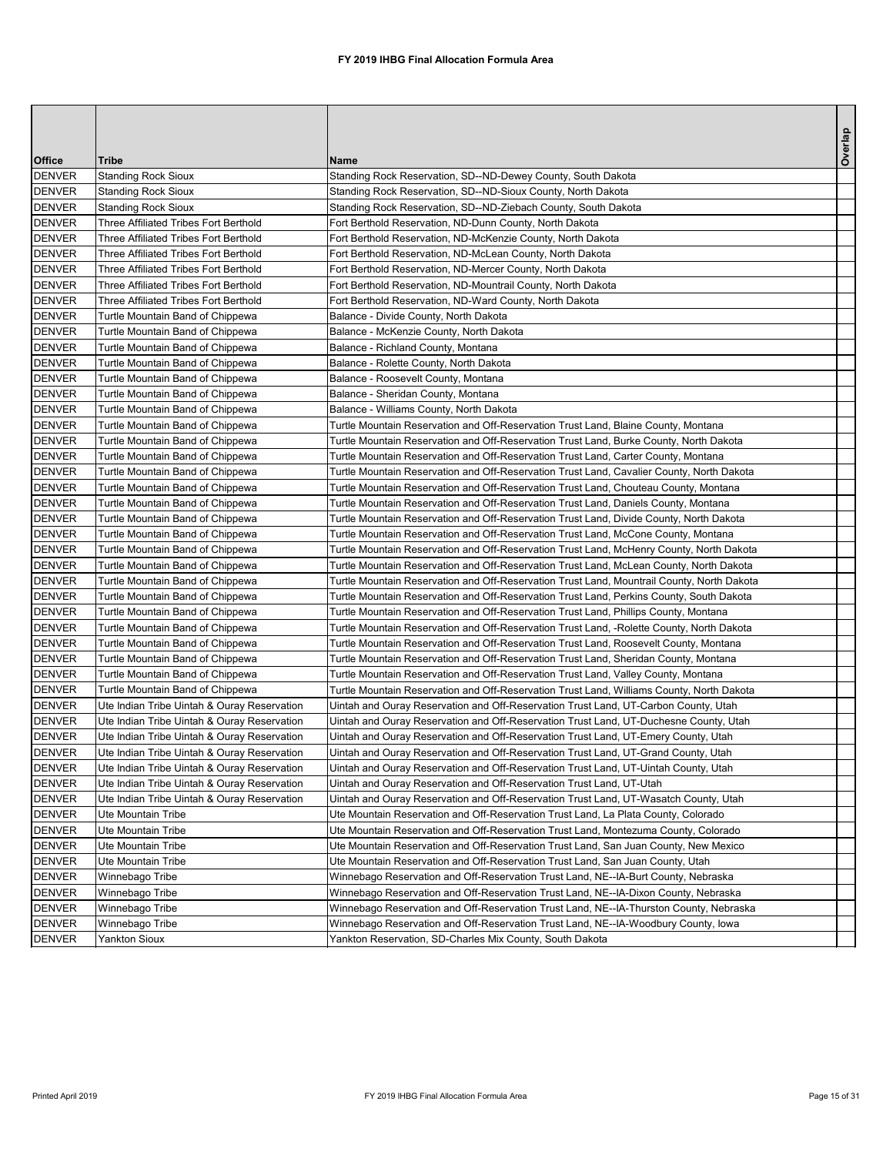| Overlap<br><b>Office</b><br><b>Tribe</b><br><b>Name</b><br><b>Standing Rock Sioux</b><br>Standing Rock Reservation, SD--ND-Dewey County, South Dakota<br><b>DENVER</b><br><b>DENVER</b><br>Standing Rock Reservation, SD--ND-Sioux County, North Dakota<br><b>Standing Rock Sioux</b><br><b>DENVER</b><br><b>Standing Rock Sioux</b><br>Standing Rock Reservation, SD--ND-Ziebach County, South Dakota<br><b>DENVER</b><br>Three Affiliated Tribes Fort Berthold<br>Fort Berthold Reservation, ND-Dunn County, North Dakota<br><b>DENVER</b><br>Three Affiliated Tribes Fort Berthold<br>Fort Berthold Reservation, ND-McKenzie County, North Dakota<br><b>DENVER</b><br>Fort Berthold Reservation, ND-McLean County, North Dakota<br><b>Three Affiliated Tribes Fort Berthold</b><br><b>DENVER</b><br>Three Affiliated Tribes Fort Berthold<br>Fort Berthold Reservation, ND-Mercer County, North Dakota<br><b>DENVER</b><br>Fort Berthold Reservation, ND-Mountrail County, North Dakota<br><b>Three Affiliated Tribes Fort Berthold</b><br><b>DENVER</b><br>Three Affiliated Tribes Fort Berthold<br>Fort Berthold Reservation, ND-Ward County, North Dakota<br><b>DENVER</b><br>Turtle Mountain Band of Chippewa<br>Balance - Divide County, North Dakota<br><b>DENVER</b><br>Turtle Mountain Band of Chippewa<br>Balance - McKenzie County, North Dakota<br>Turtle Mountain Band of Chippewa<br>Balance - Richland County, Montana<br>Turtle Mountain Band of Chippewa<br>Balance - Rolette County, North Dakota<br>Turtle Mountain Band of Chippewa<br>Balance - Roosevelt County, Montana<br>Balance - Sheridan County, Montana<br>Turtle Mountain Band of Chippewa<br>Turtle Mountain Band of Chippewa<br>Balance - Williams County, North Dakota<br>Turtle Mountain Band of Chippewa<br>Turtle Mountain Reservation and Off-Reservation Trust Land, Blaine County, Montana<br>Turtle Mountain Reservation and Off-Reservation Trust Land, Burke County, North Dakota<br>Turtle Mountain Band of Chippewa<br>Turtle Mountain Reservation and Off-Reservation Trust Land, Carter County, Montana<br>Turtle Mountain Band of Chippewa<br>Turtle Mountain Reservation and Off-Reservation Trust Land, Cavalier County, North Dakota<br>Turtle Mountain Band of Chippewa<br>Turtle Mountain Reservation and Off-Reservation Trust Land, Chouteau County, Montana<br>Turtle Mountain Band of Chippewa<br>Turtle Mountain Band of Chippewa<br>Turtle Mountain Reservation and Off-Reservation Trust Land, Daniels County, Montana<br>Turtle Mountain Band of Chippewa<br>Turtle Mountain Reservation and Off-Reservation Trust Land, Divide County, North Dakota<br>Turtle Mountain Band of Chippewa<br>Turtle Mountain Reservation and Off-Reservation Trust Land, McCone County, Montana<br>Turtle Mountain Band of Chippewa<br>Turtle Mountain Reservation and Off-Reservation Trust Land, McHenry County, North Dakota<br>Turtle Mountain Reservation and Off-Reservation Trust Land, McLean County, North Dakota<br>Turtle Mountain Band of Chippewa<br>Turtle Mountain Reservation and Off-Reservation Trust Land, Mountrail County, North Dakota<br>Turtle Mountain Band of Chippewa<br>Turtle Mountain Band of Chippewa<br>Turtle Mountain Reservation and Off-Reservation Trust Land, Perkins County, South Dakota<br>Turtle Mountain Band of Chippewa<br>Turtle Mountain Reservation and Off-Reservation Trust Land, Phillips County, Montana<br>Turtle Mountain Band of Chippewa<br>Turtle Mountain Reservation and Off-Reservation Trust Land, -Rolette County, North Dakota<br>Turtle Mountain Reservation and Off-Reservation Trust Land, Roosevelt County, Montana<br>Turtle Mountain Band of Chippewa<br>Turtle Mountain Band of Chippewa<br>Turtle Mountain Reservation and Off-Reservation Trust Land, Sheridan County, Montana<br>Turtle Mountain Reservation and Off-Reservation Trust Land, Valley County, Montana<br>Turtle Mountain Band of Chippewa<br>Turtle Mountain Band of Chippewa<br>Turtle Mountain Reservation and Off-Reservation Trust Land, Williams County, North Dakota<br><b>DENVER</b><br>Uintah and Ouray Reservation and Off-Reservation Trust Land, UT-Carbon County, Utah<br>Ute Indian Tribe Uintah & Ouray Reservation<br>Uintah and Ouray Reservation and Off-Reservation Trust Land, UT-Duchesne County, Utah<br>Ute Indian Tribe Uintah & Ouray Reservation<br><b>DENVER</b><br>Ute Indian Tribe Uintah & Ouray Reservation<br>Uintah and Ouray Reservation and Off-Reservation Trust Land, UT-Emery County, Utah<br><b>DENVER</b><br>Ute Indian Tribe Uintah & Ouray Reservation<br>Uintah and Ouray Reservation and Off-Reservation Trust Land, UT-Grand County, Utah<br><b>DENVER</b><br>Uintah and Ouray Reservation and Off-Reservation Trust Land, UT-Uintah County, Utah<br>Ute Indian Tribe Uintah & Ouray Reservation<br><b>DENVER</b><br>Uintah and Ouray Reservation and Off-Reservation Trust Land, UT-Utah<br>Ute Indian Tribe Uintah & Ouray Reservation<br><b>DENVER</b><br>Uintah and Ouray Reservation and Off-Reservation Trust Land, UT-Wasatch County, Utah<br>Ute Indian Tribe Uintah & Ouray Reservation<br><b>DENVER</b><br>Ute Mountain Tribe<br>Ute Mountain Reservation and Off-Reservation Trust Land, La Plata County, Colorado<br><b>DENVER</b><br>Ute Mountain Reservation and Off-Reservation Trust Land, Montezuma County, Colorado<br>Ute Mountain Tribe<br><b>DENVER</b><br>Ute Mountain Reservation and Off-Reservation Trust Land, San Juan County, New Mexico<br><b>Ute Mountain Tribe</b><br><b>DENVER</b><br>Ute Mountain Reservation and Off-Reservation Trust Land, San Juan County, Utah<br>Ute Mountain Tribe<br><b>DENVER</b><br>Winnebago Tribe<br>Winnebago Reservation and Off-Reservation Trust Land, NE--IA-Burt County, Nebraska<br>Winnebago Reservation and Off-Reservation Trust Land, NE--IA-Dixon County, Nebraska<br><b>DENVER</b><br>Winnebago Tribe<br><b>DENVER</b><br>Winnebago Tribe<br>Winnebago Reservation and Off-Reservation Trust Land, NE--IA-Thurston County, Nebraska<br>Winnebago Reservation and Off-Reservation Trust Land, NE--IA-Woodbury County, lowa<br><b>DENVER</b><br>Winnebago Tribe |               |                      |                                                          |  |
|-------------------------------------------------------------------------------------------------------------------------------------------------------------------------------------------------------------------------------------------------------------------------------------------------------------------------------------------------------------------------------------------------------------------------------------------------------------------------------------------------------------------------------------------------------------------------------------------------------------------------------------------------------------------------------------------------------------------------------------------------------------------------------------------------------------------------------------------------------------------------------------------------------------------------------------------------------------------------------------------------------------------------------------------------------------------------------------------------------------------------------------------------------------------------------------------------------------------------------------------------------------------------------------------------------------------------------------------------------------------------------------------------------------------------------------------------------------------------------------------------------------------------------------------------------------------------------------------------------------------------------------------------------------------------------------------------------------------------------------------------------------------------------------------------------------------------------------------------------------------------------------------------------------------------------------------------------------------------------------------------------------------------------------------------------------------------------------------------------------------------------------------------------------------------------------------------------------------------------------------------------------------------------------------------------------------------------------------------------------------------------------------------------------------------------------------------------------------------------------------------------------------------------------------------------------------------------------------------------------------------------------------------------------------------------------------------------------------------------------------------------------------------------------------------------------------------------------------------------------------------------------------------------------------------------------------------------------------------------------------------------------------------------------------------------------------------------------------------------------------------------------------------------------------------------------------------------------------------------------------------------------------------------------------------------------------------------------------------------------------------------------------------------------------------------------------------------------------------------------------------------------------------------------------------------------------------------------------------------------------------------------------------------------------------------------------------------------------------------------------------------------------------------------------------------------------------------------------------------------------------------------------------------------------------------------------------------------------------------------------------------------------------------------------------------------------------------------------------------------------------------------------------------------------------------------------------------------------------------------------------------------------------------------------------------------------------------------------------------------------------------------------------------------------------------------------------------------------------------------------------------------------------------------------------------------------------------------------------------------------------------------------------------------------------------------------------------------------------------------------------------------------------------------------------------------------------------------------------------------------------------------------------------------------------------------------------------------------------------------------------------------------------------------------------------------------------------------------------------------------------------------------------------------------------------------------------------------------------------------------------------------------------------------------------------------------------------------------------------------------------------------------------------------------------------------------------------------------------------------------------------------------------------------------------------------------------------------------------------------------------------------------------------------------------------------------------------------------------------------------------------------------------------------------------------------------------------------------------------------------------------------------------------------------------------------------------------------------------------------------------------------------------------------------------------------------------------------------------------------------------------------------------------------------------------------------------------------------------|---------------|----------------------|----------------------------------------------------------|--|
|                                                                                                                                                                                                                                                                                                                                                                                                                                                                                                                                                                                                                                                                                                                                                                                                                                                                                                                                                                                                                                                                                                                                                                                                                                                                                                                                                                                                                                                                                                                                                                                                                                                                                                                                                                                                                                                                                                                                                                                                                                                                                                                                                                                                                                                                                                                                                                                                                                                                                                                                                                                                                                                                                                                                                                                                                                                                                                                                                                                                                                                                                                                                                                                                                                                                                                                                                                                                                                                                                                                                                                                                                                                                                                                                                                                                                                                                                                                                                                                                                                                                                                                                                                                                                                                                                                                                                                                                                                                                                                                                                                                                                                                                                                                                                                                                                                                                                                                                                                                                                                                                                                                                                                                                                                                                                                                                                                                                                                                                                                                                                                                                                                                                                                                                                                                                                                                                                                                                                                                                                                                                                                                                                                                                                         |               |                      |                                                          |  |
|                                                                                                                                                                                                                                                                                                                                                                                                                                                                                                                                                                                                                                                                                                                                                                                                                                                                                                                                                                                                                                                                                                                                                                                                                                                                                                                                                                                                                                                                                                                                                                                                                                                                                                                                                                                                                                                                                                                                                                                                                                                                                                                                                                                                                                                                                                                                                                                                                                                                                                                                                                                                                                                                                                                                                                                                                                                                                                                                                                                                                                                                                                                                                                                                                                                                                                                                                                                                                                                                                                                                                                                                                                                                                                                                                                                                                                                                                                                                                                                                                                                                                                                                                                                                                                                                                                                                                                                                                                                                                                                                                                                                                                                                                                                                                                                                                                                                                                                                                                                                                                                                                                                                                                                                                                                                                                                                                                                                                                                                                                                                                                                                                                                                                                                                                                                                                                                                                                                                                                                                                                                                                                                                                                                                                         |               |                      |                                                          |  |
|                                                                                                                                                                                                                                                                                                                                                                                                                                                                                                                                                                                                                                                                                                                                                                                                                                                                                                                                                                                                                                                                                                                                                                                                                                                                                                                                                                                                                                                                                                                                                                                                                                                                                                                                                                                                                                                                                                                                                                                                                                                                                                                                                                                                                                                                                                                                                                                                                                                                                                                                                                                                                                                                                                                                                                                                                                                                                                                                                                                                                                                                                                                                                                                                                                                                                                                                                                                                                                                                                                                                                                                                                                                                                                                                                                                                                                                                                                                                                                                                                                                                                                                                                                                                                                                                                                                                                                                                                                                                                                                                                                                                                                                                                                                                                                                                                                                                                                                                                                                                                                                                                                                                                                                                                                                                                                                                                                                                                                                                                                                                                                                                                                                                                                                                                                                                                                                                                                                                                                                                                                                                                                                                                                                                                         |               |                      |                                                          |  |
|                                                                                                                                                                                                                                                                                                                                                                                                                                                                                                                                                                                                                                                                                                                                                                                                                                                                                                                                                                                                                                                                                                                                                                                                                                                                                                                                                                                                                                                                                                                                                                                                                                                                                                                                                                                                                                                                                                                                                                                                                                                                                                                                                                                                                                                                                                                                                                                                                                                                                                                                                                                                                                                                                                                                                                                                                                                                                                                                                                                                                                                                                                                                                                                                                                                                                                                                                                                                                                                                                                                                                                                                                                                                                                                                                                                                                                                                                                                                                                                                                                                                                                                                                                                                                                                                                                                                                                                                                                                                                                                                                                                                                                                                                                                                                                                                                                                                                                                                                                                                                                                                                                                                                                                                                                                                                                                                                                                                                                                                                                                                                                                                                                                                                                                                                                                                                                                                                                                                                                                                                                                                                                                                                                                                                         |               |                      |                                                          |  |
|                                                                                                                                                                                                                                                                                                                                                                                                                                                                                                                                                                                                                                                                                                                                                                                                                                                                                                                                                                                                                                                                                                                                                                                                                                                                                                                                                                                                                                                                                                                                                                                                                                                                                                                                                                                                                                                                                                                                                                                                                                                                                                                                                                                                                                                                                                                                                                                                                                                                                                                                                                                                                                                                                                                                                                                                                                                                                                                                                                                                                                                                                                                                                                                                                                                                                                                                                                                                                                                                                                                                                                                                                                                                                                                                                                                                                                                                                                                                                                                                                                                                                                                                                                                                                                                                                                                                                                                                                                                                                                                                                                                                                                                                                                                                                                                                                                                                                                                                                                                                                                                                                                                                                                                                                                                                                                                                                                                                                                                                                                                                                                                                                                                                                                                                                                                                                                                                                                                                                                                                                                                                                                                                                                                                                         |               |                      |                                                          |  |
|                                                                                                                                                                                                                                                                                                                                                                                                                                                                                                                                                                                                                                                                                                                                                                                                                                                                                                                                                                                                                                                                                                                                                                                                                                                                                                                                                                                                                                                                                                                                                                                                                                                                                                                                                                                                                                                                                                                                                                                                                                                                                                                                                                                                                                                                                                                                                                                                                                                                                                                                                                                                                                                                                                                                                                                                                                                                                                                                                                                                                                                                                                                                                                                                                                                                                                                                                                                                                                                                                                                                                                                                                                                                                                                                                                                                                                                                                                                                                                                                                                                                                                                                                                                                                                                                                                                                                                                                                                                                                                                                                                                                                                                                                                                                                                                                                                                                                                                                                                                                                                                                                                                                                                                                                                                                                                                                                                                                                                                                                                                                                                                                                                                                                                                                                                                                                                                                                                                                                                                                                                                                                                                                                                                                                         |               |                      |                                                          |  |
|                                                                                                                                                                                                                                                                                                                                                                                                                                                                                                                                                                                                                                                                                                                                                                                                                                                                                                                                                                                                                                                                                                                                                                                                                                                                                                                                                                                                                                                                                                                                                                                                                                                                                                                                                                                                                                                                                                                                                                                                                                                                                                                                                                                                                                                                                                                                                                                                                                                                                                                                                                                                                                                                                                                                                                                                                                                                                                                                                                                                                                                                                                                                                                                                                                                                                                                                                                                                                                                                                                                                                                                                                                                                                                                                                                                                                                                                                                                                                                                                                                                                                                                                                                                                                                                                                                                                                                                                                                                                                                                                                                                                                                                                                                                                                                                                                                                                                                                                                                                                                                                                                                                                                                                                                                                                                                                                                                                                                                                                                                                                                                                                                                                                                                                                                                                                                                                                                                                                                                                                                                                                                                                                                                                                                         |               |                      |                                                          |  |
|                                                                                                                                                                                                                                                                                                                                                                                                                                                                                                                                                                                                                                                                                                                                                                                                                                                                                                                                                                                                                                                                                                                                                                                                                                                                                                                                                                                                                                                                                                                                                                                                                                                                                                                                                                                                                                                                                                                                                                                                                                                                                                                                                                                                                                                                                                                                                                                                                                                                                                                                                                                                                                                                                                                                                                                                                                                                                                                                                                                                                                                                                                                                                                                                                                                                                                                                                                                                                                                                                                                                                                                                                                                                                                                                                                                                                                                                                                                                                                                                                                                                                                                                                                                                                                                                                                                                                                                                                                                                                                                                                                                                                                                                                                                                                                                                                                                                                                                                                                                                                                                                                                                                                                                                                                                                                                                                                                                                                                                                                                                                                                                                                                                                                                                                                                                                                                                                                                                                                                                                                                                                                                                                                                                                                         |               |                      |                                                          |  |
|                                                                                                                                                                                                                                                                                                                                                                                                                                                                                                                                                                                                                                                                                                                                                                                                                                                                                                                                                                                                                                                                                                                                                                                                                                                                                                                                                                                                                                                                                                                                                                                                                                                                                                                                                                                                                                                                                                                                                                                                                                                                                                                                                                                                                                                                                                                                                                                                                                                                                                                                                                                                                                                                                                                                                                                                                                                                                                                                                                                                                                                                                                                                                                                                                                                                                                                                                                                                                                                                                                                                                                                                                                                                                                                                                                                                                                                                                                                                                                                                                                                                                                                                                                                                                                                                                                                                                                                                                                                                                                                                                                                                                                                                                                                                                                                                                                                                                                                                                                                                                                                                                                                                                                                                                                                                                                                                                                                                                                                                                                                                                                                                                                                                                                                                                                                                                                                                                                                                                                                                                                                                                                                                                                                                                         |               |                      |                                                          |  |
|                                                                                                                                                                                                                                                                                                                                                                                                                                                                                                                                                                                                                                                                                                                                                                                                                                                                                                                                                                                                                                                                                                                                                                                                                                                                                                                                                                                                                                                                                                                                                                                                                                                                                                                                                                                                                                                                                                                                                                                                                                                                                                                                                                                                                                                                                                                                                                                                                                                                                                                                                                                                                                                                                                                                                                                                                                                                                                                                                                                                                                                                                                                                                                                                                                                                                                                                                                                                                                                                                                                                                                                                                                                                                                                                                                                                                                                                                                                                                                                                                                                                                                                                                                                                                                                                                                                                                                                                                                                                                                                                                                                                                                                                                                                                                                                                                                                                                                                                                                                                                                                                                                                                                                                                                                                                                                                                                                                                                                                                                                                                                                                                                                                                                                                                                                                                                                                                                                                                                                                                                                                                                                                                                                                                                         |               |                      |                                                          |  |
|                                                                                                                                                                                                                                                                                                                                                                                                                                                                                                                                                                                                                                                                                                                                                                                                                                                                                                                                                                                                                                                                                                                                                                                                                                                                                                                                                                                                                                                                                                                                                                                                                                                                                                                                                                                                                                                                                                                                                                                                                                                                                                                                                                                                                                                                                                                                                                                                                                                                                                                                                                                                                                                                                                                                                                                                                                                                                                                                                                                                                                                                                                                                                                                                                                                                                                                                                                                                                                                                                                                                                                                                                                                                                                                                                                                                                                                                                                                                                                                                                                                                                                                                                                                                                                                                                                                                                                                                                                                                                                                                                                                                                                                                                                                                                                                                                                                                                                                                                                                                                                                                                                                                                                                                                                                                                                                                                                                                                                                                                                                                                                                                                                                                                                                                                                                                                                                                                                                                                                                                                                                                                                                                                                                                                         |               |                      |                                                          |  |
|                                                                                                                                                                                                                                                                                                                                                                                                                                                                                                                                                                                                                                                                                                                                                                                                                                                                                                                                                                                                                                                                                                                                                                                                                                                                                                                                                                                                                                                                                                                                                                                                                                                                                                                                                                                                                                                                                                                                                                                                                                                                                                                                                                                                                                                                                                                                                                                                                                                                                                                                                                                                                                                                                                                                                                                                                                                                                                                                                                                                                                                                                                                                                                                                                                                                                                                                                                                                                                                                                                                                                                                                                                                                                                                                                                                                                                                                                                                                                                                                                                                                                                                                                                                                                                                                                                                                                                                                                                                                                                                                                                                                                                                                                                                                                                                                                                                                                                                                                                                                                                                                                                                                                                                                                                                                                                                                                                                                                                                                                                                                                                                                                                                                                                                                                                                                                                                                                                                                                                                                                                                                                                                                                                                                                         |               |                      |                                                          |  |
|                                                                                                                                                                                                                                                                                                                                                                                                                                                                                                                                                                                                                                                                                                                                                                                                                                                                                                                                                                                                                                                                                                                                                                                                                                                                                                                                                                                                                                                                                                                                                                                                                                                                                                                                                                                                                                                                                                                                                                                                                                                                                                                                                                                                                                                                                                                                                                                                                                                                                                                                                                                                                                                                                                                                                                                                                                                                                                                                                                                                                                                                                                                                                                                                                                                                                                                                                                                                                                                                                                                                                                                                                                                                                                                                                                                                                                                                                                                                                                                                                                                                                                                                                                                                                                                                                                                                                                                                                                                                                                                                                                                                                                                                                                                                                                                                                                                                                                                                                                                                                                                                                                                                                                                                                                                                                                                                                                                                                                                                                                                                                                                                                                                                                                                                                                                                                                                                                                                                                                                                                                                                                                                                                                                                                         |               |                      |                                                          |  |
|                                                                                                                                                                                                                                                                                                                                                                                                                                                                                                                                                                                                                                                                                                                                                                                                                                                                                                                                                                                                                                                                                                                                                                                                                                                                                                                                                                                                                                                                                                                                                                                                                                                                                                                                                                                                                                                                                                                                                                                                                                                                                                                                                                                                                                                                                                                                                                                                                                                                                                                                                                                                                                                                                                                                                                                                                                                                                                                                                                                                                                                                                                                                                                                                                                                                                                                                                                                                                                                                                                                                                                                                                                                                                                                                                                                                                                                                                                                                                                                                                                                                                                                                                                                                                                                                                                                                                                                                                                                                                                                                                                                                                                                                                                                                                                                                                                                                                                                                                                                                                                                                                                                                                                                                                                                                                                                                                                                                                                                                                                                                                                                                                                                                                                                                                                                                                                                                                                                                                                                                                                                                                                                                                                                                                         |               |                      |                                                          |  |
|                                                                                                                                                                                                                                                                                                                                                                                                                                                                                                                                                                                                                                                                                                                                                                                                                                                                                                                                                                                                                                                                                                                                                                                                                                                                                                                                                                                                                                                                                                                                                                                                                                                                                                                                                                                                                                                                                                                                                                                                                                                                                                                                                                                                                                                                                                                                                                                                                                                                                                                                                                                                                                                                                                                                                                                                                                                                                                                                                                                                                                                                                                                                                                                                                                                                                                                                                                                                                                                                                                                                                                                                                                                                                                                                                                                                                                                                                                                                                                                                                                                                                                                                                                                                                                                                                                                                                                                                                                                                                                                                                                                                                                                                                                                                                                                                                                                                                                                                                                                                                                                                                                                                                                                                                                                                                                                                                                                                                                                                                                                                                                                                                                                                                                                                                                                                                                                                                                                                                                                                                                                                                                                                                                                                                         | <b>DENVER</b> |                      |                                                          |  |
|                                                                                                                                                                                                                                                                                                                                                                                                                                                                                                                                                                                                                                                                                                                                                                                                                                                                                                                                                                                                                                                                                                                                                                                                                                                                                                                                                                                                                                                                                                                                                                                                                                                                                                                                                                                                                                                                                                                                                                                                                                                                                                                                                                                                                                                                                                                                                                                                                                                                                                                                                                                                                                                                                                                                                                                                                                                                                                                                                                                                                                                                                                                                                                                                                                                                                                                                                                                                                                                                                                                                                                                                                                                                                                                                                                                                                                                                                                                                                                                                                                                                                                                                                                                                                                                                                                                                                                                                                                                                                                                                                                                                                                                                                                                                                                                                                                                                                                                                                                                                                                                                                                                                                                                                                                                                                                                                                                                                                                                                                                                                                                                                                                                                                                                                                                                                                                                                                                                                                                                                                                                                                                                                                                                                                         | <b>DENVER</b> |                      |                                                          |  |
|                                                                                                                                                                                                                                                                                                                                                                                                                                                                                                                                                                                                                                                                                                                                                                                                                                                                                                                                                                                                                                                                                                                                                                                                                                                                                                                                                                                                                                                                                                                                                                                                                                                                                                                                                                                                                                                                                                                                                                                                                                                                                                                                                                                                                                                                                                                                                                                                                                                                                                                                                                                                                                                                                                                                                                                                                                                                                                                                                                                                                                                                                                                                                                                                                                                                                                                                                                                                                                                                                                                                                                                                                                                                                                                                                                                                                                                                                                                                                                                                                                                                                                                                                                                                                                                                                                                                                                                                                                                                                                                                                                                                                                                                                                                                                                                                                                                                                                                                                                                                                                                                                                                                                                                                                                                                                                                                                                                                                                                                                                                                                                                                                                                                                                                                                                                                                                                                                                                                                                                                                                                                                                                                                                                                                         | <b>DENVER</b> |                      |                                                          |  |
|                                                                                                                                                                                                                                                                                                                                                                                                                                                                                                                                                                                                                                                                                                                                                                                                                                                                                                                                                                                                                                                                                                                                                                                                                                                                                                                                                                                                                                                                                                                                                                                                                                                                                                                                                                                                                                                                                                                                                                                                                                                                                                                                                                                                                                                                                                                                                                                                                                                                                                                                                                                                                                                                                                                                                                                                                                                                                                                                                                                                                                                                                                                                                                                                                                                                                                                                                                                                                                                                                                                                                                                                                                                                                                                                                                                                                                                                                                                                                                                                                                                                                                                                                                                                                                                                                                                                                                                                                                                                                                                                                                                                                                                                                                                                                                                                                                                                                                                                                                                                                                                                                                                                                                                                                                                                                                                                                                                                                                                                                                                                                                                                                                                                                                                                                                                                                                                                                                                                                                                                                                                                                                                                                                                                                         | <b>DENVER</b> |                      |                                                          |  |
|                                                                                                                                                                                                                                                                                                                                                                                                                                                                                                                                                                                                                                                                                                                                                                                                                                                                                                                                                                                                                                                                                                                                                                                                                                                                                                                                                                                                                                                                                                                                                                                                                                                                                                                                                                                                                                                                                                                                                                                                                                                                                                                                                                                                                                                                                                                                                                                                                                                                                                                                                                                                                                                                                                                                                                                                                                                                                                                                                                                                                                                                                                                                                                                                                                                                                                                                                                                                                                                                                                                                                                                                                                                                                                                                                                                                                                                                                                                                                                                                                                                                                                                                                                                                                                                                                                                                                                                                                                                                                                                                                                                                                                                                                                                                                                                                                                                                                                                                                                                                                                                                                                                                                                                                                                                                                                                                                                                                                                                                                                                                                                                                                                                                                                                                                                                                                                                                                                                                                                                                                                                                                                                                                                                                                         | <b>DENVER</b> |                      |                                                          |  |
|                                                                                                                                                                                                                                                                                                                                                                                                                                                                                                                                                                                                                                                                                                                                                                                                                                                                                                                                                                                                                                                                                                                                                                                                                                                                                                                                                                                                                                                                                                                                                                                                                                                                                                                                                                                                                                                                                                                                                                                                                                                                                                                                                                                                                                                                                                                                                                                                                                                                                                                                                                                                                                                                                                                                                                                                                                                                                                                                                                                                                                                                                                                                                                                                                                                                                                                                                                                                                                                                                                                                                                                                                                                                                                                                                                                                                                                                                                                                                                                                                                                                                                                                                                                                                                                                                                                                                                                                                                                                                                                                                                                                                                                                                                                                                                                                                                                                                                                                                                                                                                                                                                                                                                                                                                                                                                                                                                                                                                                                                                                                                                                                                                                                                                                                                                                                                                                                                                                                                                                                                                                                                                                                                                                                                         | <b>DENVER</b> |                      |                                                          |  |
|                                                                                                                                                                                                                                                                                                                                                                                                                                                                                                                                                                                                                                                                                                                                                                                                                                                                                                                                                                                                                                                                                                                                                                                                                                                                                                                                                                                                                                                                                                                                                                                                                                                                                                                                                                                                                                                                                                                                                                                                                                                                                                                                                                                                                                                                                                                                                                                                                                                                                                                                                                                                                                                                                                                                                                                                                                                                                                                                                                                                                                                                                                                                                                                                                                                                                                                                                                                                                                                                                                                                                                                                                                                                                                                                                                                                                                                                                                                                                                                                                                                                                                                                                                                                                                                                                                                                                                                                                                                                                                                                                                                                                                                                                                                                                                                                                                                                                                                                                                                                                                                                                                                                                                                                                                                                                                                                                                                                                                                                                                                                                                                                                                                                                                                                                                                                                                                                                                                                                                                                                                                                                                                                                                                                                         | <b>DENVER</b> |                      |                                                          |  |
|                                                                                                                                                                                                                                                                                                                                                                                                                                                                                                                                                                                                                                                                                                                                                                                                                                                                                                                                                                                                                                                                                                                                                                                                                                                                                                                                                                                                                                                                                                                                                                                                                                                                                                                                                                                                                                                                                                                                                                                                                                                                                                                                                                                                                                                                                                                                                                                                                                                                                                                                                                                                                                                                                                                                                                                                                                                                                                                                                                                                                                                                                                                                                                                                                                                                                                                                                                                                                                                                                                                                                                                                                                                                                                                                                                                                                                                                                                                                                                                                                                                                                                                                                                                                                                                                                                                                                                                                                                                                                                                                                                                                                                                                                                                                                                                                                                                                                                                                                                                                                                                                                                                                                                                                                                                                                                                                                                                                                                                                                                                                                                                                                                                                                                                                                                                                                                                                                                                                                                                                                                                                                                                                                                                                                         | <b>DENVER</b> |                      |                                                          |  |
|                                                                                                                                                                                                                                                                                                                                                                                                                                                                                                                                                                                                                                                                                                                                                                                                                                                                                                                                                                                                                                                                                                                                                                                                                                                                                                                                                                                                                                                                                                                                                                                                                                                                                                                                                                                                                                                                                                                                                                                                                                                                                                                                                                                                                                                                                                                                                                                                                                                                                                                                                                                                                                                                                                                                                                                                                                                                                                                                                                                                                                                                                                                                                                                                                                                                                                                                                                                                                                                                                                                                                                                                                                                                                                                                                                                                                                                                                                                                                                                                                                                                                                                                                                                                                                                                                                                                                                                                                                                                                                                                                                                                                                                                                                                                                                                                                                                                                                                                                                                                                                                                                                                                                                                                                                                                                                                                                                                                                                                                                                                                                                                                                                                                                                                                                                                                                                                                                                                                                                                                                                                                                                                                                                                                                         | <b>DENVER</b> |                      |                                                          |  |
|                                                                                                                                                                                                                                                                                                                                                                                                                                                                                                                                                                                                                                                                                                                                                                                                                                                                                                                                                                                                                                                                                                                                                                                                                                                                                                                                                                                                                                                                                                                                                                                                                                                                                                                                                                                                                                                                                                                                                                                                                                                                                                                                                                                                                                                                                                                                                                                                                                                                                                                                                                                                                                                                                                                                                                                                                                                                                                                                                                                                                                                                                                                                                                                                                                                                                                                                                                                                                                                                                                                                                                                                                                                                                                                                                                                                                                                                                                                                                                                                                                                                                                                                                                                                                                                                                                                                                                                                                                                                                                                                                                                                                                                                                                                                                                                                                                                                                                                                                                                                                                                                                                                                                                                                                                                                                                                                                                                                                                                                                                                                                                                                                                                                                                                                                                                                                                                                                                                                                                                                                                                                                                                                                                                                                         | <b>DENVER</b> |                      |                                                          |  |
|                                                                                                                                                                                                                                                                                                                                                                                                                                                                                                                                                                                                                                                                                                                                                                                                                                                                                                                                                                                                                                                                                                                                                                                                                                                                                                                                                                                                                                                                                                                                                                                                                                                                                                                                                                                                                                                                                                                                                                                                                                                                                                                                                                                                                                                                                                                                                                                                                                                                                                                                                                                                                                                                                                                                                                                                                                                                                                                                                                                                                                                                                                                                                                                                                                                                                                                                                                                                                                                                                                                                                                                                                                                                                                                                                                                                                                                                                                                                                                                                                                                                                                                                                                                                                                                                                                                                                                                                                                                                                                                                                                                                                                                                                                                                                                                                                                                                                                                                                                                                                                                                                                                                                                                                                                                                                                                                                                                                                                                                                                                                                                                                                                                                                                                                                                                                                                                                                                                                                                                                                                                                                                                                                                                                                         | <b>DENVER</b> |                      |                                                          |  |
|                                                                                                                                                                                                                                                                                                                                                                                                                                                                                                                                                                                                                                                                                                                                                                                                                                                                                                                                                                                                                                                                                                                                                                                                                                                                                                                                                                                                                                                                                                                                                                                                                                                                                                                                                                                                                                                                                                                                                                                                                                                                                                                                                                                                                                                                                                                                                                                                                                                                                                                                                                                                                                                                                                                                                                                                                                                                                                                                                                                                                                                                                                                                                                                                                                                                                                                                                                                                                                                                                                                                                                                                                                                                                                                                                                                                                                                                                                                                                                                                                                                                                                                                                                                                                                                                                                                                                                                                                                                                                                                                                                                                                                                                                                                                                                                                                                                                                                                                                                                                                                                                                                                                                                                                                                                                                                                                                                                                                                                                                                                                                                                                                                                                                                                                                                                                                                                                                                                                                                                                                                                                                                                                                                                                                         | <b>DENVER</b> |                      |                                                          |  |
|                                                                                                                                                                                                                                                                                                                                                                                                                                                                                                                                                                                                                                                                                                                                                                                                                                                                                                                                                                                                                                                                                                                                                                                                                                                                                                                                                                                                                                                                                                                                                                                                                                                                                                                                                                                                                                                                                                                                                                                                                                                                                                                                                                                                                                                                                                                                                                                                                                                                                                                                                                                                                                                                                                                                                                                                                                                                                                                                                                                                                                                                                                                                                                                                                                                                                                                                                                                                                                                                                                                                                                                                                                                                                                                                                                                                                                                                                                                                                                                                                                                                                                                                                                                                                                                                                                                                                                                                                                                                                                                                                                                                                                                                                                                                                                                                                                                                                                                                                                                                                                                                                                                                                                                                                                                                                                                                                                                                                                                                                                                                                                                                                                                                                                                                                                                                                                                                                                                                                                                                                                                                                                                                                                                                                         | <b>DENVER</b> |                      |                                                          |  |
|                                                                                                                                                                                                                                                                                                                                                                                                                                                                                                                                                                                                                                                                                                                                                                                                                                                                                                                                                                                                                                                                                                                                                                                                                                                                                                                                                                                                                                                                                                                                                                                                                                                                                                                                                                                                                                                                                                                                                                                                                                                                                                                                                                                                                                                                                                                                                                                                                                                                                                                                                                                                                                                                                                                                                                                                                                                                                                                                                                                                                                                                                                                                                                                                                                                                                                                                                                                                                                                                                                                                                                                                                                                                                                                                                                                                                                                                                                                                                                                                                                                                                                                                                                                                                                                                                                                                                                                                                                                                                                                                                                                                                                                                                                                                                                                                                                                                                                                                                                                                                                                                                                                                                                                                                                                                                                                                                                                                                                                                                                                                                                                                                                                                                                                                                                                                                                                                                                                                                                                                                                                                                                                                                                                                                         | <b>DENVER</b> |                      |                                                          |  |
|                                                                                                                                                                                                                                                                                                                                                                                                                                                                                                                                                                                                                                                                                                                                                                                                                                                                                                                                                                                                                                                                                                                                                                                                                                                                                                                                                                                                                                                                                                                                                                                                                                                                                                                                                                                                                                                                                                                                                                                                                                                                                                                                                                                                                                                                                                                                                                                                                                                                                                                                                                                                                                                                                                                                                                                                                                                                                                                                                                                                                                                                                                                                                                                                                                                                                                                                                                                                                                                                                                                                                                                                                                                                                                                                                                                                                                                                                                                                                                                                                                                                                                                                                                                                                                                                                                                                                                                                                                                                                                                                                                                                                                                                                                                                                                                                                                                                                                                                                                                                                                                                                                                                                                                                                                                                                                                                                                                                                                                                                                                                                                                                                                                                                                                                                                                                                                                                                                                                                                                                                                                                                                                                                                                                                         | <b>DENVER</b> |                      |                                                          |  |
|                                                                                                                                                                                                                                                                                                                                                                                                                                                                                                                                                                                                                                                                                                                                                                                                                                                                                                                                                                                                                                                                                                                                                                                                                                                                                                                                                                                                                                                                                                                                                                                                                                                                                                                                                                                                                                                                                                                                                                                                                                                                                                                                                                                                                                                                                                                                                                                                                                                                                                                                                                                                                                                                                                                                                                                                                                                                                                                                                                                                                                                                                                                                                                                                                                                                                                                                                                                                                                                                                                                                                                                                                                                                                                                                                                                                                                                                                                                                                                                                                                                                                                                                                                                                                                                                                                                                                                                                                                                                                                                                                                                                                                                                                                                                                                                                                                                                                                                                                                                                                                                                                                                                                                                                                                                                                                                                                                                                                                                                                                                                                                                                                                                                                                                                                                                                                                                                                                                                                                                                                                                                                                                                                                                                                         | <b>DENVER</b> |                      |                                                          |  |
|                                                                                                                                                                                                                                                                                                                                                                                                                                                                                                                                                                                                                                                                                                                                                                                                                                                                                                                                                                                                                                                                                                                                                                                                                                                                                                                                                                                                                                                                                                                                                                                                                                                                                                                                                                                                                                                                                                                                                                                                                                                                                                                                                                                                                                                                                                                                                                                                                                                                                                                                                                                                                                                                                                                                                                                                                                                                                                                                                                                                                                                                                                                                                                                                                                                                                                                                                                                                                                                                                                                                                                                                                                                                                                                                                                                                                                                                                                                                                                                                                                                                                                                                                                                                                                                                                                                                                                                                                                                                                                                                                                                                                                                                                                                                                                                                                                                                                                                                                                                                                                                                                                                                                                                                                                                                                                                                                                                                                                                                                                                                                                                                                                                                                                                                                                                                                                                                                                                                                                                                                                                                                                                                                                                                                         | <b>DENVER</b> |                      |                                                          |  |
|                                                                                                                                                                                                                                                                                                                                                                                                                                                                                                                                                                                                                                                                                                                                                                                                                                                                                                                                                                                                                                                                                                                                                                                                                                                                                                                                                                                                                                                                                                                                                                                                                                                                                                                                                                                                                                                                                                                                                                                                                                                                                                                                                                                                                                                                                                                                                                                                                                                                                                                                                                                                                                                                                                                                                                                                                                                                                                                                                                                                                                                                                                                                                                                                                                                                                                                                                                                                                                                                                                                                                                                                                                                                                                                                                                                                                                                                                                                                                                                                                                                                                                                                                                                                                                                                                                                                                                                                                                                                                                                                                                                                                                                                                                                                                                                                                                                                                                                                                                                                                                                                                                                                                                                                                                                                                                                                                                                                                                                                                                                                                                                                                                                                                                                                                                                                                                                                                                                                                                                                                                                                                                                                                                                                                         | <b>DENVER</b> |                      |                                                          |  |
|                                                                                                                                                                                                                                                                                                                                                                                                                                                                                                                                                                                                                                                                                                                                                                                                                                                                                                                                                                                                                                                                                                                                                                                                                                                                                                                                                                                                                                                                                                                                                                                                                                                                                                                                                                                                                                                                                                                                                                                                                                                                                                                                                                                                                                                                                                                                                                                                                                                                                                                                                                                                                                                                                                                                                                                                                                                                                                                                                                                                                                                                                                                                                                                                                                                                                                                                                                                                                                                                                                                                                                                                                                                                                                                                                                                                                                                                                                                                                                                                                                                                                                                                                                                                                                                                                                                                                                                                                                                                                                                                                                                                                                                                                                                                                                                                                                                                                                                                                                                                                                                                                                                                                                                                                                                                                                                                                                                                                                                                                                                                                                                                                                                                                                                                                                                                                                                                                                                                                                                                                                                                                                                                                                                                                         | <b>DENVER</b> |                      |                                                          |  |
|                                                                                                                                                                                                                                                                                                                                                                                                                                                                                                                                                                                                                                                                                                                                                                                                                                                                                                                                                                                                                                                                                                                                                                                                                                                                                                                                                                                                                                                                                                                                                                                                                                                                                                                                                                                                                                                                                                                                                                                                                                                                                                                                                                                                                                                                                                                                                                                                                                                                                                                                                                                                                                                                                                                                                                                                                                                                                                                                                                                                                                                                                                                                                                                                                                                                                                                                                                                                                                                                                                                                                                                                                                                                                                                                                                                                                                                                                                                                                                                                                                                                                                                                                                                                                                                                                                                                                                                                                                                                                                                                                                                                                                                                                                                                                                                                                                                                                                                                                                                                                                                                                                                                                                                                                                                                                                                                                                                                                                                                                                                                                                                                                                                                                                                                                                                                                                                                                                                                                                                                                                                                                                                                                                                                                         | <b>DENVER</b> |                      |                                                          |  |
|                                                                                                                                                                                                                                                                                                                                                                                                                                                                                                                                                                                                                                                                                                                                                                                                                                                                                                                                                                                                                                                                                                                                                                                                                                                                                                                                                                                                                                                                                                                                                                                                                                                                                                                                                                                                                                                                                                                                                                                                                                                                                                                                                                                                                                                                                                                                                                                                                                                                                                                                                                                                                                                                                                                                                                                                                                                                                                                                                                                                                                                                                                                                                                                                                                                                                                                                                                                                                                                                                                                                                                                                                                                                                                                                                                                                                                                                                                                                                                                                                                                                                                                                                                                                                                                                                                                                                                                                                                                                                                                                                                                                                                                                                                                                                                                                                                                                                                                                                                                                                                                                                                                                                                                                                                                                                                                                                                                                                                                                                                                                                                                                                                                                                                                                                                                                                                                                                                                                                                                                                                                                                                                                                                                                                         | <b>DENVER</b> |                      |                                                          |  |
|                                                                                                                                                                                                                                                                                                                                                                                                                                                                                                                                                                                                                                                                                                                                                                                                                                                                                                                                                                                                                                                                                                                                                                                                                                                                                                                                                                                                                                                                                                                                                                                                                                                                                                                                                                                                                                                                                                                                                                                                                                                                                                                                                                                                                                                                                                                                                                                                                                                                                                                                                                                                                                                                                                                                                                                                                                                                                                                                                                                                                                                                                                                                                                                                                                                                                                                                                                                                                                                                                                                                                                                                                                                                                                                                                                                                                                                                                                                                                                                                                                                                                                                                                                                                                                                                                                                                                                                                                                                                                                                                                                                                                                                                                                                                                                                                                                                                                                                                                                                                                                                                                                                                                                                                                                                                                                                                                                                                                                                                                                                                                                                                                                                                                                                                                                                                                                                                                                                                                                                                                                                                                                                                                                                                                         | <b>DENVER</b> |                      |                                                          |  |
|                                                                                                                                                                                                                                                                                                                                                                                                                                                                                                                                                                                                                                                                                                                                                                                                                                                                                                                                                                                                                                                                                                                                                                                                                                                                                                                                                                                                                                                                                                                                                                                                                                                                                                                                                                                                                                                                                                                                                                                                                                                                                                                                                                                                                                                                                                                                                                                                                                                                                                                                                                                                                                                                                                                                                                                                                                                                                                                                                                                                                                                                                                                                                                                                                                                                                                                                                                                                                                                                                                                                                                                                                                                                                                                                                                                                                                                                                                                                                                                                                                                                                                                                                                                                                                                                                                                                                                                                                                                                                                                                                                                                                                                                                                                                                                                                                                                                                                                                                                                                                                                                                                                                                                                                                                                                                                                                                                                                                                                                                                                                                                                                                                                                                                                                                                                                                                                                                                                                                                                                                                                                                                                                                                                                                         | <b>DENVER</b> |                      |                                                          |  |
|                                                                                                                                                                                                                                                                                                                                                                                                                                                                                                                                                                                                                                                                                                                                                                                                                                                                                                                                                                                                                                                                                                                                                                                                                                                                                                                                                                                                                                                                                                                                                                                                                                                                                                                                                                                                                                                                                                                                                                                                                                                                                                                                                                                                                                                                                                                                                                                                                                                                                                                                                                                                                                                                                                                                                                                                                                                                                                                                                                                                                                                                                                                                                                                                                                                                                                                                                                                                                                                                                                                                                                                                                                                                                                                                                                                                                                                                                                                                                                                                                                                                                                                                                                                                                                                                                                                                                                                                                                                                                                                                                                                                                                                                                                                                                                                                                                                                                                                                                                                                                                                                                                                                                                                                                                                                                                                                                                                                                                                                                                                                                                                                                                                                                                                                                                                                                                                                                                                                                                                                                                                                                                                                                                                                                         |               |                      |                                                          |  |
|                                                                                                                                                                                                                                                                                                                                                                                                                                                                                                                                                                                                                                                                                                                                                                                                                                                                                                                                                                                                                                                                                                                                                                                                                                                                                                                                                                                                                                                                                                                                                                                                                                                                                                                                                                                                                                                                                                                                                                                                                                                                                                                                                                                                                                                                                                                                                                                                                                                                                                                                                                                                                                                                                                                                                                                                                                                                                                                                                                                                                                                                                                                                                                                                                                                                                                                                                                                                                                                                                                                                                                                                                                                                                                                                                                                                                                                                                                                                                                                                                                                                                                                                                                                                                                                                                                                                                                                                                                                                                                                                                                                                                                                                                                                                                                                                                                                                                                                                                                                                                                                                                                                                                                                                                                                                                                                                                                                                                                                                                                                                                                                                                                                                                                                                                                                                                                                                                                                                                                                                                                                                                                                                                                                                                         | <b>DENVER</b> |                      |                                                          |  |
|                                                                                                                                                                                                                                                                                                                                                                                                                                                                                                                                                                                                                                                                                                                                                                                                                                                                                                                                                                                                                                                                                                                                                                                                                                                                                                                                                                                                                                                                                                                                                                                                                                                                                                                                                                                                                                                                                                                                                                                                                                                                                                                                                                                                                                                                                                                                                                                                                                                                                                                                                                                                                                                                                                                                                                                                                                                                                                                                                                                                                                                                                                                                                                                                                                                                                                                                                                                                                                                                                                                                                                                                                                                                                                                                                                                                                                                                                                                                                                                                                                                                                                                                                                                                                                                                                                                                                                                                                                                                                                                                                                                                                                                                                                                                                                                                                                                                                                                                                                                                                                                                                                                                                                                                                                                                                                                                                                                                                                                                                                                                                                                                                                                                                                                                                                                                                                                                                                                                                                                                                                                                                                                                                                                                                         |               |                      |                                                          |  |
|                                                                                                                                                                                                                                                                                                                                                                                                                                                                                                                                                                                                                                                                                                                                                                                                                                                                                                                                                                                                                                                                                                                                                                                                                                                                                                                                                                                                                                                                                                                                                                                                                                                                                                                                                                                                                                                                                                                                                                                                                                                                                                                                                                                                                                                                                                                                                                                                                                                                                                                                                                                                                                                                                                                                                                                                                                                                                                                                                                                                                                                                                                                                                                                                                                                                                                                                                                                                                                                                                                                                                                                                                                                                                                                                                                                                                                                                                                                                                                                                                                                                                                                                                                                                                                                                                                                                                                                                                                                                                                                                                                                                                                                                                                                                                                                                                                                                                                                                                                                                                                                                                                                                                                                                                                                                                                                                                                                                                                                                                                                                                                                                                                                                                                                                                                                                                                                                                                                                                                                                                                                                                                                                                                                                                         |               |                      |                                                          |  |
|                                                                                                                                                                                                                                                                                                                                                                                                                                                                                                                                                                                                                                                                                                                                                                                                                                                                                                                                                                                                                                                                                                                                                                                                                                                                                                                                                                                                                                                                                                                                                                                                                                                                                                                                                                                                                                                                                                                                                                                                                                                                                                                                                                                                                                                                                                                                                                                                                                                                                                                                                                                                                                                                                                                                                                                                                                                                                                                                                                                                                                                                                                                                                                                                                                                                                                                                                                                                                                                                                                                                                                                                                                                                                                                                                                                                                                                                                                                                                                                                                                                                                                                                                                                                                                                                                                                                                                                                                                                                                                                                                                                                                                                                                                                                                                                                                                                                                                                                                                                                                                                                                                                                                                                                                                                                                                                                                                                                                                                                                                                                                                                                                                                                                                                                                                                                                                                                                                                                                                                                                                                                                                                                                                                                                         |               |                      |                                                          |  |
|                                                                                                                                                                                                                                                                                                                                                                                                                                                                                                                                                                                                                                                                                                                                                                                                                                                                                                                                                                                                                                                                                                                                                                                                                                                                                                                                                                                                                                                                                                                                                                                                                                                                                                                                                                                                                                                                                                                                                                                                                                                                                                                                                                                                                                                                                                                                                                                                                                                                                                                                                                                                                                                                                                                                                                                                                                                                                                                                                                                                                                                                                                                                                                                                                                                                                                                                                                                                                                                                                                                                                                                                                                                                                                                                                                                                                                                                                                                                                                                                                                                                                                                                                                                                                                                                                                                                                                                                                                                                                                                                                                                                                                                                                                                                                                                                                                                                                                                                                                                                                                                                                                                                                                                                                                                                                                                                                                                                                                                                                                                                                                                                                                                                                                                                                                                                                                                                                                                                                                                                                                                                                                                                                                                                                         |               |                      |                                                          |  |
|                                                                                                                                                                                                                                                                                                                                                                                                                                                                                                                                                                                                                                                                                                                                                                                                                                                                                                                                                                                                                                                                                                                                                                                                                                                                                                                                                                                                                                                                                                                                                                                                                                                                                                                                                                                                                                                                                                                                                                                                                                                                                                                                                                                                                                                                                                                                                                                                                                                                                                                                                                                                                                                                                                                                                                                                                                                                                                                                                                                                                                                                                                                                                                                                                                                                                                                                                                                                                                                                                                                                                                                                                                                                                                                                                                                                                                                                                                                                                                                                                                                                                                                                                                                                                                                                                                                                                                                                                                                                                                                                                                                                                                                                                                                                                                                                                                                                                                                                                                                                                                                                                                                                                                                                                                                                                                                                                                                                                                                                                                                                                                                                                                                                                                                                                                                                                                                                                                                                                                                                                                                                                                                                                                                                                         |               |                      |                                                          |  |
|                                                                                                                                                                                                                                                                                                                                                                                                                                                                                                                                                                                                                                                                                                                                                                                                                                                                                                                                                                                                                                                                                                                                                                                                                                                                                                                                                                                                                                                                                                                                                                                                                                                                                                                                                                                                                                                                                                                                                                                                                                                                                                                                                                                                                                                                                                                                                                                                                                                                                                                                                                                                                                                                                                                                                                                                                                                                                                                                                                                                                                                                                                                                                                                                                                                                                                                                                                                                                                                                                                                                                                                                                                                                                                                                                                                                                                                                                                                                                                                                                                                                                                                                                                                                                                                                                                                                                                                                                                                                                                                                                                                                                                                                                                                                                                                                                                                                                                                                                                                                                                                                                                                                                                                                                                                                                                                                                                                                                                                                                                                                                                                                                                                                                                                                                                                                                                                                                                                                                                                                                                                                                                                                                                                                                         |               |                      |                                                          |  |
|                                                                                                                                                                                                                                                                                                                                                                                                                                                                                                                                                                                                                                                                                                                                                                                                                                                                                                                                                                                                                                                                                                                                                                                                                                                                                                                                                                                                                                                                                                                                                                                                                                                                                                                                                                                                                                                                                                                                                                                                                                                                                                                                                                                                                                                                                                                                                                                                                                                                                                                                                                                                                                                                                                                                                                                                                                                                                                                                                                                                                                                                                                                                                                                                                                                                                                                                                                                                                                                                                                                                                                                                                                                                                                                                                                                                                                                                                                                                                                                                                                                                                                                                                                                                                                                                                                                                                                                                                                                                                                                                                                                                                                                                                                                                                                                                                                                                                                                                                                                                                                                                                                                                                                                                                                                                                                                                                                                                                                                                                                                                                                                                                                                                                                                                                                                                                                                                                                                                                                                                                                                                                                                                                                                                                         |               |                      |                                                          |  |
|                                                                                                                                                                                                                                                                                                                                                                                                                                                                                                                                                                                                                                                                                                                                                                                                                                                                                                                                                                                                                                                                                                                                                                                                                                                                                                                                                                                                                                                                                                                                                                                                                                                                                                                                                                                                                                                                                                                                                                                                                                                                                                                                                                                                                                                                                                                                                                                                                                                                                                                                                                                                                                                                                                                                                                                                                                                                                                                                                                                                                                                                                                                                                                                                                                                                                                                                                                                                                                                                                                                                                                                                                                                                                                                                                                                                                                                                                                                                                                                                                                                                                                                                                                                                                                                                                                                                                                                                                                                                                                                                                                                                                                                                                                                                                                                                                                                                                                                                                                                                                                                                                                                                                                                                                                                                                                                                                                                                                                                                                                                                                                                                                                                                                                                                                                                                                                                                                                                                                                                                                                                                                                                                                                                                                         |               |                      |                                                          |  |
|                                                                                                                                                                                                                                                                                                                                                                                                                                                                                                                                                                                                                                                                                                                                                                                                                                                                                                                                                                                                                                                                                                                                                                                                                                                                                                                                                                                                                                                                                                                                                                                                                                                                                                                                                                                                                                                                                                                                                                                                                                                                                                                                                                                                                                                                                                                                                                                                                                                                                                                                                                                                                                                                                                                                                                                                                                                                                                                                                                                                                                                                                                                                                                                                                                                                                                                                                                                                                                                                                                                                                                                                                                                                                                                                                                                                                                                                                                                                                                                                                                                                                                                                                                                                                                                                                                                                                                                                                                                                                                                                                                                                                                                                                                                                                                                                                                                                                                                                                                                                                                                                                                                                                                                                                                                                                                                                                                                                                                                                                                                                                                                                                                                                                                                                                                                                                                                                                                                                                                                                                                                                                                                                                                                                                         |               |                      |                                                          |  |
|                                                                                                                                                                                                                                                                                                                                                                                                                                                                                                                                                                                                                                                                                                                                                                                                                                                                                                                                                                                                                                                                                                                                                                                                                                                                                                                                                                                                                                                                                                                                                                                                                                                                                                                                                                                                                                                                                                                                                                                                                                                                                                                                                                                                                                                                                                                                                                                                                                                                                                                                                                                                                                                                                                                                                                                                                                                                                                                                                                                                                                                                                                                                                                                                                                                                                                                                                                                                                                                                                                                                                                                                                                                                                                                                                                                                                                                                                                                                                                                                                                                                                                                                                                                                                                                                                                                                                                                                                                                                                                                                                                                                                                                                                                                                                                                                                                                                                                                                                                                                                                                                                                                                                                                                                                                                                                                                                                                                                                                                                                                                                                                                                                                                                                                                                                                                                                                                                                                                                                                                                                                                                                                                                                                                                         |               |                      |                                                          |  |
|                                                                                                                                                                                                                                                                                                                                                                                                                                                                                                                                                                                                                                                                                                                                                                                                                                                                                                                                                                                                                                                                                                                                                                                                                                                                                                                                                                                                                                                                                                                                                                                                                                                                                                                                                                                                                                                                                                                                                                                                                                                                                                                                                                                                                                                                                                                                                                                                                                                                                                                                                                                                                                                                                                                                                                                                                                                                                                                                                                                                                                                                                                                                                                                                                                                                                                                                                                                                                                                                                                                                                                                                                                                                                                                                                                                                                                                                                                                                                                                                                                                                                                                                                                                                                                                                                                                                                                                                                                                                                                                                                                                                                                                                                                                                                                                                                                                                                                                                                                                                                                                                                                                                                                                                                                                                                                                                                                                                                                                                                                                                                                                                                                                                                                                                                                                                                                                                                                                                                                                                                                                                                                                                                                                                                         |               |                      |                                                          |  |
|                                                                                                                                                                                                                                                                                                                                                                                                                                                                                                                                                                                                                                                                                                                                                                                                                                                                                                                                                                                                                                                                                                                                                                                                                                                                                                                                                                                                                                                                                                                                                                                                                                                                                                                                                                                                                                                                                                                                                                                                                                                                                                                                                                                                                                                                                                                                                                                                                                                                                                                                                                                                                                                                                                                                                                                                                                                                                                                                                                                                                                                                                                                                                                                                                                                                                                                                                                                                                                                                                                                                                                                                                                                                                                                                                                                                                                                                                                                                                                                                                                                                                                                                                                                                                                                                                                                                                                                                                                                                                                                                                                                                                                                                                                                                                                                                                                                                                                                                                                                                                                                                                                                                                                                                                                                                                                                                                                                                                                                                                                                                                                                                                                                                                                                                                                                                                                                                                                                                                                                                                                                                                                                                                                                                                         |               |                      |                                                          |  |
|                                                                                                                                                                                                                                                                                                                                                                                                                                                                                                                                                                                                                                                                                                                                                                                                                                                                                                                                                                                                                                                                                                                                                                                                                                                                                                                                                                                                                                                                                                                                                                                                                                                                                                                                                                                                                                                                                                                                                                                                                                                                                                                                                                                                                                                                                                                                                                                                                                                                                                                                                                                                                                                                                                                                                                                                                                                                                                                                                                                                                                                                                                                                                                                                                                                                                                                                                                                                                                                                                                                                                                                                                                                                                                                                                                                                                                                                                                                                                                                                                                                                                                                                                                                                                                                                                                                                                                                                                                                                                                                                                                                                                                                                                                                                                                                                                                                                                                                                                                                                                                                                                                                                                                                                                                                                                                                                                                                                                                                                                                                                                                                                                                                                                                                                                                                                                                                                                                                                                                                                                                                                                                                                                                                                                         |               |                      |                                                          |  |
|                                                                                                                                                                                                                                                                                                                                                                                                                                                                                                                                                                                                                                                                                                                                                                                                                                                                                                                                                                                                                                                                                                                                                                                                                                                                                                                                                                                                                                                                                                                                                                                                                                                                                                                                                                                                                                                                                                                                                                                                                                                                                                                                                                                                                                                                                                                                                                                                                                                                                                                                                                                                                                                                                                                                                                                                                                                                                                                                                                                                                                                                                                                                                                                                                                                                                                                                                                                                                                                                                                                                                                                                                                                                                                                                                                                                                                                                                                                                                                                                                                                                                                                                                                                                                                                                                                                                                                                                                                                                                                                                                                                                                                                                                                                                                                                                                                                                                                                                                                                                                                                                                                                                                                                                                                                                                                                                                                                                                                                                                                                                                                                                                                                                                                                                                                                                                                                                                                                                                                                                                                                                                                                                                                                                                         | <b>DENVER</b> | <b>Yankton Sioux</b> | Yankton Reservation, SD-Charles Mix County, South Dakota |  |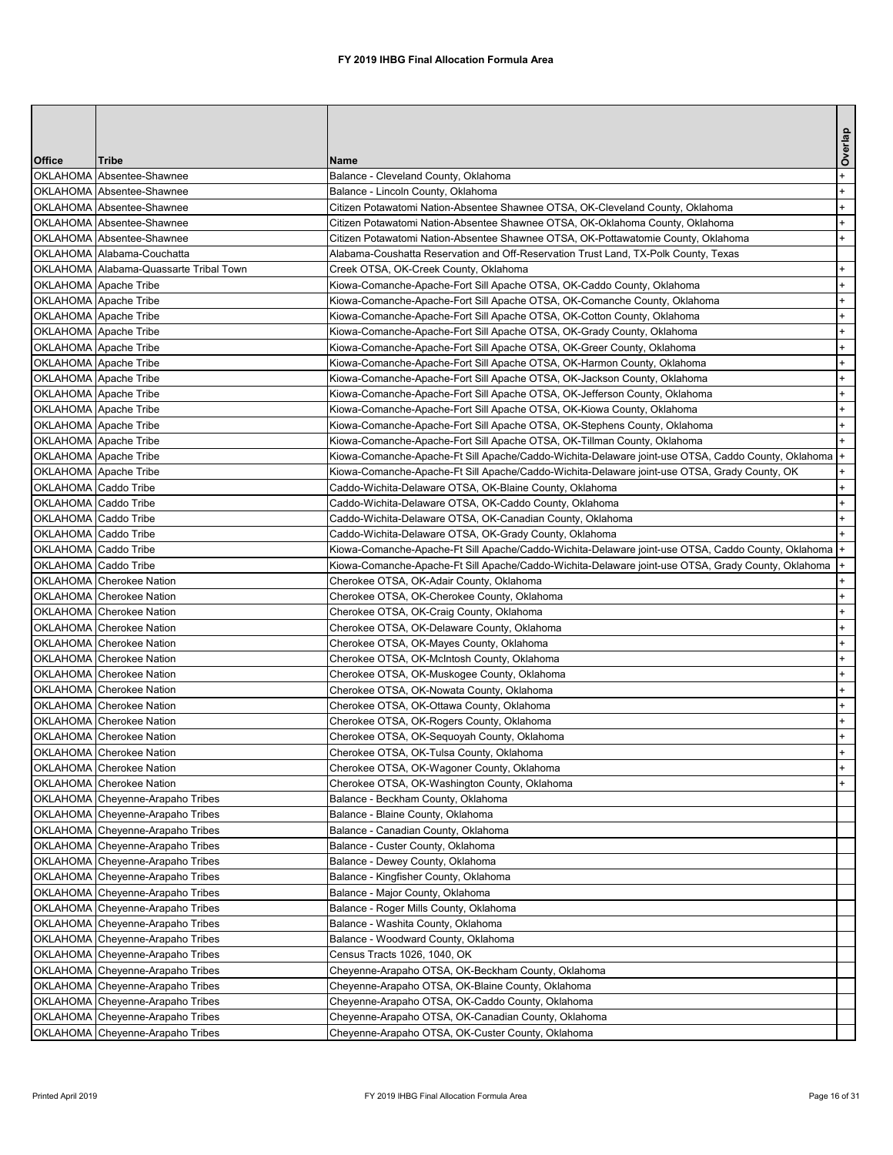|                      |                                                                 |                                                                                                                                                     | Overlap |
|----------------------|-----------------------------------------------------------------|-----------------------------------------------------------------------------------------------------------------------------------------------------|---------|
| <b>Office</b>        | <b>Tribe</b>                                                    | <b>Name</b>                                                                                                                                         |         |
|                      | OKLAHOMA Absentee-Shawnee                                       | Balance - Cleveland County, Oklahoma                                                                                                                | $+$     |
|                      | OKLAHOMA Absentee-Shawnee                                       | Balance - Lincoln County, Oklahoma                                                                                                                  | $+$     |
|                      | OKLAHOMA Absentee-Shawnee                                       | Citizen Potawatomi Nation-Absentee Shawnee OTSA, OK-Cleveland County, Oklahoma                                                                      | $+$     |
|                      | OKLAHOMA Absentee-Shawnee                                       | Citizen Potawatomi Nation-Absentee Shawnee OTSA, OK-Oklahoma County, Oklahoma                                                                       | $+$     |
|                      | OKLAHOMA Absentee-Shawnee                                       | Citizen Potawatomi Nation-Absentee Shawnee OTSA, OK-Pottawatomie County, Oklahoma                                                                   | $+$     |
|                      | OKLAHOMA Alabama-Couchatta                                      | Alabama-Coushatta Reservation and Off-Reservation Trust Land, TX-Polk County, Texas                                                                 |         |
|                      | OKLAHOMA Alabama-Quassarte Tribal Town<br>OKLAHOMA Apache Tribe | Creek OTSA, OK-Creek County, Oklahoma                                                                                                               |         |
|                      | OKLAHOMA Apache Tribe                                           | Kiowa-Comanche-Apache-Fort Sill Apache OTSA, OK-Caddo County, Oklahoma<br>Kiowa-Comanche-Apache-Fort Sill Apache OTSA, OK-Comanche County, Oklahoma |         |
|                      | OKLAHOMA Apache Tribe                                           | Kiowa-Comanche-Apache-Fort Sill Apache OTSA, OK-Cotton County, Oklahoma                                                                             |         |
|                      | OKLAHOMA Apache Tribe                                           | Kiowa-Comanche-Apache-Fort Sill Apache OTSA, OK-Grady County, Oklahoma                                                                              |         |
|                      | OKLAHOMA Apache Tribe                                           | Kiowa-Comanche-Apache-Fort Sill Apache OTSA, OK-Greer County, Oklahoma                                                                              |         |
|                      | OKLAHOMA Apache Tribe                                           | Kiowa-Comanche-Apache-Fort Sill Apache OTSA, OK-Harmon County, Oklahoma                                                                             | $+$     |
|                      | OKLAHOMA Apache Tribe                                           | Kiowa-Comanche-Apache-Fort Sill Apache OTSA, OK-Jackson County, Oklahoma                                                                            |         |
|                      | OKLAHOMA Apache Tribe                                           | Kiowa-Comanche-Apache-Fort Sill Apache OTSA, OK-Jefferson County, Oklahoma                                                                          |         |
|                      | OKLAHOMA Apache Tribe                                           | Kiowa-Comanche-Apache-Fort Sill Apache OTSA, OK-Kiowa County, Oklahoma                                                                              |         |
|                      | OKLAHOMA Apache Tribe                                           | Kiowa-Comanche-Apache-Fort Sill Apache OTSA, OK-Stephens County, Oklahoma                                                                           | $+$     |
|                      | OKLAHOMA Apache Tribe                                           | Kiowa-Comanche-Apache-Fort Sill Apache OTSA, OK-Tillman County, Oklahoma                                                                            |         |
|                      | OKLAHOMA Apache Tribe                                           | Kiowa-Comanche-Apache-Ft Sill Apache/Caddo-Wichita-Delaware joint-use OTSA, Caddo County, Oklahoma                                                  | $+$     |
|                      | OKLAHOMA Apache Tribe                                           | Kiowa-Comanche-Apache-Ft Sill Apache/Caddo-Wichita-Delaware joint-use OTSA, Grady County, OK                                                        |         |
|                      | OKLAHOMA Caddo Tribe                                            | Caddo-Wichita-Delaware OTSA, OK-Blaine County, Oklahoma                                                                                             | $+$     |
|                      | OKLAHOMA Caddo Tribe                                            | Caddo-Wichita-Delaware OTSA, OK-Caddo County, Oklahoma                                                                                              |         |
|                      | OKLAHOMA Caddo Tribe                                            | Caddo-Wichita-Delaware OTSA, OK-Canadian County, Oklahoma                                                                                           |         |
|                      | OKLAHOMA Caddo Tribe                                            | Caddo-Wichita-Delaware OTSA, OK-Grady County, Oklahoma                                                                                              |         |
|                      | OKLAHOMA Caddo Tribe                                            | Kiowa-Comanche-Apache-Ft Sill Apache/Caddo-Wichita-Delaware joint-use OTSA, Caddo County, Oklahoma  +                                               |         |
| OKLAHOMA Caddo Tribe |                                                                 | Kiowa-Comanche-Apache-Ft Sill Apache/Caddo-Wichita-Delaware joint-use OTSA, Grady County, Oklahoma  +                                               |         |
|                      | OKLAHOMA Cherokee Nation                                        | Cherokee OTSA, OK-Adair County, Oklahoma                                                                                                            | $+$     |
|                      | OKLAHOMA Cherokee Nation                                        | Cherokee OTSA, OK-Cherokee County, Oklahoma                                                                                                         |         |
|                      | OKLAHOMA Cherokee Nation                                        | Cherokee OTSA, OK-Craig County, Oklahoma                                                                                                            |         |
|                      | OKLAHOMA Cherokee Nation<br>OKLAHOMA Cherokee Nation            | Cherokee OTSA, OK-Delaware County, Oklahoma                                                                                                         |         |
|                      | OKLAHOMA Cherokee Nation                                        | Cherokee OTSA, OK-Mayes County, Oklahoma<br>Cherokee OTSA, OK-McIntosh County, Oklahoma                                                             |         |
|                      | OKLAHOMA Cherokee Nation                                        | Cherokee OTSA, OK-Muskogee County, Oklahoma                                                                                                         |         |
|                      | OKLAHOMA Cherokee Nation                                        | Cherokee OTSA, OK-Nowata County, Oklahoma                                                                                                           | $+$     |
|                      | <b>OKLAHOMA</b> Cherokee Nation                                 | Cherokee OTSA, OK-Ottawa County, Oklahoma                                                                                                           |         |
|                      | OKLAHOMA Cherokee Nation                                        | Cherokee OTSA, OK-Rogers County, Oklahoma                                                                                                           |         |
|                      | OKLAHOMA Cherokee Nation                                        | Cherokee OTSA, OK-Sequoyah County, Oklahoma                                                                                                         |         |
|                      | OKLAHOMA Cherokee Nation                                        | Cherokee OTSA, OK-Tulsa County, Oklahoma                                                                                                            |         |
|                      | OKLAHOMA Cherokee Nation                                        | Cherokee OTSA, OK-Wagoner County, Oklahoma                                                                                                          |         |
|                      | OKLAHOMA Cherokee Nation                                        | Cherokee OTSA, OK-Washington County, Oklahoma                                                                                                       |         |
|                      | OKLAHOMA Cheyenne-Arapaho Tribes                                | Balance - Beckham County, Oklahoma                                                                                                                  |         |
|                      | OKLAHOMA Cheyenne-Arapaho Tribes                                | Balance - Blaine County, Oklahoma                                                                                                                   |         |
|                      | OKLAHOMA Cheyenne-Arapaho Tribes                                | Balance - Canadian County, Oklahoma                                                                                                                 |         |
|                      | OKLAHOMA Cheyenne-Arapaho Tribes                                | Balance - Custer County, Oklahoma                                                                                                                   |         |
|                      | OKLAHOMA Cheyenne-Arapaho Tribes                                | Balance - Dewey County, Oklahoma                                                                                                                    |         |
|                      | OKLAHOMA Cheyenne-Arapaho Tribes                                | Balance - Kingfisher County, Oklahoma                                                                                                               |         |
|                      | OKLAHOMA Cheyenne-Arapaho Tribes                                | Balance - Major County, Oklahoma                                                                                                                    |         |
|                      | OKLAHOMA Cheyenne-Arapaho Tribes                                | Balance - Roger Mills County, Oklahoma                                                                                                              |         |
|                      | OKLAHOMA Cheyenne-Arapaho Tribes                                | Balance - Washita County, Oklahoma                                                                                                                  |         |
|                      | OKLAHOMA Cheyenne-Arapaho Tribes                                | Balance - Woodward County, Oklahoma                                                                                                                 |         |
|                      | OKLAHOMA Cheyenne-Arapaho Tribes                                | Census Tracts 1026, 1040, OK                                                                                                                        |         |
|                      | OKLAHOMA Cheyenne-Arapaho Tribes                                | Cheyenne-Arapaho OTSA, OK-Beckham County, Oklahoma                                                                                                  |         |
|                      | OKLAHOMA Cheyenne-Arapaho Tribes                                | Cheyenne-Arapaho OTSA, OK-Blaine County, Oklahoma                                                                                                   |         |
|                      | OKLAHOMA Cheyenne-Arapaho Tribes                                | Cheyenne-Arapaho OTSA, OK-Caddo County, Oklahoma                                                                                                    |         |
|                      | OKLAHOMA Cheyenne-Arapaho Tribes                                | Cheyenne-Arapaho OTSA, OK-Canadian County, Oklahoma                                                                                                 |         |
|                      | OKLAHOMA Cheyenne-Arapaho Tribes                                | Cheyenne-Arapaho OTSA, OK-Custer County, Oklahoma                                                                                                   |         |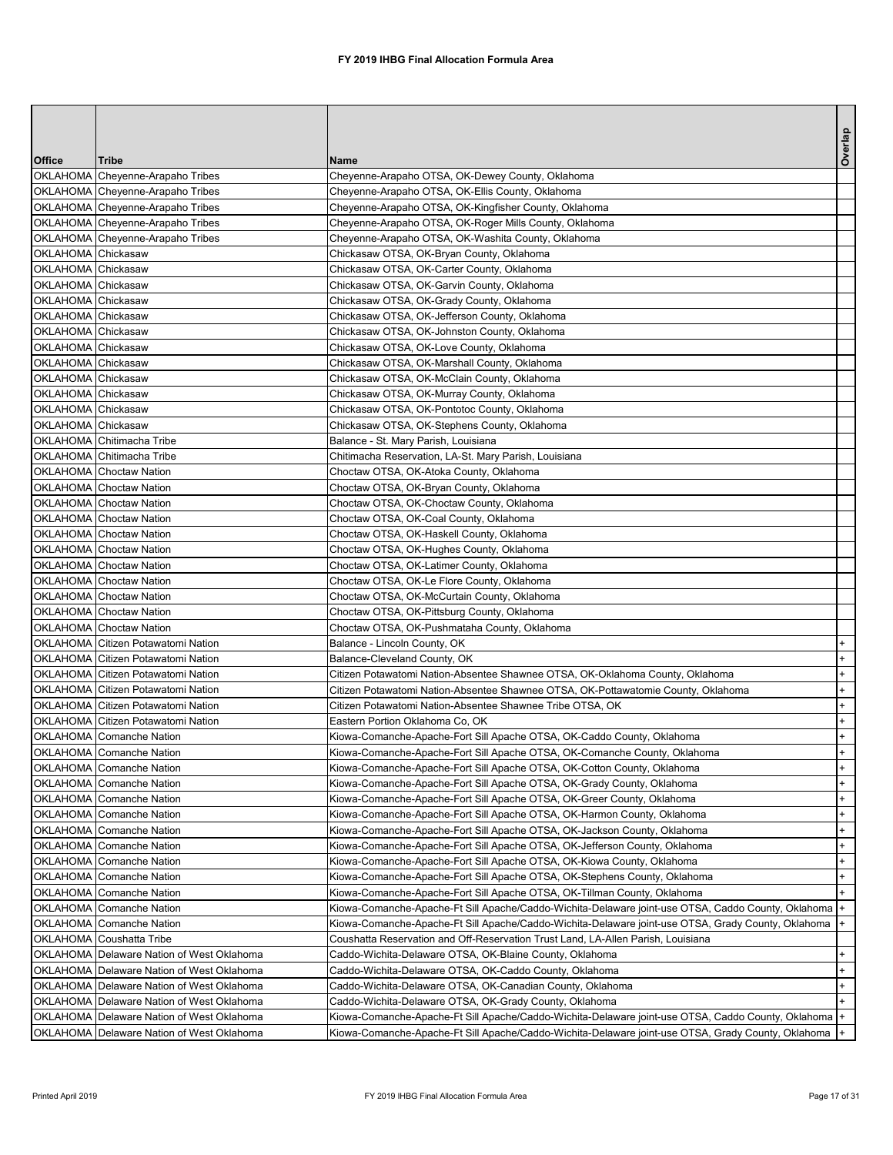|                                          |                                                             |                                                                                                                                                  | Overlap |
|------------------------------------------|-------------------------------------------------------------|--------------------------------------------------------------------------------------------------------------------------------------------------|---------|
| <b>Office</b>                            | <b>Tribe</b>                                                | <b>Name</b>                                                                                                                                      |         |
|                                          | OKLAHOMA Cheyenne-Arapaho Tribes                            | Cheyenne-Arapaho OTSA, OK-Dewey County, Oklahoma                                                                                                 |         |
|                                          | OKLAHOMA Cheyenne-Arapaho Tribes                            | Cheyenne-Arapaho OTSA, OK-Ellis County, Oklahoma                                                                                                 |         |
|                                          | OKLAHOMA Cheyenne-Arapaho Tribes                            | Cheyenne-Arapaho OTSA, OK-Kingfisher County, Oklahoma                                                                                            |         |
|                                          | OKLAHOMA Cheyenne-Arapaho Tribes                            | Cheyenne-Arapaho OTSA, OK-Roger Mills County, Oklahoma                                                                                           |         |
|                                          | OKLAHOMA Cheyenne-Arapaho Tribes                            | Cheyenne-Arapaho OTSA, OK-Washita County, Oklahoma                                                                                               |         |
| OKLAHOMA Chickasaw                       |                                                             | Chickasaw OTSA, OK-Bryan County, Oklahoma                                                                                                        |         |
| OKLAHOMA Chickasaw                       |                                                             | Chickasaw OTSA, OK-Carter County, Oklahoma                                                                                                       |         |
| OKLAHOMA Chickasaw                       |                                                             | Chickasaw OTSA, OK-Garvin County, Oklahoma                                                                                                       |         |
| OKLAHOMA Chickasaw<br>OKLAHOMA Chickasaw |                                                             | Chickasaw OTSA, OK-Grady County, Oklahoma<br>Chickasaw OTSA, OK-Jefferson County, Oklahoma                                                       |         |
| OKLAHOMA Chickasaw                       |                                                             | Chickasaw OTSA, OK-Johnston County, Oklahoma                                                                                                     |         |
| OKLAHOMA Chickasaw                       |                                                             | Chickasaw OTSA, OK-Love County, Oklahoma                                                                                                         |         |
| OKLAHOMA Chickasaw                       |                                                             | Chickasaw OTSA, OK-Marshall County, Oklahoma                                                                                                     |         |
| OKLAHOMA Chickasaw                       |                                                             | Chickasaw OTSA, OK-McClain County, Oklahoma                                                                                                      |         |
| OKLAHOMA Chickasaw                       |                                                             | Chickasaw OTSA, OK-Murray County, Oklahoma                                                                                                       |         |
| OKLAHOMA Chickasaw                       |                                                             | Chickasaw OTSA, OK-Pontotoc County, Oklahoma                                                                                                     |         |
| OKLAHOMA Chickasaw                       |                                                             | Chickasaw OTSA, OK-Stephens County, Oklahoma                                                                                                     |         |
|                                          | OKLAHOMA Chitimacha Tribe                                   | Balance - St. Mary Parish, Louisiana                                                                                                             |         |
|                                          | OKLAHOMA Chitimacha Tribe                                   | Chitimacha Reservation, LA-St. Mary Parish, Louisiana                                                                                            |         |
|                                          | <b>OKLAHOMA</b> Choctaw Nation                              | Choctaw OTSA, OK-Atoka County, Oklahoma                                                                                                          |         |
|                                          | OKLAHOMA Choctaw Nation                                     | Choctaw OTSA, OK-Bryan County, Oklahoma                                                                                                          |         |
|                                          | OKLAHOMA Choctaw Nation                                     | Choctaw OTSA, OK-Choctaw County, Oklahoma                                                                                                        |         |
|                                          | <b>OKLAHOMA</b> Choctaw Nation                              | Choctaw OTSA, OK-Coal County, Oklahoma                                                                                                           |         |
|                                          | <b>OKLAHOMA</b> Choctaw Nation                              | Choctaw OTSA, OK-Haskell County, Oklahoma                                                                                                        |         |
|                                          | OKLAHOMA Choctaw Nation                                     | Choctaw OTSA, OK-Hughes County, Oklahoma                                                                                                         |         |
|                                          | <b>OKLAHOMA</b> Choctaw Nation                              | Choctaw OTSA, OK-Latimer County, Oklahoma                                                                                                        |         |
|                                          | <b>OKLAHOMA</b> Choctaw Nation                              | Choctaw OTSA, OK-Le Flore County, Oklahoma                                                                                                       |         |
|                                          | OKLAHOMA Choctaw Nation                                     | Choctaw OTSA, OK-McCurtain County, Oklahoma                                                                                                      |         |
|                                          | OKLAHOMA Choctaw Nation                                     | Choctaw OTSA, OK-Pittsburg County, Oklahoma                                                                                                      |         |
|                                          | OKLAHOMA Choctaw Nation                                     | Choctaw OTSA, OK-Pushmataha County, Oklahoma                                                                                                     |         |
|                                          | OKLAHOMA Citizen Potawatomi Nation                          | Balance - Lincoln County, OK                                                                                                                     |         |
|                                          | OKLAHOMA Citizen Potawatomi Nation                          | Balance-Cleveland County, OK                                                                                                                     |         |
|                                          | OKLAHOMA Citizen Potawatomi Nation                          | Citizen Potawatomi Nation-Absentee Shawnee OTSA, OK-Oklahoma County, Oklahoma                                                                    | $+$     |
|                                          | OKLAHOMA Citizen Potawatomi Nation                          | Citizen Potawatomi Nation-Absentee Shawnee OTSA, OK-Pottawatomie County, Oklahoma                                                                |         |
|                                          | OKLAHOMA Citizen Potawatomi Nation                          | Citizen Potawatomi Nation-Absentee Shawnee Tribe OTSA, OK                                                                                        |         |
|                                          | OKLAHOMA Citizen Potawatomi Nation                          | Eastern Portion Oklahoma Co, OK                                                                                                                  |         |
|                                          | OKLAHOMA Comanche Nation                                    | Kiowa-Comanche-Apache-Fort Sill Apache OTSA, OK-Caddo County, Oklahoma                                                                           | $+$     |
|                                          | OKLAHOMA Comanche Nation                                    | Kiowa-Comanche-Apache-Fort Sill Apache OTSA, OK-Comanche County, Oklahoma                                                                        |         |
|                                          | OKLAHOMA Comanche Nation                                    | Kiowa-Comanche-Apache-Fort Sill Apache OTSA, OK-Cotton County, Oklahoma                                                                          | $+$     |
|                                          | OKLAHOMA Comanche Nation<br><b>OKLAHOMA</b> Comanche Nation | Kiowa-Comanche-Apache-Fort Sill Apache OTSA, OK-Grady County, Oklahoma<br>Kiowa-Comanche-Apache-Fort Sill Apache OTSA, OK-Greer County, Oklahoma | $+$     |
|                                          | <b>OKLAHOMA</b> Comanche Nation                             | Kiowa-Comanche-Apache-Fort Sill Apache OTSA, OK-Harmon County, Oklahoma                                                                          |         |
|                                          | OKLAHOMA Comanche Nation                                    | Kiowa-Comanche-Apache-Fort Sill Apache OTSA, OK-Jackson County, Oklahoma                                                                         |         |
|                                          | OKLAHOMA Comanche Nation                                    | Kiowa-Comanche-Apache-Fort Sill Apache OTSA, OK-Jefferson County, Oklahoma                                                                       |         |
|                                          | OKLAHOMA Comanche Nation                                    | Kiowa-Comanche-Apache-Fort Sill Apache OTSA, OK-Kiowa County, Oklahoma                                                                           | $+$     |
|                                          | OKLAHOMA Comanche Nation                                    | Kiowa-Comanche-Apache-Fort Sill Apache OTSA, OK-Stephens County, Oklahoma                                                                        |         |
|                                          | OKLAHOMA Comanche Nation                                    | Kiowa-Comanche-Apache-Fort Sill Apache OTSA, OK-Tillman County, Oklahoma                                                                         |         |
|                                          | OKLAHOMA Comanche Nation                                    | Kiowa-Comanche-Apache-Ft Sill Apache/Caddo-Wichita-Delaware joint-use OTSA, Caddo County, Oklahoma  +                                            |         |
|                                          | OKLAHOMA Comanche Nation                                    | Kiowa-Comanche-Apache-Ft Sill Apache/Caddo-Wichita-Delaware joint-use OTSA, Grady County, Oklahoma  +                                            |         |
|                                          | OKLAHOMA Coushatta Tribe                                    | Coushatta Reservation and Off-Reservation Trust Land, LA-Allen Parish, Louisiana                                                                 |         |
|                                          | OKLAHOMA Delaware Nation of West Oklahoma                   | Caddo-Wichita-Delaware OTSA, OK-Blaine County, Oklahoma                                                                                          |         |
|                                          | OKLAHOMA Delaware Nation of West Oklahoma                   | Caddo-Wichita-Delaware OTSA, OK-Caddo County, Oklahoma                                                                                           |         |
|                                          | OKLAHOMA Delaware Nation of West Oklahoma                   | Caddo-Wichita-Delaware OTSA, OK-Canadian County, Oklahoma                                                                                        | $+$     |
|                                          | OKLAHOMA Delaware Nation of West Oklahoma                   | Caddo-Wichita-Delaware OTSA, OK-Grady County, Oklahoma                                                                                           |         |
|                                          | OKLAHOMA Delaware Nation of West Oklahoma                   | Kiowa-Comanche-Apache-Ft Sill Apache/Caddo-Wichita-Delaware joint-use OTSA, Caddo County, Oklahoma  +                                            |         |
|                                          | OKLAHOMA Delaware Nation of West Oklahoma                   | Kiowa-Comanche-Apache-Ft Sill Apache/Caddo-Wichita-Delaware joint-use OTSA, Grady County, Oklahoma  +                                            |         |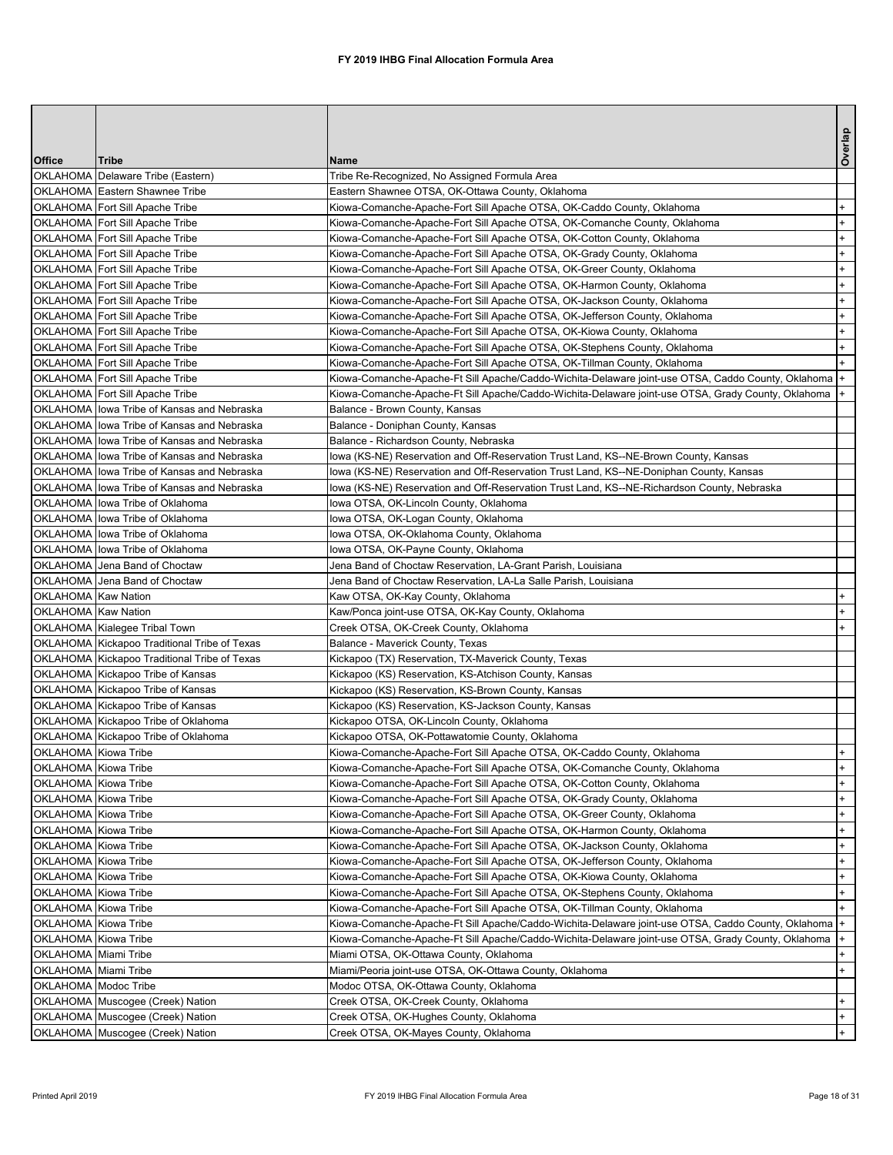|                             |                                              |                                                                                                       | Overlap |
|-----------------------------|----------------------------------------------|-------------------------------------------------------------------------------------------------------|---------|
| <b>Office</b>               | <b>Tribe</b>                                 | <b>Name</b>                                                                                           |         |
|                             | OKLAHOMA Delaware Tribe (Eastern)            | Tribe Re-Recognized, No Assigned Formula Area                                                         |         |
|                             | OKLAHOMA Eastern Shawnee Tribe               | Eastern Shawnee OTSA, OK-Ottawa County, Oklahoma                                                      |         |
|                             | OKLAHOMA Fort Sill Apache Tribe              | Kiowa-Comanche-Apache-Fort Sill Apache OTSA, OK-Caddo County, Oklahoma                                | $+$     |
|                             | OKLAHOMA Fort Sill Apache Tribe              | Kiowa-Comanche-Apache-Fort Sill Apache OTSA, OK-Comanche County, Oklahoma                             | $+$     |
|                             | OKLAHOMA Fort Sill Apache Tribe              | Kiowa-Comanche-Apache-Fort Sill Apache OTSA, OK-Cotton County, Oklahoma                               | $+$     |
|                             | OKLAHOMA Fort Sill Apache Tribe              | Kiowa-Comanche-Apache-Fort Sill Apache OTSA, OK-Grady County, Oklahoma                                | $+$     |
|                             | OKLAHOMA Fort Sill Apache Tribe              | Kiowa-Comanche-Apache-Fort Sill Apache OTSA, OK-Greer County, Oklahoma                                | $+$     |
|                             | OKLAHOMA Fort Sill Apache Tribe              | Kiowa-Comanche-Apache-Fort Sill Apache OTSA, OK-Harmon County, Oklahoma                               | $+$     |
|                             | OKLAHOMA Fort Sill Apache Tribe              | Kiowa-Comanche-Apache-Fort Sill Apache OTSA, OK-Jackson County, Oklahoma                              | $+$     |
|                             | OKLAHOMA Fort Sill Apache Tribe              | Kiowa-Comanche-Apache-Fort Sill Apache OTSA, OK-Jefferson County, Oklahoma                            | $+$     |
|                             | OKLAHOMA Fort Sill Apache Tribe              | Kiowa-Comanche-Apache-Fort Sill Apache OTSA, OK-Kiowa County, Oklahoma                                | $+$     |
|                             | OKLAHOMA Fort Sill Apache Tribe              | Kiowa-Comanche-Apache-Fort Sill Apache OTSA, OK-Stephens County, Oklahoma                             | $+$     |
|                             | OKLAHOMA Fort Sill Apache Tribe              | Kiowa-Comanche-Apache-Fort Sill Apache OTSA, OK-Tillman County, Oklahoma                              | $+$     |
|                             | OKLAHOMA Fort Sill Apache Tribe              | Kiowa-Comanche-Apache-Ft Sill Apache/Caddo-Wichita-Delaware joint-use OTSA, Caddo County, Oklahoma  + |         |
|                             | OKLAHOMA Fort Sill Apache Tribe              | Kiowa-Comanche-Apache-Ft Sill Apache/Caddo-Wichita-Delaware joint-use OTSA, Grady County, Oklahoma  + |         |
|                             | OKLAHOMA lowa Tribe of Kansas and Nebraska   | Balance - Brown County, Kansas                                                                        |         |
|                             | OKLAHOMA lowa Tribe of Kansas and Nebraska   | Balance - Doniphan County, Kansas                                                                     |         |
|                             | OKLAHOMA lowa Tribe of Kansas and Nebraska   | Balance - Richardson County, Nebraska                                                                 |         |
|                             | OKLAHOMA lowa Tribe of Kansas and Nebraska   | lowa (KS-NE) Reservation and Off-Reservation Trust Land, KS--NE-Brown County, Kansas                  |         |
|                             | OKLAHOMA lowa Tribe of Kansas and Nebraska   | lowa (KS-NE) Reservation and Off-Reservation Trust Land, KS--NE-Doniphan County, Kansas               |         |
|                             | OKLAHOMA lowa Tribe of Kansas and Nebraska   | lowa (KS-NE) Reservation and Off-Reservation Trust Land, KS--NE-Richardson County, Nebraska           |         |
|                             | OKLAHOMA lowa Tribe of Oklahoma              | Iowa OTSA, OK-Lincoln County, Oklahoma                                                                |         |
|                             | OKLAHOMA lowa Tribe of Oklahoma              | Iowa OTSA, OK-Logan County, Oklahoma                                                                  |         |
|                             | OKLAHOMA lowa Tribe of Oklahoma              | Iowa OTSA, OK-Oklahoma County, Oklahoma                                                               |         |
|                             | OKLAHOMA lowa Tribe of Oklahoma              | Iowa OTSA, OK-Payne County, Oklahoma                                                                  |         |
|                             | <b>OKLAHOMA</b> Jena Band of Choctaw         | Jena Band of Choctaw Reservation, LA-Grant Parish, Louisiana                                          |         |
|                             | OKLAHOMA Jena Band of Choctaw                | Jena Band of Choctaw Reservation, LA-La Salle Parish, Louisiana                                       |         |
| <b>OKLAHOMA</b> Kaw Nation  |                                              | Kaw OTSA, OK-Kay County, Oklahoma                                                                     |         |
| OKLAHOMA Kaw Nation         |                                              | Kaw/Ponca joint-use OTSA, OK-Kay County, Oklahoma                                                     |         |
|                             | OKLAHOMA Kialegee Tribal Town                | Creek OTSA, OK-Creek County, Oklahoma                                                                 |         |
|                             | OKLAHOMA Kickapoo Traditional Tribe of Texas | Balance - Maverick County, Texas                                                                      |         |
|                             | OKLAHOMA Kickapoo Traditional Tribe of Texas | Kickapoo (TX) Reservation, TX-Maverick County, Texas                                                  |         |
|                             | OKLAHOMA Kickapoo Tribe of Kansas            | Kickapoo (KS) Reservation, KS-Atchison County, Kansas                                                 |         |
|                             | OKLAHOMA Kickapoo Tribe of Kansas            | Kickapoo (KS) Reservation, KS-Brown County, Kansas                                                    |         |
|                             | OKLAHOMA Kickapoo Tribe of Kansas            | Kickapoo (KS) Reservation, KS-Jackson County, Kansas                                                  |         |
|                             | OKLAHOMA Kickapoo Tribe of Oklahoma          | Kickapoo OTSA, OK-Lincoln County, Oklahoma                                                            |         |
|                             | OKLAHOMA Kickapoo Tribe of Oklahoma          | Kickapoo OTSA, OK-Pottawatomie County, Oklahoma                                                       |         |
| OKLAHOMA Kiowa Tribe        |                                              | Kiowa-Comanche-Apache-Fort Sill Apache OTSA, OK-Caddo County, Oklahoma                                |         |
| OKLAHOMA Kiowa Tribe        |                                              | Kiowa-Comanche-Apache-Fort Sill Apache OTSA, OK-Comanche County, Oklahoma                             |         |
| <b>OKLAHOMA</b> Kiowa Tribe |                                              | Kiowa-Comanche-Apache-Fort Sill Apache OTSA, OK-Cotton County, Oklahoma                               | $+$     |
| OKLAHOMA Kiowa Tribe        |                                              | Kiowa-Comanche-Apache-Fort Sill Apache OTSA, OK-Grady County, Oklahoma                                | $+$     |
| OKLAHOMA Kiowa Tribe        |                                              | Kiowa-Comanche-Apache-Fort Sill Apache OTSA, OK-Greer County, Oklahoma                                | $+$     |
| OKLAHOMA Kiowa Tribe        |                                              | Kiowa-Comanche-Apache-Fort Sill Apache OTSA, OK-Harmon County, Oklahoma                               |         |
| <b>OKLAHOMA</b> Kiowa Tribe |                                              | Kiowa-Comanche-Apache-Fort Sill Apache OTSA, OK-Jackson County, Oklahoma                              | $+$     |
| OKLAHOMA Kiowa Tribe        |                                              | Kiowa-Comanche-Apache-Fort Sill Apache OTSA, OK-Jefferson County, Oklahoma                            |         |
| OKLAHOMA Kiowa Tribe        |                                              | Kiowa-Comanche-Apache-Fort Sill Apache OTSA, OK-Kiowa County, Oklahoma                                | $+$     |
| OKLAHOMA Kiowa Tribe        |                                              | Kiowa-Comanche-Apache-Fort Sill Apache OTSA, OK-Stephens County, Oklahoma                             |         |
| OKLAHOMA Kiowa Tribe        |                                              | Kiowa-Comanche-Apache-Fort Sill Apache OTSA, OK-Tillman County, Oklahoma                              | $+$     |
| OKLAHOMA Kiowa Tribe        |                                              | Kiowa-Comanche-Apache-Ft Sill Apache/Caddo-Wichita-Delaware joint-use OTSA, Caddo County, Oklahoma  + |         |
| OKLAHOMA Kiowa Tribe        |                                              | Kiowa-Comanche-Apache-Ft Sill Apache/Caddo-Wichita-Delaware joint-use OTSA, Grady County, Oklahoma  + |         |
| OKLAHOMA Miami Tribe        |                                              | Miami OTSA, OK-Ottawa County, Oklahoma                                                                |         |
| <b>OKLAHOMA</b> Miami Tribe |                                              | Miami/Peoria joint-use OTSA, OK-Ottawa County, Oklahoma                                               | $+$     |
| <b>OKLAHOMA</b> Modoc Tribe |                                              | Modoc OTSA, OK-Ottawa County, Oklahoma                                                                |         |
|                             | OKLAHOMA Muscogee (Creek) Nation             | Creek OTSA, OK-Creek County, Oklahoma                                                                 | $+$     |
|                             | OKLAHOMA Muscogee (Creek) Nation             | Creek OTSA, OK-Hughes County, Oklahoma                                                                | $+$     |
|                             | OKLAHOMA Muscogee (Creek) Nation             | Creek OTSA, OK-Mayes County, Oklahoma                                                                 | $+$     |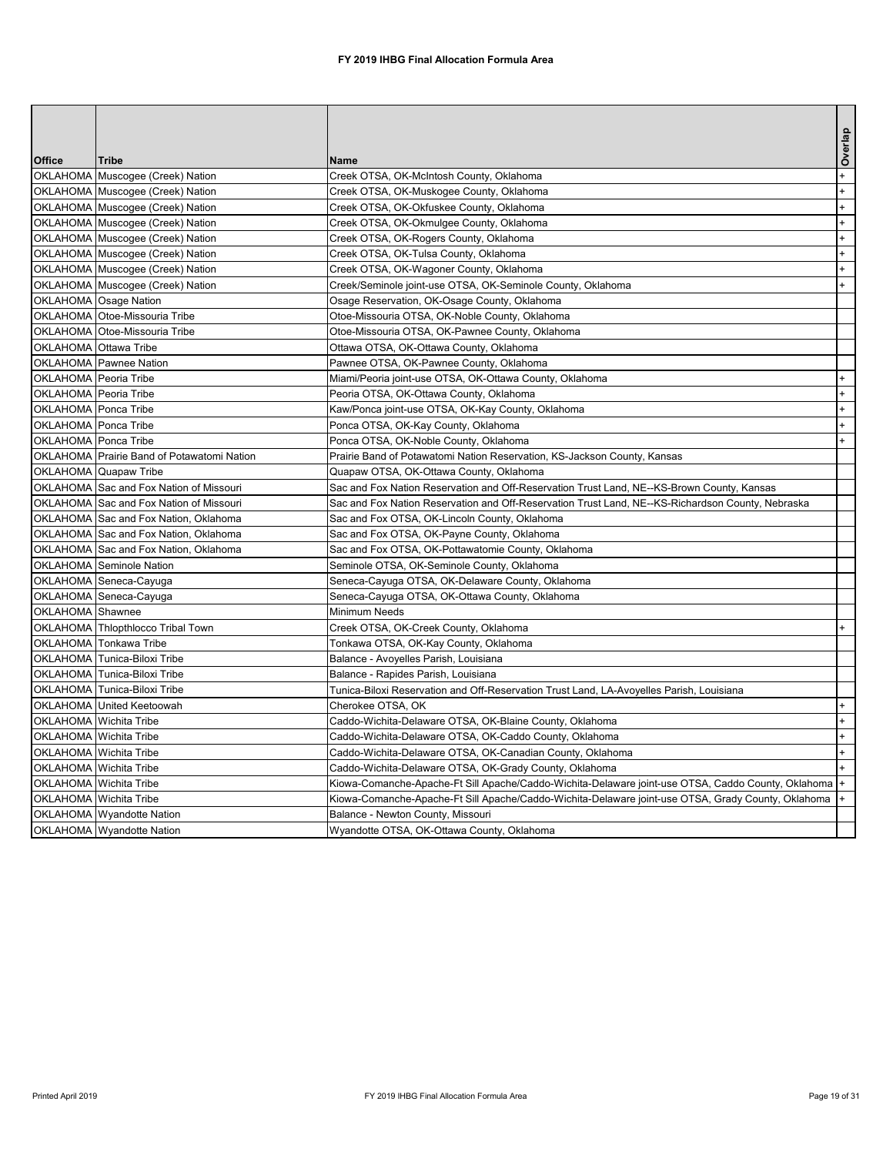| <b>Office</b>    | <b>Tribe</b>                               | IName                                                                                                 | Overlap |
|------------------|--------------------------------------------|-------------------------------------------------------------------------------------------------------|---------|
|                  | OKLAHOMA Muscogee (Creek) Nation           | Creek OTSA, OK-McIntosh County, Oklahoma                                                              |         |
|                  | OKLAHOMA Muscogee (Creek) Nation           | Creek OTSA, OK-Muskogee County, Oklahoma                                                              |         |
|                  | OKLAHOMA Muscogee (Creek) Nation           | Creek OTSA, OK-Okfuskee County, Oklahoma                                                              |         |
|                  | OKLAHOMA Muscogee (Creek) Nation           | Creek OTSA, OK-Okmulgee County, Oklahoma                                                              |         |
|                  | OKLAHOMA Muscogee (Creek) Nation           | Creek OTSA, OK-Rogers County, Oklahoma                                                                |         |
|                  | OKLAHOMA Muscogee (Creek) Nation           | Creek OTSA, OK-Tulsa County, Oklahoma                                                                 |         |
|                  | OKLAHOMA Muscogee (Creek) Nation           | Creek OTSA, OK-Wagoner County, Oklahoma                                                               |         |
|                  | OKLAHOMA Muscogee (Creek) Nation           | Creek/Seminole joint-use OTSA, OK-Seminole County, Oklahoma                                           |         |
|                  | OKLAHOMA Osage Nation                      | Osage Reservation, OK-Osage County, Oklahoma                                                          |         |
|                  | OKLAHOMA Otoe-Missouria Tribe              | Otoe-Missouria OTSA, OK-Noble County, Oklahoma                                                        |         |
|                  | OKLAHOMA Otoe-Missouria Tribe              | Otoe-Missouria OTSA, OK-Pawnee County, Oklahoma                                                       |         |
|                  | OKLAHOMA Ottawa Tribe                      | Ottawa OTSA, OK-Ottawa County, Oklahoma                                                               |         |
|                  | OKLAHOMA Pawnee Nation                     | Pawnee OTSA, OK-Pawnee County, Oklahoma                                                               |         |
|                  | OKLAHOMA Peoria Tribe                      | Miami/Peoria joint-use OTSA, OK-Ottawa County, Oklahoma                                               |         |
|                  | OKLAHOMA Peoria Tribe                      | Peoria OTSA, OK-Ottawa County, Oklahoma                                                               |         |
|                  | OKLAHOMA Ponca Tribe                       | Kaw/Ponca joint-use OTSA, OK-Kay County, Oklahoma                                                     |         |
|                  | OKLAHOMA Ponca Tribe                       | Ponca OTSA, OK-Kay County, Oklahoma                                                                   |         |
|                  | OKLAHOMA Ponca Tribe                       | Ponca OTSA, OK-Noble County, Oklahoma                                                                 |         |
|                  | OKLAHOMA Prairie Band of Potawatomi Nation | Prairie Band of Potawatomi Nation Reservation, KS-Jackson County, Kansas                              |         |
|                  | OKLAHOMA Quapaw Tribe                      | Quapaw OTSA, OK-Ottawa County, Oklahoma                                                               |         |
|                  | OKLAHOMA Sac and Fox Nation of Missouri    | Sac and Fox Nation Reservation and Off-Reservation Trust Land, NE--KS-Brown County, Kansas            |         |
|                  | OKLAHOMA Sac and Fox Nation of Missouri    | Sac and Fox Nation Reservation and Off-Reservation Trust Land, NE--KS-Richardson County, Nebraska     |         |
|                  | OKLAHOMA Sac and Fox Nation, Oklahoma      | Sac and Fox OTSA, OK-Lincoln County, Oklahoma                                                         |         |
|                  | OKLAHOMA Sac and Fox Nation, Oklahoma      | Sac and Fox OTSA, OK-Payne County, Oklahoma                                                           |         |
|                  | OKLAHOMA Sac and Fox Nation, Oklahoma      | Sac and Fox OTSA, OK-Pottawatomie County, Oklahoma                                                    |         |
|                  | OKLAHOMA Seminole Nation                   | Seminole OTSA, OK-Seminole County, Oklahoma                                                           |         |
|                  | OKLAHOMA Seneca-Cayuga                     | Seneca-Cayuga OTSA, OK-Delaware County, Oklahoma                                                      |         |
|                  | OKLAHOMA Seneca-Cayuga                     | Seneca-Cayuga OTSA, OK-Ottawa County, Oklahoma                                                        |         |
| OKLAHOMA Shawnee |                                            | Minimum Needs                                                                                         |         |
|                  | OKLAHOMA Thlopthlocco Tribal Town          | Creek OTSA, OK-Creek County, Oklahoma                                                                 |         |
|                  | OKLAHOMA Tonkawa Tribe                     | Tonkawa OTSA, OK-Kay County, Oklahoma                                                                 |         |
|                  | OKLAHOMA Tunica-Biloxi Tribe               | Balance - Avoyelles Parish, Louisiana                                                                 |         |
|                  | OKLAHOMA Tunica-Biloxi Tribe               | Balance - Rapides Parish, Louisiana                                                                   |         |
|                  | OKLAHOMA Tunica-Biloxi Tribe               | Tunica-Biloxi Reservation and Off-Reservation Trust Land, LA-Avoyelles Parish, Louisiana              |         |
|                  | OKLAHOMA United Keetoowah                  | Cherokee OTSA, OK                                                                                     |         |
|                  | OKLAHOMA Wichita Tribe                     | Caddo-Wichita-Delaware OTSA, OK-Blaine County, Oklahoma                                               |         |
|                  | OKLAHOMA Wichita Tribe                     | Caddo-Wichita-Delaware OTSA, OK-Caddo County, Oklahoma                                                |         |
|                  | OKLAHOMA Wichita Tribe                     | Caddo-Wichita-Delaware OTSA, OK-Canadian County, Oklahoma                                             | $^+$    |
|                  | OKLAHOMA Wichita Tribe                     | Caddo-Wichita-Delaware OTSA, OK-Grady County, Oklahoma                                                |         |
|                  | OKLAHOMA Wichita Tribe                     | Kiowa-Comanche-Apache-Ft Sill Apache/Caddo-Wichita-Delaware joint-use OTSA, Caddo County, Oklahoma  + |         |
|                  | OKLAHOMA Wichita Tribe                     | Kiowa-Comanche-Apache-Ft Sill Apache/Caddo-Wichita-Delaware joint-use OTSA, Grady County, Oklahoma    |         |
|                  | OKLAHOMA Wyandotte Nation                  | Balance - Newton County, Missouri                                                                     |         |
|                  | OKLAHOMA Wyandotte Nation                  | Wyandotte OTSA, OK-Ottawa County, Oklahoma                                                            |         |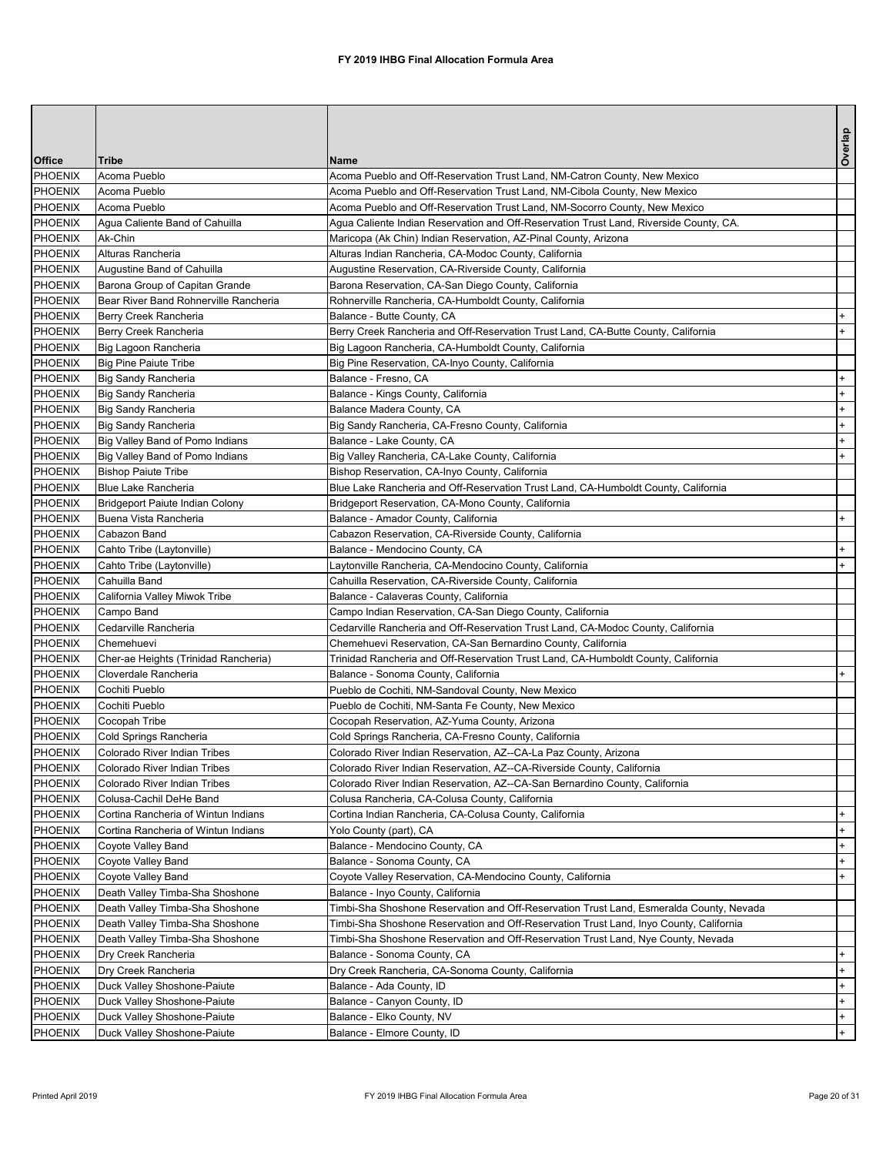|                    |                                                                         |                                                                                          | Overlap |
|--------------------|-------------------------------------------------------------------------|------------------------------------------------------------------------------------------|---------|
| <b>Office</b>      | <b>Tribe</b>                                                            | <b>Name</b>                                                                              |         |
| PHOENIX            | Acoma Pueblo                                                            | Acoma Pueblo and Off-Reservation Trust Land, NM-Catron County, New Mexico                |         |
| PHOENIX            | Acoma Pueblo                                                            | Acoma Pueblo and Off-Reservation Trust Land, NM-Cibola County, New Mexico                |         |
| PHOENIX            | Acoma Pueblo                                                            | Acoma Pueblo and Off-Reservation Trust Land, NM-Socorro County, New Mexico               |         |
| <b>PHOENIX</b>     | Agua Caliente Band of Cahuilla                                          | Agua Caliente Indian Reservation and Off-Reservation Trust Land, Riverside County, CA.   |         |
| PHOENIX            | Ak-Chin                                                                 | Maricopa (Ak Chin) Indian Reservation, AZ-Pinal County, Arizona                          |         |
| <b>PHOENIX</b>     | Alturas Rancheria                                                       | Alturas Indian Rancheria, CA-Modoc County, California                                    |         |
| PHOENIX            | Augustine Band of Cahuilla                                              | Augustine Reservation, CA-Riverside County, California                                   |         |
| PHOENIX            | Barona Group of Capitan Grande<br>Bear River Band Rohnerville Rancheria | Barona Reservation, CA-San Diego County, California                                      |         |
| PHOENIX<br>PHOENIX | Berry Creek Rancheria                                                   | Rohnerville Rancheria, CA-Humboldt County, California<br>Balance - Butte County, CA      |         |
| PHOENIX            | Berry Creek Rancheria                                                   | Berry Creek Rancheria and Off-Reservation Trust Land, CA-Butte County, California        | $+$     |
| PHOENIX            | Big Lagoon Rancheria                                                    | Big Lagoon Rancheria, CA-Humboldt County, California                                     |         |
| PHOENIX            | <b>Big Pine Paiute Tribe</b>                                            | Big Pine Reservation, CA-Inyo County, California                                         |         |
| PHOENIX            | <b>Big Sandy Rancheria</b>                                              | Balance - Fresno, CA                                                                     | $+$     |
| PHOENIX            | <b>Big Sandy Rancheria</b>                                              | Balance - Kings County, California                                                       | $+$     |
| PHOENIX            | <b>Big Sandy Rancheria</b>                                              | Balance Madera County, CA                                                                | $+$     |
| PHOENIX            | <b>Big Sandy Rancheria</b>                                              | Big Sandy Rancheria, CA-Fresno County, California                                        | $+$     |
| PHOENIX            | Big Valley Band of Pomo Indians                                         | Balance - Lake County, CA                                                                | $+$     |
| PHOENIX            | Big Valley Band of Pomo Indians                                         | Big Valley Rancheria, CA-Lake County, California                                         | $+$     |
| PHOENIX            | <b>Bishop Paiute Tribe</b>                                              | Bishop Reservation, CA-Inyo County, California                                           |         |
| PHOENIX            | <b>Blue Lake Rancheria</b>                                              | Blue Lake Rancheria and Off-Reservation Trust Land, CA-Humboldt County, California       |         |
| PHOENIX            | Bridgeport Paiute Indian Colony                                         | Bridgeport Reservation, CA-Mono County, California                                       |         |
| PHOENIX            | Buena Vista Rancheria                                                   | Balance - Amador County, California                                                      | $+$     |
| PHOENIX            | Cabazon Band                                                            | Cabazon Reservation, CA-Riverside County, California                                     |         |
| PHOENIX            | Cahto Tribe (Laytonville)                                               | Balance - Mendocino County, CA                                                           | $+$     |
| PHOENIX            | Cahto Tribe (Laytonville)                                               | Laytonville Rancheria, CA-Mendocino County, California                                   | $+$     |
| PHOENIX            | Cahuilla Band                                                           | Cahuilla Reservation, CA-Riverside County, California                                    |         |
| <b>PHOENIX</b>     | California Valley Miwok Tribe                                           | Balance - Calaveras County, California                                                   |         |
| PHOENIX            | Campo Band                                                              | Campo Indian Reservation, CA-San Diego County, California                                |         |
| PHOENIX            | Cedarville Rancheria                                                    | Cedarville Rancheria and Off-Reservation Trust Land, CA-Modoc County, California         |         |
| PHOENIX            | Chemehuevi                                                              | Chemehuevi Reservation, CA-San Bernardino County, California                             |         |
| <b>PHOENIX</b>     | Cher-ae Heights (Trinidad Rancheria)                                    | Trinidad Rancheria and Off-Reservation Trust Land, CA-Humboldt County, California        |         |
| PHOENIX<br>PHOENIX | Cloverdale Rancheria<br>Cochiti Pueblo                                  | Balance - Sonoma County, California<br>Pueblo de Cochiti, NM-Sandoval County, New Mexico | $+$     |
| PHOENIX            | Cochiti Pueblo                                                          | Pueblo de Cochiti, NM-Santa Fe County, New Mexico                                        |         |
| <b>PHOENIX</b>     | Cocopah Tribe                                                           | Cocopah Reservation, AZ-Yuma County, Arizona                                             |         |
| PHOENIX            | Cold Springs Rancheria                                                  | Cold Springs Rancheria, CA-Fresno County, California                                     |         |
| <b>PHOENIX</b>     | <b>Colorado River Indian Tribes</b>                                     | Colorado River Indian Reservation, AZ--CA-La Paz County, Arizona                         |         |
| PHOENIX            | Colorado River Indian Tribes                                            | Colorado River Indian Reservation, AZ--CA-Riverside County, California                   |         |
| <b>PHOENIX</b>     | <b>Colorado River Indian Tribes</b>                                     | Colorado River Indian Reservation, AZ--CA-San Bernardino County, California              |         |
| PHOENIX            | Colusa-Cachil DeHe Band                                                 | Colusa Rancheria, CA-Colusa County, California                                           |         |
| PHOENIX            | Cortina Rancheria of Wintun Indians                                     | Cortina Indian Rancheria, CA-Colusa County, California                                   |         |
| PHOENIX            | Cortina Rancheria of Wintun Indians                                     | Yolo County (part), CA                                                                   |         |
| <b>PHOENIX</b>     | Coyote Valley Band                                                      | Balance - Mendocino County, CA                                                           | $+$     |
| PHOENIX            | Coyote Valley Band                                                      | Balance - Sonoma County, CA                                                              | $+$     |
| PHOENIX            | Coyote Valley Band                                                      | Coyote Valley Reservation, CA-Mendocino County, California                               | $+$     |
| PHOENIX            | Death Valley Timba-Sha Shoshone                                         | Balance - Inyo County, California                                                        |         |
| PHOENIX            | Death Valley Timba-Sha Shoshone                                         | Timbi-Sha Shoshone Reservation and Off-Reservation Trust Land, Esmeralda County, Nevada  |         |
| PHOENIX            | Death Valley Timba-Sha Shoshone                                         | Timbi-Sha Shoshone Reservation and Off-Reservation Trust Land, Inyo County, California   |         |
| PHOENIX            | Death Valley Timba-Sha Shoshone                                         | Timbi-Sha Shoshone Reservation and Off-Reservation Trust Land, Nye County, Nevada        |         |
| PHOENIX            | Dry Creek Rancheria                                                     | Balance - Sonoma County, CA                                                              | $+$     |
| PHOENIX            | Dry Creek Rancheria                                                     | Dry Creek Rancheria, CA-Sonoma County, California                                        | $+$     |
| PHOENIX            | Duck Valley Shoshone-Paiute                                             | Balance - Ada County, ID                                                                 | $+$     |
| PHOENIX            | Duck Valley Shoshone-Paiute                                             | Balance - Canyon County, ID                                                              | $+$     |
| PHOENIX            | Duck Valley Shoshone-Paiute                                             | Balance - Elko County, NV                                                                | $+$     |
|                    | PHOENIX   Duck Valley Shoshone-Paiute                                   | Balance - Elmore County, ID                                                              | $+$     |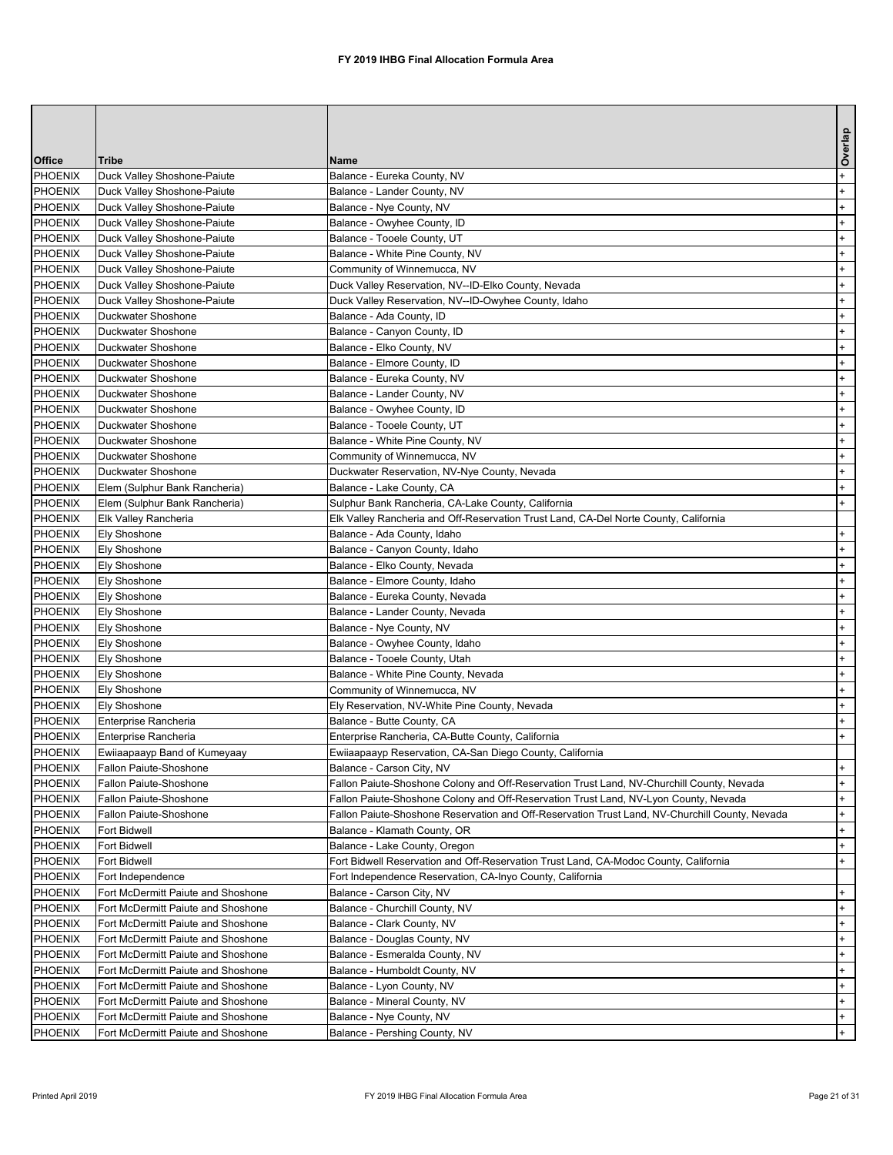|                    |                                                                          |                                                                                                | Overlap    |
|--------------------|--------------------------------------------------------------------------|------------------------------------------------------------------------------------------------|------------|
| <b>Office</b>      | <b>Tribe</b>                                                             | <b>Name</b>                                                                                    |            |
| <b>PHOENIX</b>     | Duck Valley Shoshone-Paiute                                              | Balance - Eureka County, NV                                                                    | $+$        |
| PHOENIX            | Duck Valley Shoshone-Paiute                                              | Balance - Lander County, NV                                                                    | $+$        |
| PHOENIX            | Duck Valley Shoshone-Paiute                                              | Balance - Nye County, NV                                                                       | $+$        |
| PHOENIX            | Duck Valley Shoshone-Paiute                                              | Balance - Owyhee County, ID                                                                    | $+$        |
| PHOENIX            | Duck Valley Shoshone-Paiute                                              | Balance - Tooele County, UT                                                                    | $+$        |
| PHOENIX            | Duck Valley Shoshone-Paiute                                              | Balance - White Pine County, NV                                                                | $+$        |
| PHOENIX            | Duck Valley Shoshone-Paiute                                              | Community of Winnemucca, NV                                                                    | $+$        |
| PHOENIX            | Duck Valley Shoshone-Paiute                                              | Duck Valley Reservation, NV--ID-Elko County, Nevada                                            | $+$        |
| PHOENIX            | Duck Valley Shoshone-Paiute                                              | Duck Valley Reservation, NV--ID-Owyhee County, Idaho                                           | $+$        |
| PHOENIX            | Duckwater Shoshone                                                       | Balance - Ada County, ID                                                                       | $+$        |
| PHOENIX            | Duckwater Shoshone                                                       | Balance - Canyon County, ID                                                                    | $+$        |
| PHOENIX            | <b>Duckwater Shoshone</b>                                                | Balance - Elko County, NV                                                                      | $+$        |
| PHOENIX            | Duckwater Shoshone                                                       | Balance - Elmore County, ID                                                                    | $+$        |
| PHOENIX<br>PHOENIX | <b>Duckwater Shoshone</b><br>Duckwater Shoshone                          | Balance - Eureka County, NV<br>Balance - Lander County, NV                                     | $+$<br>$+$ |
| PHOENIX            | Duckwater Shoshone                                                       | Balance - Owyhee County, ID                                                                    | $+$        |
| PHOENIX            | Duckwater Shoshone                                                       | Balance - Tooele County, UT                                                                    | $+$        |
| PHOENIX            | <b>Duckwater Shoshone</b>                                                | Balance - White Pine County, NV                                                                | $+$        |
| PHOENIX            | <b>Duckwater Shoshone</b>                                                | Community of Winnemucca, NV                                                                    | $+$        |
| PHOENIX            | Duckwater Shoshone                                                       | Duckwater Reservation, NV-Nye County, Nevada                                                   | $+$        |
| PHOENIX            | Elem (Sulphur Bank Rancheria)                                            | Balance - Lake County, CA                                                                      | $+$        |
| PHOENIX            | Elem (Sulphur Bank Rancheria)                                            | Sulphur Bank Rancheria, CA-Lake County, California                                             | $+$        |
| PHOENIX            | Elk Valley Rancheria                                                     | Elk Valley Rancheria and Off-Reservation Trust Land, CA-Del Norte County, California           |            |
| <b>PHOENIX</b>     | <b>Ely Shoshone</b>                                                      | Balance - Ada County, Idaho                                                                    | $+$        |
| <b>PHOENIX</b>     | <b>Ely Shoshone</b>                                                      | Balance - Canyon County, Idaho                                                                 | $+$        |
| PHOENIX            | <b>Ely Shoshone</b>                                                      | Balance - Elko County, Nevada                                                                  | $+$        |
| <b>PHOENIX</b>     | <b>Ely Shoshone</b>                                                      | Balance - Elmore County, Idaho                                                                 | $+$        |
| <b>PHOENIX</b>     | <b>Ely Shoshone</b>                                                      | Balance - Eureka County, Nevada                                                                | $+$        |
| <b>PHOENIX</b>     | <b>Ely Shoshone</b>                                                      | Balance - Lander County, Nevada                                                                | $+$        |
| PHOENIX            | <b>Ely Shoshone</b>                                                      | Balance - Nye County, NV                                                                       | $+$        |
| PHOENIX            | <b>Ely Shoshone</b>                                                      | Balance - Owyhee County, Idaho                                                                 | $+$        |
| PHOENIX            | <b>Ely Shoshone</b>                                                      | Balance - Tooele County, Utah                                                                  | $+$        |
| <b>PHOENIX</b>     | <b>Ely Shoshone</b>                                                      | Balance - White Pine County, Nevada                                                            | $+$        |
| PHOENIX            | <b>Ely Shoshone</b>                                                      | Community of Winnemucca, NV                                                                    | $+$        |
| <b>PHOENIX</b>     | <b>Ely Shoshone</b>                                                      | Ely Reservation, NV-White Pine County, Nevada                                                  | $+$        |
| PHOENIX            | Enterprise Rancheria                                                     | Balance - Butte County, CA                                                                     | $+$        |
| PHOENIX            | Enterprise Rancheria                                                     | Enterprise Rancheria, CA-Butte County, California                                              | $+$        |
| PHOENIX            | Ewiiaapaayp Band of Kumeyaay                                             | Ewiiaapaayp Reservation, CA-San Diego County, California                                       |            |
| PHOENIX            | <b>Fallon Paiute-Shoshone</b>                                            | Balance - Carson City, NV                                                                      | $+$        |
| PHOENIX            | Fallon Paiute-Shoshone                                                   | Fallon Paiute-Shoshone Colony and Off-Reservation Trust Land, NV-Churchill County, Nevada      | $+$        |
| PHOENIX            | <b>Fallon Paiute-Shoshone</b>                                            | Fallon Paiute-Shoshone Colony and Off-Reservation Trust Land, NV-Lyon County, Nevada           | $+$        |
| PHOENIX            | Fallon Paiute-Shoshone                                                   | Fallon Paiute-Shoshone Reservation and Off-Reservation Trust Land, NV-Churchill County, Nevada | $+$        |
| PHOENIX            | Fort Bidwell                                                             | Balance - Klamath County, OR                                                                   | $+$        |
| PHOENIX            | <b>Fort Bidwell</b>                                                      | Balance - Lake County, Oregon                                                                  | $+$        |
| PHOENIX            | Fort Bidwell                                                             | Fort Bidwell Reservation and Off-Reservation Trust Land, CA-Modoc County, California           | $+$        |
| PHOENIX            | Fort Independence                                                        | Fort Independence Reservation, CA-Inyo County, California                                      |            |
| PHOENIX            | Fort McDermitt Paiute and Shoshone<br>Fort McDermitt Paiute and Shoshone | Balance - Carson City, NV                                                                      | $+$        |
| PHOENIX<br>PHOENIX | Fort McDermitt Paiute and Shoshone                                       | Balance - Churchill County, NV<br>Balance - Clark County, NV                                   | $+$        |
| <b>PHOENIX</b>     | Fort McDermitt Paiute and Shoshone                                       | Balance - Douglas County, NV                                                                   | $+$<br>$+$ |
| PHOENIX            | Fort McDermitt Paiute and Shoshone                                       | Balance - Esmeralda County, NV                                                                 | $+$        |
| PHOENIX            | Fort McDermitt Paiute and Shoshone                                       | Balance - Humboldt County, NV                                                                  | $+$        |
| PHOENIX            | Fort McDermitt Paiute and Shoshone                                       | Balance - Lyon County, NV                                                                      | $+$        |
| <b>PHOENIX</b>     | Fort McDermitt Paiute and Shoshone                                       | Balance - Mineral County, NV                                                                   | $+$        |
| PHOENIX            | Fort McDermitt Paiute and Shoshone                                       | Balance - Nye County, NV                                                                       | $+$        |
| PHOENIX            | Fort McDermitt Paiute and Shoshone                                       | Balance - Pershing County, NV                                                                  | $+$        |
|                    |                                                                          |                                                                                                |            |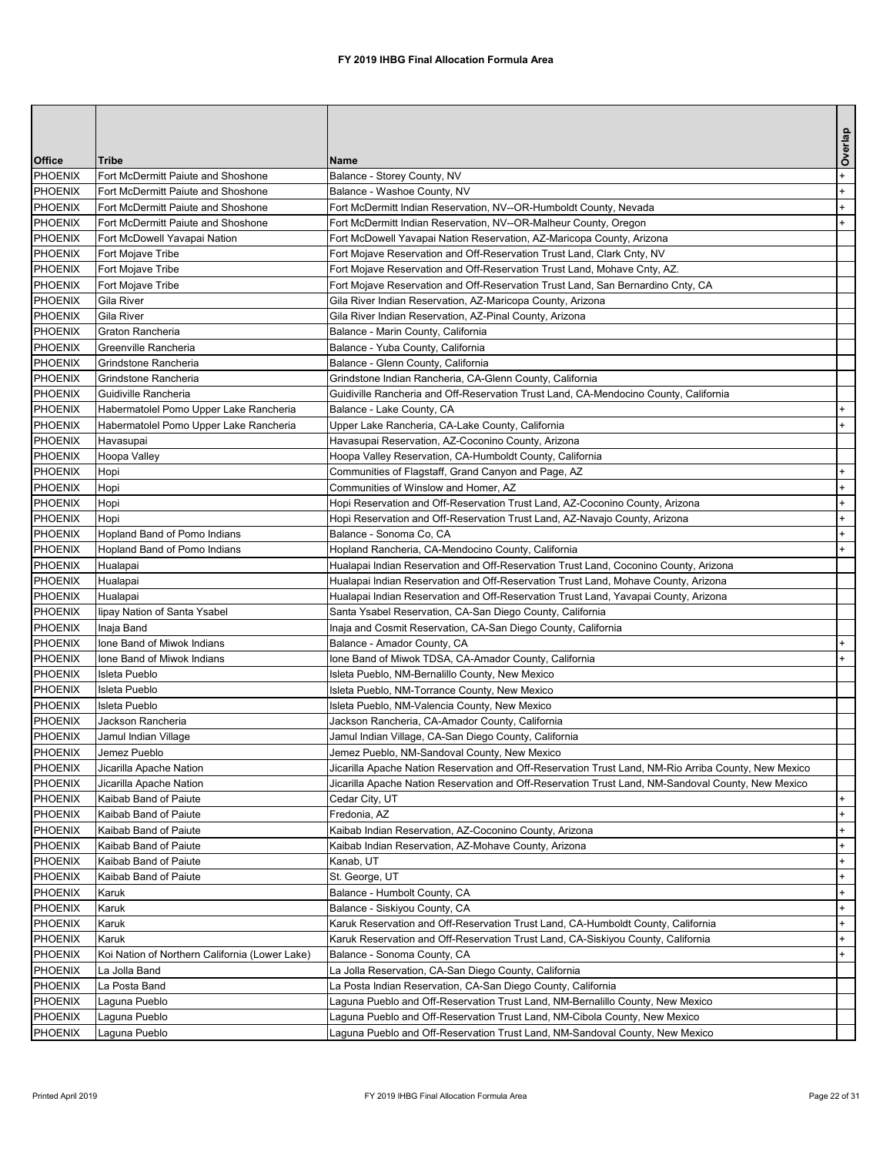|                    |                                                |                                                                                                                                                  | Overlap |
|--------------------|------------------------------------------------|--------------------------------------------------------------------------------------------------------------------------------------------------|---------|
| <b>Office</b>      | <b>Tribe</b>                                   | <b>Name</b>                                                                                                                                      |         |
| PHOENIX            | Fort McDermitt Paiute and Shoshone             | Balance - Storey County, NV                                                                                                                      | $+$     |
| PHOENIX            | Fort McDermitt Paiute and Shoshone             | Balance - Washoe County, NV                                                                                                                      | $+$     |
| PHOENIX            | Fort McDermitt Paiute and Shoshone             | Fort McDermitt Indian Reservation, NV--OR-Humboldt County, Nevada                                                                                | $+$     |
| PHOENIX            | Fort McDermitt Paiute and Shoshone             | Fort McDermitt Indian Reservation, NV--OR-Malheur County, Oregon                                                                                 | $+$     |
| PHOENIX            | Fort McDowell Yavapai Nation                   | Fort McDowell Yavapai Nation Reservation, AZ-Maricopa County, Arizona                                                                            |         |
| PHOENIX            | Fort Mojave Tribe                              | Fort Mojave Reservation and Off-Reservation Trust Land, Clark Cnty, NV                                                                           |         |
| PHOENIX            | Fort Mojave Tribe                              | Fort Mojave Reservation and Off-Reservation Trust Land, Mohave Cnty, AZ.                                                                         |         |
| PHOENIX            | Fort Mojave Tribe                              | Fort Mojave Reservation and Off-Reservation Trust Land, San Bernardino Cnty, CA                                                                  |         |
| PHOENIX            | <b>Gila River</b>                              | Gila River Indian Reservation, AZ-Maricopa County, Arizona                                                                                       |         |
| PHOENIX            | <b>Gila River</b>                              | Gila River Indian Reservation, AZ-Pinal County, Arizona                                                                                          |         |
| PHOENIX            | Graton Rancheria                               | Balance - Marin County, California                                                                                                               |         |
| PHOENIX            | Greenville Rancheria                           | Balance - Yuba County, California                                                                                                                |         |
| PHOENIX            | Grindstone Rancheria                           | Balance - Glenn County, California                                                                                                               |         |
| PHOENIX            | Grindstone Rancheria                           | Grindstone Indian Rancheria, CA-Glenn County, California                                                                                         |         |
| PHOENIX            | Guidiville Rancheria                           | Guidiville Rancheria and Off-Reservation Trust Land, CA-Mendocino County, California                                                             |         |
| PHOENIX            | Habermatolel Pomo Upper Lake Rancheria         | Balance - Lake County, CA                                                                                                                        |         |
| PHOENIX            | Habermatolel Pomo Upper Lake Rancheria         | Upper Lake Rancheria, CA-Lake County, California                                                                                                 | $+$     |
| PHOENIX            | Havasupai                                      | Havasupai Reservation, AZ-Coconino County, Arizona                                                                                               |         |
| PHOENIX            | Hoopa Valley                                   | Hoopa Valley Reservation, CA-Humboldt County, California                                                                                         |         |
| PHOENIX            | Hopi                                           | Communities of Flagstaff, Grand Canyon and Page, AZ                                                                                              | $+$     |
| PHOENIX            | Hopi                                           | Communities of Winslow and Homer, AZ                                                                                                             | $+$     |
| PHOENIX            | Hopi                                           | Hopi Reservation and Off-Reservation Trust Land, AZ-Coconino County, Arizona                                                                     | $+$     |
| PHOENIX            | Hopi                                           | Hopi Reservation and Off-Reservation Trust Land, AZ-Navajo County, Arizona                                                                       | $+$     |
| PHOENIX            | Hopland Band of Pomo Indians                   | Balance - Sonoma Co, CA                                                                                                                          | $+$     |
| PHOENIX            | Hopland Band of Pomo Indians                   | Hopland Rancheria, CA-Mendocino County, California                                                                                               | $+$     |
| PHOENIX            | Hualapai                                       | Hualapai Indian Reservation and Off-Reservation Trust Land, Coconino County, Arizona                                                             |         |
| PHOENIX            | Hualapai                                       | Hualapai Indian Reservation and Off-Reservation Trust Land, Mohave County, Arizona                                                               |         |
| PHOENIX<br>PHOENIX | Hualapai                                       | Hualapai Indian Reservation and Off-Reservation Trust Land, Yavapai County, Arizona<br>Santa Ysabel Reservation, CA-San Diego County, California |         |
| PHOENIX            | lipay Nation of Santa Ysabel                   |                                                                                                                                                  |         |
| PHOENIX            | Inaja Band<br>Ione Band of Miwok Indians       | Inaja and Cosmit Reservation, CA-San Diego County, California<br>Balance - Amador County, CA                                                     | $+$     |
| <b>PHOENIX</b>     | Ione Band of Miwok Indians                     | lone Band of Miwok TDSA, CA-Amador County, California                                                                                            | $+$     |
| PHOENIX            | <b>Isleta Pueblo</b>                           | Isleta Pueblo, NM-Bernalillo County, New Mexico                                                                                                  |         |
| <b>PHOENIX</b>     | <b>Isleta Pueblo</b>                           | Isleta Pueblo, NM-Torrance County, New Mexico                                                                                                    |         |
| PHOENIX            | <b>Isleta Pueblo</b>                           | Isleta Pueblo, NM-Valencia County, New Mexico                                                                                                    |         |
| <b>PHOENIX</b>     | Jackson Rancheria                              | Jackson Rancheria, CA-Amador County, California                                                                                                  |         |
| PHOENIX            | Jamul Indian Village                           | Jamul Indian Village, CA-San Diego County, California                                                                                            |         |
| <b>PHOENIX</b>     | Jemez Pueblo                                   | Jemez Pueblo, NM-Sandoval County, New Mexico                                                                                                     |         |
| PHOENIX            | Jicarilla Apache Nation                        | Jicarilla Apache Nation Reservation and Off-Reservation Trust Land, NM-Rio Arriba County, New Mexico                                             |         |
| <b>PHOENIX</b>     | Jicarilla Apache Nation                        | Jicarilla Apache Nation Reservation and Off-Reservation Trust Land, NM-Sandoval County, New Mexico                                               |         |
| PHOENIX            | Kaibab Band of Paiute                          | Cedar City, UT                                                                                                                                   | $+$     |
| <b>PHOENIX</b>     | Kaibab Band of Paiute                          | Fredonia, AZ                                                                                                                                     |         |
| PHOENIX            | Kaibab Band of Paiute                          | Kaibab Indian Reservation, AZ-Coconino County, Arizona                                                                                           |         |
| <b>PHOENIX</b>     | Kaibab Band of Paiute                          | Kaibab Indian Reservation, AZ-Mohave County, Arizona                                                                                             |         |
| PHOENIX            | Kaibab Band of Paiute                          | Kanab, UT                                                                                                                                        | $+$     |
| PHOENIX            | Kaibab Band of Paiute                          | St. George, UT                                                                                                                                   | $+$     |
| PHOENIX            | Karuk                                          | Balance - Humbolt County, CA                                                                                                                     |         |
| PHOENIX            | Karuk                                          | Balance - Siskiyou County, CA                                                                                                                    | $+$     |
| PHOENIX            | Karuk                                          | Karuk Reservation and Off-Reservation Trust Land, CA-Humboldt County, California                                                                 | $+$     |
| PHOENIX            | Karuk                                          | Karuk Reservation and Off-Reservation Trust Land, CA-Siskiyou County, California                                                                 |         |
| PHOENIX            | Koi Nation of Northern California (Lower Lake) | Balance - Sonoma County, CA                                                                                                                      | $+$     |
| PHOENIX            | La Jolla Band                                  | a Jolla Reservation, CA-San Diego County, California                                                                                             |         |
| PHOENIX            | La Posta Band                                  | a Posta Indian Reservation, CA-San Diego County, California                                                                                      |         |
| PHOENIX            | Laguna Pueblo                                  | aguna Pueblo and Off-Reservation Trust Land, NM-Bernalillo County, New Mexico                                                                    |         |
| PHOENIX            | Laguna Pueblo                                  | aguna Pueblo and Off-Reservation Trust Land, NM-Cibola County, New Mexico                                                                        |         |
|                    | PHOENIX Laguna Pueblo                          | Laguna Pueblo and Off-Reservation Trust Land, NM-Sandoval County, New Mexico                                                                     |         |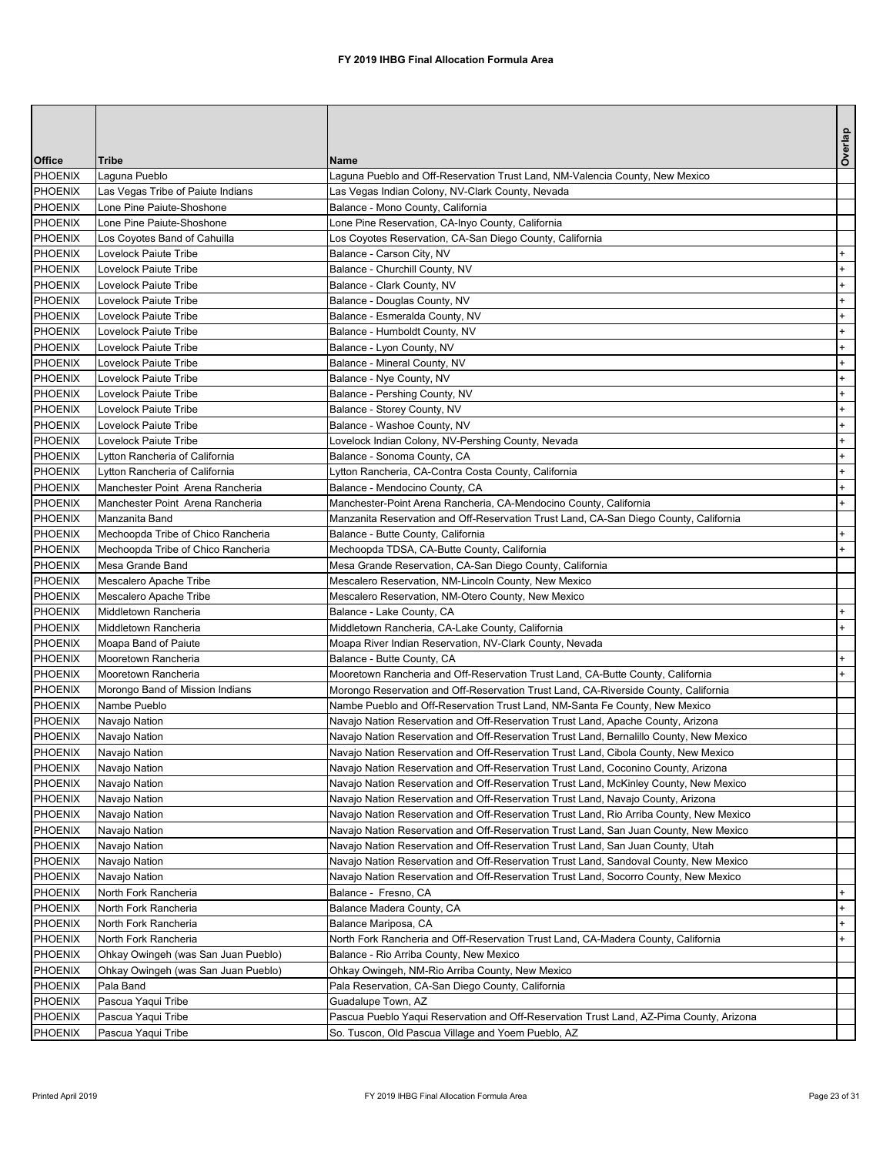|                |                                     |                                                                                         | Overlap |
|----------------|-------------------------------------|-----------------------------------------------------------------------------------------|---------|
| <b>Office</b>  | <b>Tribe</b>                        | <b>Name</b>                                                                             |         |
| <b>PHOENIX</b> | Laguna Pueblo                       | Laguna Pueblo and Off-Reservation Trust Land, NM-Valencia County, New Mexico            |         |
| <b>PHOENIX</b> | Las Vegas Tribe of Paiute Indians   | Las Vegas Indian Colony, NV-Clark County, Nevada                                        |         |
| <b>PHOENIX</b> | Lone Pine Paiute-Shoshone           | Balance - Mono County, California                                                       |         |
| <b>PHOENIX</b> | Lone Pine Paiute-Shoshone           | Lone Pine Reservation, CA-Inyo County, California                                       |         |
| <b>PHOENIX</b> | Los Coyotes Band of Cahuilla        | Los Coyotes Reservation, CA-San Diego County, California                                |         |
| <b>PHOENIX</b> | Lovelock Paiute Tribe               | Balance - Carson City, NV                                                               |         |
| <b>PHOENIX</b> | Lovelock Paiute Tribe               | Balance - Churchill County, NV                                                          |         |
| <b>PHOENIX</b> | Lovelock Paiute Tribe               | Balance - Clark County, NV                                                              |         |
| PHOENIX        | Lovelock Paiute Tribe               | Balance - Douglas County, NV                                                            |         |
| <b>PHOENIX</b> | Lovelock Paiute Tribe               | Balance - Esmeralda County, NV                                                          |         |
| <b>PHOENIX</b> | Lovelock Paiute Tribe               | Balance - Humboldt County, NV                                                           |         |
| <b>PHOENIX</b> | Lovelock Paiute Tribe               | Balance - Lyon County, NV                                                               |         |
| <b>PHOENIX</b> | Lovelock Paiute Tribe               | Balance - Mineral County, NV                                                            |         |
| <b>PHOENIX</b> | Lovelock Paiute Tribe               | Balance - Nye County, NV                                                                |         |
| <b>PHOENIX</b> | Lovelock Paiute Tribe               | Balance - Pershing County, NV                                                           |         |
| <b>PHOENIX</b> | Lovelock Paiute Tribe               | Balance - Storey County, NV                                                             |         |
| <b>PHOENIX</b> | Lovelock Paiute Tribe               | Balance - Washoe County, NV                                                             |         |
| <b>PHOENIX</b> | Lovelock Paiute Tribe               | Lovelock Indian Colony, NV-Pershing County, Nevada                                      |         |
| <b>PHOENIX</b> | Lytton Rancheria of California      | Balance - Sonoma County, CA                                                             |         |
| <b>PHOENIX</b> | Lytton Rancheria of California      | Lytton Rancheria, CA-Contra Costa County, California                                    |         |
| <b>PHOENIX</b> | Manchester Point Arena Rancheria    | Balance - Mendocino County, CA                                                          |         |
| <b>PHOENIX</b> | Manchester Point Arena Rancheria    | Manchester-Point Arena Rancheria, CA-Mendocino County, California                       |         |
| <b>PHOENIX</b> | Manzanita Band                      | Manzanita Reservation and Off-Reservation Trust Land, CA-San Diego County, California   |         |
| <b>PHOENIX</b> | Mechoopda Tribe of Chico Rancheria  | Balance - Butte County, California                                                      |         |
| <b>PHOENIX</b> | Mechoopda Tribe of Chico Rancheria  | Mechoopda TDSA, CA-Butte County, California                                             |         |
| PHOENIX        | Mesa Grande Band                    | Mesa Grande Reservation, CA-San Diego County, California                                |         |
| <b>PHOENIX</b> | Mescalero Apache Tribe              | Mescalero Reservation, NM-Lincoln County, New Mexico                                    |         |
| <b>PHOENIX</b> | Mescalero Apache Tribe              | Mescalero Reservation, NM-Otero County, New Mexico                                      |         |
| <b>PHOENIX</b> | Middletown Rancheria                | Balance - Lake County, CA                                                               |         |
| <b>PHOENIX</b> | Middletown Rancheria                | Middletown Rancheria, CA-Lake County, California                                        |         |
| <b>PHOENIX</b> | Moapa Band of Paiute                | Moapa River Indian Reservation, NV-Clark County, Nevada                                 |         |
| <b>PHOENIX</b> | Mooretown Rancheria                 | Balance - Butte County, CA                                                              |         |
| <b>PHOENIX</b> | Mooretown Rancheria                 | Mooretown Rancheria and Off-Reservation Trust Land, CA-Butte County, California         |         |
| <b>PHOENIX</b> | Morongo Band of Mission Indians     | Morongo Reservation and Off-Reservation Trust Land, CA-Riverside County, California     |         |
| <b>PHOENIX</b> | Nambe Pueblo                        | Nambe Pueblo and Off-Reservation Trust Land, NM-Santa Fe County, New Mexico             |         |
| <b>PHOENIX</b> | Navajo Nation                       | Navajo Nation Reservation and Off-Reservation Trust Land, Apache County, Arizona        |         |
| <b>PHOENIX</b> | Navajo Nation                       | Navajo Nation Reservation and Off-Reservation Trust Land, Bernalillo County, New Mexico |         |
| <b>PHOENIX</b> | Navajo Nation                       | Navajo Nation Reservation and Off-Reservation Trust Land, Cibola County, New Mexico     |         |
| <b>PHOENIX</b> | Navajo Nation                       | Navajo Nation Reservation and Off-Reservation Trust Land, Coconino County, Arizona      |         |
| <b>PHOENIX</b> | Navajo Nation                       | Navajo Nation Reservation and Off-Reservation Trust Land, McKinley County, New Mexico   |         |
| <b>PHOENIX</b> | Navajo Nation                       | Navajo Nation Reservation and Off-Reservation Trust Land, Navajo County, Arizona        |         |
| <b>PHOENIX</b> | Navajo Nation                       | Navajo Nation Reservation and Off-Reservation Trust Land, Rio Arriba County, New Mexico |         |
| <b>PHOENIX</b> | Navajo Nation                       | Navajo Nation Reservation and Off-Reservation Trust Land, San Juan County, New Mexico   |         |
| <b>PHOENIX</b> | Navajo Nation                       | Navajo Nation Reservation and Off-Reservation Trust Land, San Juan County, Utah         |         |
| <b>PHOENIX</b> | Navajo Nation                       | Navajo Nation Reservation and Off-Reservation Trust Land, Sandoval County, New Mexico   |         |
| <b>PHOENIX</b> | Navajo Nation                       | Navajo Nation Reservation and Off-Reservation Trust Land, Socorro County, New Mexico    |         |
| <b>PHOENIX</b> | North Fork Rancheria                | Balance - Fresno, CA                                                                    |         |
| <b>PHOENIX</b> | North Fork Rancheria                | Balance Madera County, CA                                                               |         |
| <b>PHOENIX</b> | North Fork Rancheria                | Balance Mariposa, CA                                                                    |         |
| <b>PHOENIX</b> | North Fork Rancheria                | North Fork Rancheria and Off-Reservation Trust Land, CA-Madera County, California       |         |
| <b>PHOENIX</b> | Ohkay Owingeh (was San Juan Pueblo) | Balance - Rio Arriba County, New Mexico                                                 |         |
| <b>PHOENIX</b> | Ohkay Owingeh (was San Juan Pueblo) | Ohkay Owingeh, NM-Rio Arriba County, New Mexico                                         |         |
| <b>PHOENIX</b> | Pala Band                           | Pala Reservation, CA-San Diego County, California                                       |         |
| <b>PHOENIX</b> | Pascua Yaqui Tribe                  | Guadalupe Town, AZ                                                                      |         |
| <b>PHOENIX</b> | Pascua Yaqui Tribe                  | Pascua Pueblo Yaqui Reservation and Off-Reservation Trust Land, AZ-Pima County, Arizona |         |
| PHOENIX        | Pascua Yaqui Tribe                  | So. Tuscon, Old Pascua Village and Yoem Pueblo, AZ                                      |         |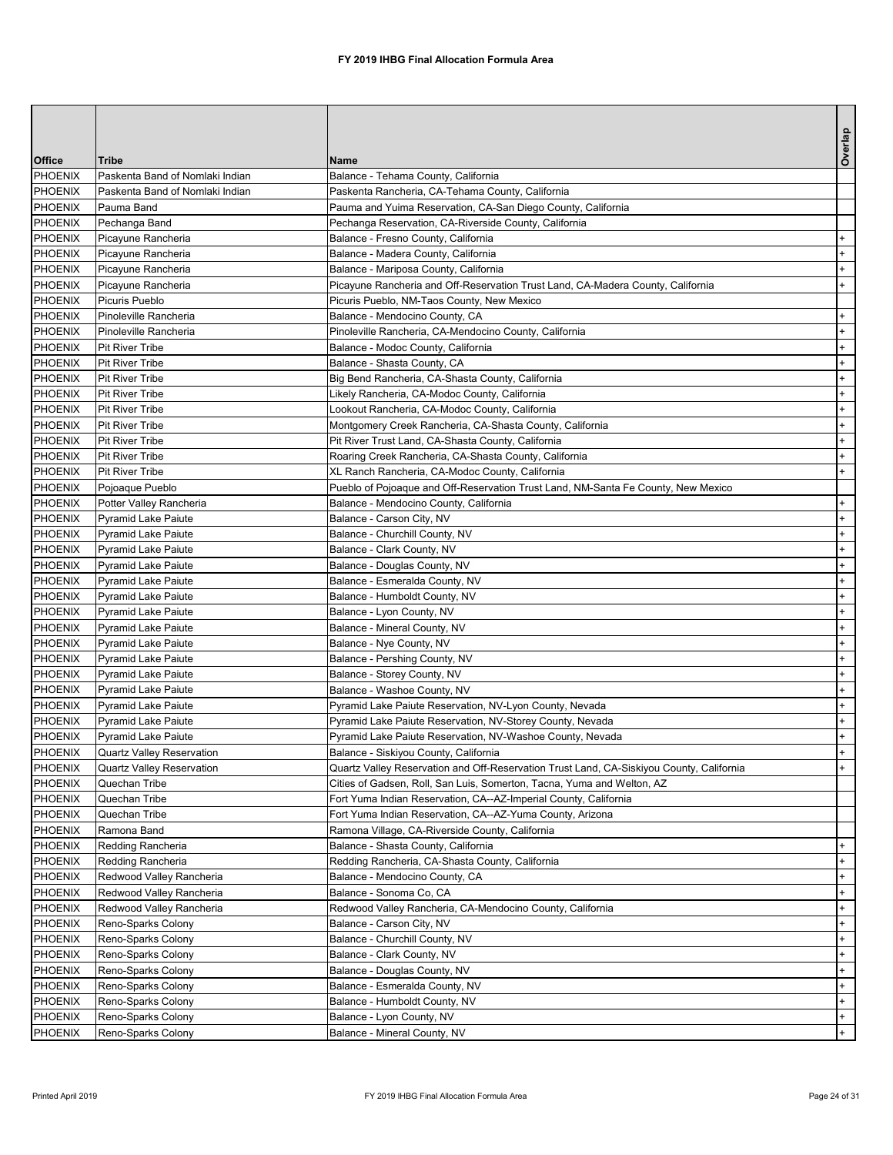|                           |                                             |                                                                                                                               | Overlap    |
|---------------------------|---------------------------------------------|-------------------------------------------------------------------------------------------------------------------------------|------------|
| <b>Office</b>             | <b>Tribe</b>                                | <b>Name</b>                                                                                                                   |            |
| <b>PHOENIX</b>            | Paskenta Band of Nomlaki Indian             | Balance - Tehama County, California                                                                                           |            |
| PHOENIX                   | Paskenta Band of Nomlaki Indian             | Paskenta Rancheria, CA-Tehama County, California                                                                              |            |
| PHOENIX                   | Pauma Band                                  | Pauma and Yuima Reservation, CA-San Diego County, California                                                                  |            |
| PHOENIX                   | Pechanga Band                               | Pechanga Reservation, CA-Riverside County, California                                                                         |            |
| PHOENIX                   | Picayune Rancheria                          | Balance - Fresno County, California                                                                                           | $+$        |
| PHOENIX                   | Picayune Rancheria                          | Balance - Madera County, California                                                                                           | $+$        |
| <b>PHOENIX</b><br>PHOENIX | Picayune Rancheria                          | Balance - Mariposa County, California                                                                                         | $+$<br>$+$ |
| PHOENIX                   | Picayune Rancheria<br><b>Picuris Pueblo</b> | Picayune Rancheria and Off-Reservation Trust Land, CA-Madera County, California<br>Picuris Pueblo, NM-Taos County, New Mexico |            |
| PHOENIX                   | Pinoleville Rancheria                       | Balance - Mendocino County, CA                                                                                                | $+$        |
| PHOENIX                   | Pinoleville Rancheria                       | Pinoleville Rancheria, CA-Mendocino County, California                                                                        | $+$        |
| PHOENIX                   | <b>Pit River Tribe</b>                      | Balance - Modoc County, California                                                                                            | $+$        |
| PHOENIX                   | <b>Pit River Tribe</b>                      | Balance - Shasta County, CA                                                                                                   | $+$        |
| PHOENIX                   | <b>Pit River Tribe</b>                      | Big Bend Rancheria, CA-Shasta County, California                                                                              | $+$        |
| PHOENIX                   | <b>Pit River Tribe</b>                      | Likely Rancheria, CA-Modoc County, California                                                                                 | $+$        |
| PHOENIX                   | <b>Pit River Tribe</b>                      | Lookout Rancheria, CA-Modoc County, California                                                                                | $+$        |
| <b>PHOENIX</b>            | <b>Pit River Tribe</b>                      | Montgomery Creek Rancheria, CA-Shasta County, California                                                                      | $+$        |
| PHOENIX                   | <b>Pit River Tribe</b>                      | Pit River Trust Land, CA-Shasta County, California                                                                            | $+$        |
| PHOENIX                   | <b>Pit River Tribe</b>                      | Roaring Creek Rancheria, CA-Shasta County, California                                                                         | $+$        |
| PHOENIX                   | <b>Pit River Tribe</b>                      | XL Ranch Rancheria, CA-Modoc County, California                                                                               | $+$        |
| PHOENIX                   | Pojoaque Pueblo                             | Pueblo of Pojoaque and Off-Reservation Trust Land, NM-Santa Fe County, New Mexico                                             |            |
| PHOENIX                   | Potter Valley Rancheria                     | Balance - Mendocino County, California                                                                                        | $+$        |
| PHOENIX                   | <b>Pyramid Lake Paiute</b>                  | Balance - Carson City, NV                                                                                                     | $+$        |
| PHOENIX                   | Pyramid Lake Paiute                         | Balance - Churchill County, NV                                                                                                | $+$        |
| PHOENIX                   | Pyramid Lake Paiute                         | Balance - Clark County, NV                                                                                                    | $+$        |
| PHOENIX                   | Pyramid Lake Paiute                         | Balance - Douglas County, NV                                                                                                  | $+$        |
| PHOENIX                   | Pyramid Lake Paiute                         | Balance - Esmeralda County, NV                                                                                                | $+$        |
| PHOENIX                   | Pyramid Lake Paiute                         | Balance - Humboldt County, NV                                                                                                 | $+$        |
| <b>PHOENIX</b>            | <b>Pyramid Lake Paiute</b>                  | Balance - Lyon County, NV                                                                                                     | $+$        |
| PHOENIX                   | Pyramid Lake Paiute                         | Balance - Mineral County, NV                                                                                                  | $+$        |
| <b>PHOENIX</b><br>PHOENIX | Pyramid Lake Paiute<br>Pyramid Lake Paiute  | Balance - Nye County, NV<br>Balance - Pershing County, NV                                                                     | $+$<br>$+$ |
| <b>PHOENIX</b>            | <b>Pyramid Lake Paiute</b>                  | Balance - Storey County, NV                                                                                                   | $+$        |
| <b>PHOENIX</b>            | Pyramid Lake Paiute                         | Balance - Washoe County, NV                                                                                                   | $+$        |
| <b>PHOENIX</b>            | Pyramid Lake Paiute                         | Pyramid Lake Paiute Reservation, NV-Lyon County, Nevada                                                                       | $+$        |
| <b>PHOENIX</b>            | Pyramid Lake Paiute                         | Pyramid Lake Paiute Reservation, NV-Storey County, Nevada                                                                     | $+$        |
| <b>PHOENIX</b>            | Pyramid Lake Paiute                         | Pyramid Lake Paiute Reservation, NV-Washoe County, Nevada                                                                     | $+$        |
| PHOENIX                   | Quartz Valley Reservation                   | Balance - Siskiyou County, California                                                                                         | $+$        |
| PHOENIX                   | Quartz Valley Reservation                   | Quartz Valley Reservation and Off-Reservation Trust Land, CA-Siskiyou County, California                                      | $+$        |
| PHOENIX                   | Quechan Tribe                               | Cities of Gadsen, Roll, San Luis, Somerton, Tacna, Yuma and Welton, AZ                                                        |            |
| <b>PHOENIX</b>            | Quechan Tribe                               | Fort Yuma Indian Reservation, CA--AZ-Imperial County, California                                                              |            |
| PHOENIX                   | Quechan Tribe                               | Fort Yuma Indian Reservation, CA--AZ-Yuma County, Arizona                                                                     |            |
| PHOENIX                   | Ramona Band                                 | Ramona Village, CA-Riverside County, California                                                                               |            |
| PHOENIX                   | Redding Rancheria                           | Balance - Shasta County, California                                                                                           | $+$        |
| <b>PHOENIX</b>            | Redding Rancheria                           | Redding Rancheria, CA-Shasta County, California                                                                               | $+$        |
| <b>PHOENIX</b>            | Redwood Valley Rancheria                    | Balance - Mendocino County, CA                                                                                                | $+$        |
| PHOENIX                   | Redwood Valley Rancheria                    | Balance - Sonoma Co, CA                                                                                                       | $+$        |
| PHOENIX                   | Redwood Valley Rancheria                    | Redwood Valley Rancheria, CA-Mendocino County, California                                                                     | $+$        |
| PHOENIX                   | Reno-Sparks Colony                          | Balance - Carson City, NV                                                                                                     | $+$        |
| PHOENIX                   | Reno-Sparks Colony                          | Balance - Churchill County, NV                                                                                                | $+$        |
| PHOENIX                   | Reno-Sparks Colony                          | Balance - Clark County, NV                                                                                                    | $+$        |
| PHOENIX                   | Reno-Sparks Colony                          | Balance - Douglas County, NV                                                                                                  | $+$        |
| PHOENIX                   | Reno-Sparks Colony                          | Balance - Esmeralda County, NV                                                                                                | $+$        |
| PHOENIX                   | Reno-Sparks Colony                          | Balance - Humboldt County, NV                                                                                                 | $+$        |
| PHOENIX                   | Reno-Sparks Colony                          | Balance - Lyon County, NV                                                                                                     | $+$<br>$+$ |
| PHOENIX                   | Reno-Sparks Colony                          | Balance - Mineral County, NV                                                                                                  |            |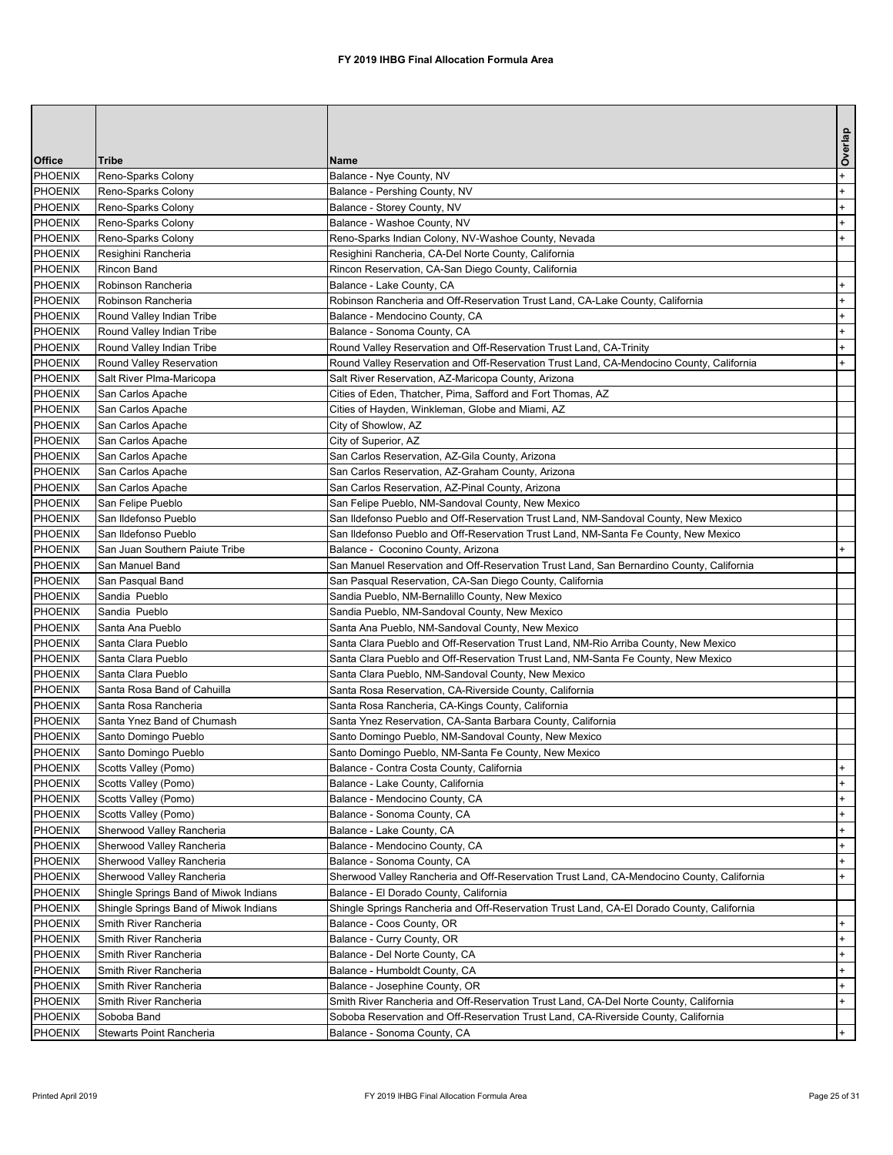|                                  |                                                 |                                                                                                                 | Overlap    |
|----------------------------------|-------------------------------------------------|-----------------------------------------------------------------------------------------------------------------|------------|
| <b>Office</b>                    | <b>Tribe</b>                                    | Name                                                                                                            |            |
| <b>PHOENIX</b>                   | Reno-Sparks Colony                              | Balance - Nye County, NV                                                                                        | $+$        |
| <b>PHOENIX</b>                   | Reno-Sparks Colony                              | Balance - Pershing County, NV                                                                                   | $+$        |
| <b>PHOENIX</b>                   | Reno-Sparks Colony                              | Balance - Storey County, NV                                                                                     | $+$        |
| <b>PHOENIX</b>                   | Reno-Sparks Colony                              | Balance - Washoe County, NV                                                                                     | $+$        |
| <b>PHOENIX</b>                   | Reno-Sparks Colony                              | Reno-Sparks Indian Colony, NV-Washoe County, Nevada                                                             | $+$        |
| <b>PHOENIX</b>                   | Resighini Rancheria                             | Resighini Rancheria, CA-Del Norte County, California                                                            |            |
| <b>PHOENIX</b>                   | <b>Rincon Band</b>                              | Rincon Reservation, CA-San Diego County, California                                                             |            |
| PHOENIX                          | Robinson Rancheria                              | Balance - Lake County, CA                                                                                       | $+$        |
| <b>PHOENIX</b><br><b>PHOENIX</b> | Robinson Rancheria<br>Round Valley Indian Tribe | Robinson Rancheria and Off-Reservation Trust Land, CA-Lake County, California<br>Balance - Mendocino County, CA | $+$<br>$+$ |
| PHOENIX                          | Round Valley Indian Tribe                       | Balance - Sonoma County, CA                                                                                     | $+$        |
| PHOENIX                          | Round Valley Indian Tribe                       | Round Valley Reservation and Off-Reservation Trust Land, CA-Trinity                                             | $+$        |
| PHOENIX                          | Round Valley Reservation                        | Round Valley Reservation and Off-Reservation Trust Land, CA-Mendocino County, California                        | $+$        |
| PHOENIX                          | Salt River Plma-Maricopa                        | Salt River Reservation, AZ-Maricopa County, Arizona                                                             |            |
| PHOENIX                          | San Carlos Apache                               | Cities of Eden, Thatcher, Pima, Safford and Fort Thomas, AZ                                                     |            |
| PHOENIX                          | San Carlos Apache                               | Cities of Hayden, Winkleman, Globe and Miami, AZ                                                                |            |
| PHOENIX                          | San Carlos Apache                               | City of Showlow, AZ                                                                                             |            |
| PHOENIX                          | San Carlos Apache                               | City of Superior, AZ                                                                                            |            |
| PHOENIX                          | San Carlos Apache                               | San Carlos Reservation, AZ-Gila County, Arizona                                                                 |            |
| PHOENIX                          | San Carlos Apache                               | San Carlos Reservation, AZ-Graham County, Arizona                                                               |            |
| PHOENIX                          | San Carlos Apache                               | San Carlos Reservation, AZ-Pinal County, Arizona                                                                |            |
| PHOENIX                          | San Felipe Pueblo                               | San Felipe Pueblo, NM-Sandoval County, New Mexico                                                               |            |
| PHOENIX                          | San Ildefonso Pueblo                            | San Ildefonso Pueblo and Off-Reservation Trust Land, NM-Sandoval County, New Mexico                             |            |
| PHOENIX                          | San Ildefonso Pueblo                            | San Ildefonso Pueblo and Off-Reservation Trust Land, NM-Santa Fe County, New Mexico                             |            |
| <b>PHOENIX</b>                   | San Juan Southern Paiute Tribe                  | Balance - Coconino County, Arizona                                                                              | $+$        |
| PHOENIX                          | San Manuel Band                                 | San Manuel Reservation and Off-Reservation Trust Land, San Bernardino County, California                        |            |
| PHOENIX                          | San Pasqual Band                                | San Pasqual Reservation, CA-San Diego County, California                                                        |            |
| <b>PHOENIX</b>                   | Sandia Pueblo                                   | Sandia Pueblo, NM-Bernalillo County, New Mexico                                                                 |            |
| PHOENIX                          | Sandia Pueblo                                   | Sandia Pueblo, NM-Sandoval County, New Mexico                                                                   |            |
| <b>PHOENIX</b>                   | Santa Ana Pueblo                                | Santa Ana Pueblo, NM-Sandoval County, New Mexico                                                                |            |
| PHOENIX                          | Santa Clara Pueblo                              | Santa Clara Pueblo and Off-Reservation Trust Land, NM-Rio Arriba County, New Mexico                             |            |
| <b>PHOENIX</b>                   | Santa Clara Pueblo                              | Santa Clara Pueblo and Off-Reservation Trust Land, NM-Santa Fe County, New Mexico                               |            |
| PHOENIX                          | Santa Clara Pueblo                              | Santa Clara Pueblo, NM-Sandoval County, New Mexico                                                              |            |
| <b>PHOENIX</b>                   | Santa Rosa Band of Cahuilla                     | Santa Rosa Reservation, CA-Riverside County, California                                                         |            |
| PHOENIX                          | Santa Rosa Rancheria                            | Santa Rosa Rancheria, CA-Kings County, California                                                               |            |
| PHOENIX                          | Santa Ynez Band of Chumash                      | Santa Ynez Reservation, CA-Santa Barbara County, California                                                     |            |
| PHOENIX                          | Santo Domingo Pueblo                            | Santo Domingo Pueblo, NM-Sandoval County, New Mexico                                                            |            |
| <b>PHOENIX</b><br>PHOENIX        | Santo Domingo Pueblo<br>Scotts Valley (Pomo)    | Santo Domingo Pueblo, NM-Santa Fe County, New Mexico                                                            | $+$        |
| <b>PHOENIX</b>                   | Scotts Valley (Pomo)                            | Balance - Contra Costa County, California<br>Balance - Lake County, California                                  | $+$        |
| PHOENIX                          | Scotts Valley (Pomo)                            | Balance - Mendocino County, CA                                                                                  | $+$        |
| <b>PHOENIX</b>                   | Scotts Valley (Pomo)                            | Balance - Sonoma County, CA                                                                                     | $+$        |
| PHOENIX                          | Sherwood Valley Rancheria                       | Balance - Lake County, CA                                                                                       | $+$        |
| <b>PHOENIX</b>                   | Sherwood Valley Rancheria                       | Balance - Mendocino County, CA                                                                                  | $+$        |
| <b>PHOENIX</b>                   | Sherwood Valley Rancheria                       | Balance - Sonoma County, CA                                                                                     | $+$        |
| <b>PHOENIX</b>                   | Sherwood Valley Rancheria                       | Sherwood Valley Rancheria and Off-Reservation Trust Land, CA-Mendocino County, California                       | $+$        |
| PHOENIX                          | Shingle Springs Band of Miwok Indians           | Balance - El Dorado County, California                                                                          |            |
| <b>PHOENIX</b>                   | Shingle Springs Band of Miwok Indians           | Shingle Springs Rancheria and Off-Reservation Trust Land, CA-El Dorado County, California                       |            |
| <b>PHOENIX</b>                   | Smith River Rancheria                           | Balance - Coos County, OR                                                                                       | $+$        |
| <b>PHOENIX</b>                   | Smith River Rancheria                           | Balance - Curry County, OR                                                                                      | $+$        |
| <b>PHOENIX</b>                   | Smith River Rancheria                           | Balance - Del Norte County, CA                                                                                  | $+$        |
| <b>PHOENIX</b>                   | Smith River Rancheria                           | Balance - Humboldt County, CA                                                                                   | $+$        |
| PHOENIX                          | Smith River Rancheria                           | Balance - Josephine County, OR                                                                                  | $+$        |
| PHOENIX                          | Smith River Rancheria                           | Smith River Rancheria and Off-Reservation Trust Land, CA-Del Norte County, California                           | $+$        |
| PHOENIX                          | Soboba Band                                     | Soboba Reservation and Off-Reservation Trust Land, CA-Riverside County, California                              |            |
| PHOENIX                          | Stewarts Point Rancheria                        | Balance - Sonoma County, CA                                                                                     | $+$        |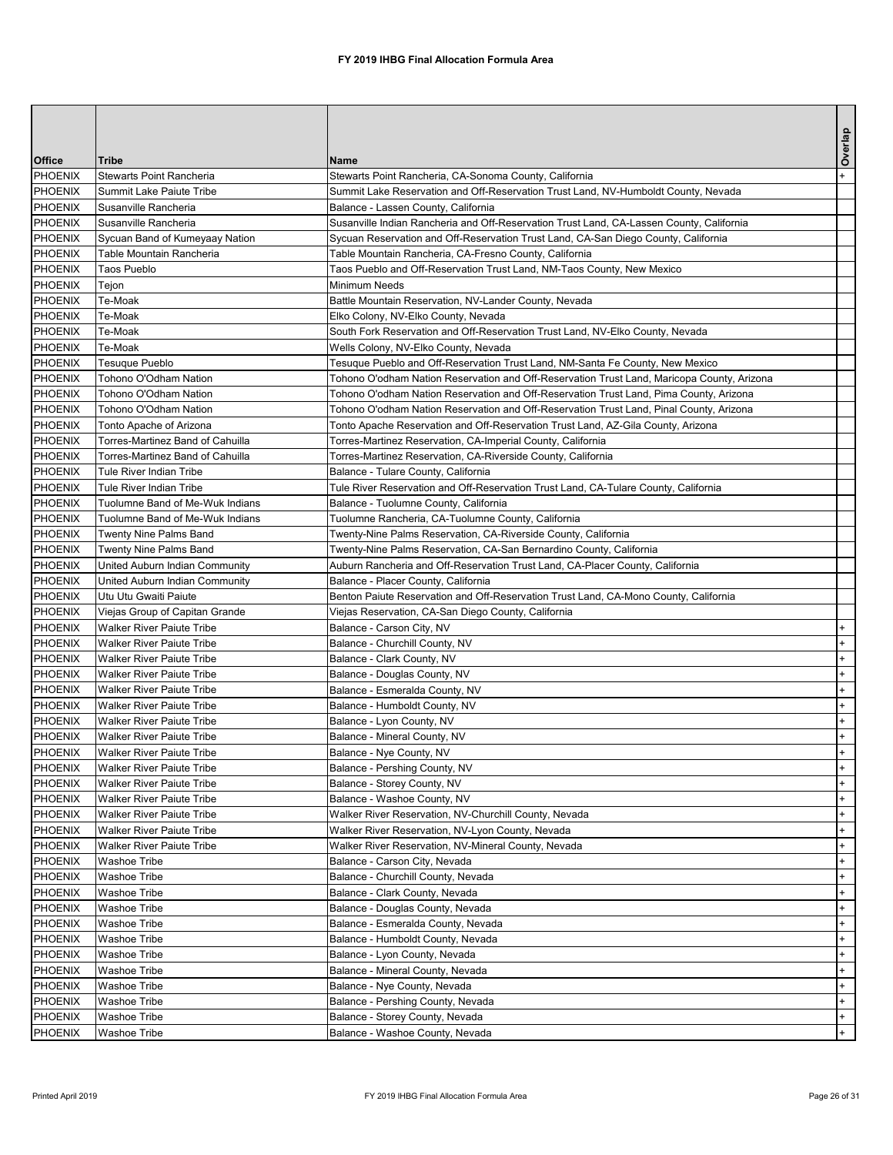|                    |                                                                      |                                                                                                                      | Overlap |
|--------------------|----------------------------------------------------------------------|----------------------------------------------------------------------------------------------------------------------|---------|
| <b>Office</b>      | <b>Tribe</b>                                                         | <b>Name</b>                                                                                                          |         |
| <b>PHOENIX</b>     | <b>Stewarts Point Rancheria</b>                                      | Stewarts Point Rancheria, CA-Sonoma County, California                                                               | $+$     |
| <b>PHOENIX</b>     | Summit Lake Paiute Tribe                                             | Summit Lake Reservation and Off-Reservation Trust Land, NV-Humboldt County, Nevada                                   |         |
| PHOENIX            | Susanville Rancheria                                                 | Balance - Lassen County, California                                                                                  |         |
| PHOENIX            | Susanville Rancheria                                                 | Susanville Indian Rancheria and Off-Reservation Trust Land, CA-Lassen County, California                             |         |
| PHOENIX            | Sycuan Band of Kumeyaay Nation                                       | Sycuan Reservation and Off-Reservation Trust Land, CA-San Diego County, California                                   |         |
| PHOENIX            | Table Mountain Rancheria                                             | Table Mountain Rancheria, CA-Fresno County, California                                                               |         |
| PHOENIX            | <b>Taos Pueblo</b>                                                   | Taos Pueblo and Off-Reservation Trust Land, NM-Taos County, New Mexico                                               |         |
| PHOENIX            | Tejon                                                                | <b>Minimum Needs</b>                                                                                                 |         |
| <b>PHOENIX</b>     | Te-Moak                                                              | Battle Mountain Reservation, NV-Lander County, Nevada                                                                |         |
| PHOENIX<br>PHOENIX | Te-Moak<br>Te-Moak                                                   | Elko Colony, NV-Elko County, Nevada<br>South Fork Reservation and Off-Reservation Trust Land, NV-Elko County, Nevada |         |
| <b>PHOENIX</b>     | Te-Moak                                                              | Wells Colony, NV-Elko County, Nevada                                                                                 |         |
| <b>PHOENIX</b>     | <b>Tesuque Pueblo</b>                                                | Tesuque Pueblo and Off-Reservation Trust Land, NM-Santa Fe County, New Mexico                                        |         |
| PHOENIX            | Tohono O'Odham Nation                                                | Tohono O'odham Nation Reservation and Off-Reservation Trust Land, Maricopa County, Arizona                           |         |
| <b>PHOENIX</b>     | Tohono O'Odham Nation                                                | Tohono O'odham Nation Reservation and Off-Reservation Trust Land, Pima County, Arizona                               |         |
| <b>PHOENIX</b>     | Tohono O'Odham Nation                                                | Tohono O'odham Nation Reservation and Off-Reservation Trust Land, Pinal County, Arizona                              |         |
| <b>PHOENIX</b>     | Tonto Apache of Arizona                                              | Tonto Apache Reservation and Off-Reservation Trust Land, AZ-Gila County, Arizona                                     |         |
| PHOENIX            | Torres-Martinez Band of Cahuilla                                     | Torres-Martinez Reservation, CA-Imperial County, California                                                          |         |
| <b>PHOENIX</b>     | Torres-Martinez Band of Cahuilla                                     | Torres-Martinez Reservation, CA-Riverside County, California                                                         |         |
| <b>PHOENIX</b>     | Tule River Indian Tribe                                              | Balance - Tulare County, California                                                                                  |         |
| <b>PHOENIX</b>     | Tule River Indian Tribe                                              | Tule River Reservation and Off-Reservation Trust Land, CA-Tulare County, California                                  |         |
| PHOENIX            | Tuolumne Band of Me-Wuk Indians                                      | Balance - Tuolumne County, California                                                                                |         |
| <b>PHOENIX</b>     | Tuolumne Band of Me-Wuk Indians                                      | Tuolumne Rancheria, CA-Tuolumne County, California                                                                   |         |
| PHOENIX            | <b>Twenty Nine Palms Band</b>                                        | Twenty-Nine Palms Reservation, CA-Riverside County, California                                                       |         |
| <b>PHOENIX</b>     | Twenty Nine Palms Band                                               | Twenty-Nine Palms Reservation, CA-San Bernardino County, California                                                  |         |
| PHOENIX            | United Auburn Indian Community                                       | Auburn Rancheria and Off-Reservation Trust Land, CA-Placer County, California                                        |         |
| PHOENIX            | United Auburn Indian Community                                       | Balance - Placer County, California                                                                                  |         |
| PHOENIX            | Utu Utu Gwaiti Paiute                                                | Benton Paiute Reservation and Off-Reservation Trust Land, CA-Mono County, California                                 |         |
| PHOENIX            | Viejas Group of Capitan Grande                                       | Viejas Reservation, CA-San Diego County, California                                                                  |         |
| PHOENIX            | <b>Walker River Paiute Tribe</b>                                     | Balance - Carson City, NV                                                                                            |         |
| PHOENIX            | <b>Walker River Paiute Tribe</b>                                     | Balance - Churchill County, NV                                                                                       |         |
| PHOENIX            | <b>Walker River Paiute Tribe</b>                                     | Balance - Clark County, NV                                                                                           |         |
| PHOENIX            | <b>Walker River Paiute Tribe</b>                                     | Balance - Douglas County, NV                                                                                         |         |
| PHOENIX            | <b>Walker River Paiute Tribe</b>                                     | Balance - Esmeralda County, NV                                                                                       |         |
| PHOENIX            | <b>Walker River Paiute Tribe</b>                                     | Balance - Humboldt County, NV                                                                                        |         |
| PHOENIX            | <b>Walker River Paiute Tribe</b>                                     | Balance - Lyon County, NV                                                                                            |         |
| PHOENIX            | <b>Walker River Paiute Tribe</b>                                     | Balance - Mineral County, NV                                                                                         |         |
| PHOENIX            | <b>Walker River Paiute Tribe</b>                                     | Balance - Nye County, NV                                                                                             |         |
| PHOENIX            | <b>Walker River Paiute Tribe</b>                                     | Balance - Pershing County, NV                                                                                        |         |
| PHOENIX            | <b>Walker River Paiute Tribe</b>                                     | Balance - Storey County, NV                                                                                          |         |
| PHOENIX            | <b>Walker River Paiute Tribe</b>                                     | Balance - Washoe County, NV                                                                                          |         |
| PHOENIX<br>PHOENIX | <b>Walker River Paiute Tribe</b><br><b>Walker River Paiute Tribe</b> | Walker River Reservation, NV-Churchill County, Nevada<br>Walker River Reservation, NV-Lyon County, Nevada            |         |
| PHOENIX            | <b>Walker River Paiute Tribe</b>                                     | Walker River Reservation, NV-Mineral County, Nevada                                                                  |         |
| PHOENIX            | <b>Washoe Tribe</b>                                                  | Balance - Carson City, Nevada                                                                                        | $+$     |
| <b>PHOENIX</b>     | <b>Washoe Tribe</b>                                                  | Balance - Churchill County, Nevada                                                                                   |         |
| PHOENIX            | <b>Washoe Tribe</b>                                                  | Balance - Clark County, Nevada                                                                                       |         |
| <b>PHOENIX</b>     | <b>Washoe Tribe</b>                                                  | Balance - Douglas County, Nevada                                                                                     |         |
| PHOENIX            | <b>Washoe Tribe</b>                                                  | Balance - Esmeralda County, Nevada                                                                                   |         |
| <b>PHOENIX</b>     | <b>Washoe Tribe</b>                                                  | Balance - Humboldt County, Nevada                                                                                    |         |
| PHOENIX            | <b>Washoe Tribe</b>                                                  | Balance - Lyon County, Nevada                                                                                        |         |
| <b>PHOENIX</b>     | <b>Washoe Tribe</b>                                                  | Balance - Mineral County, Nevada                                                                                     |         |
| PHOENIX            | <b>Washoe Tribe</b>                                                  | Balance - Nye County, Nevada                                                                                         |         |
| PHOENIX            | <b>Washoe Tribe</b>                                                  | Balance - Pershing County, Nevada                                                                                    |         |
| PHOENIX            | <b>Washoe Tribe</b>                                                  | Balance - Storey County, Nevada                                                                                      | $+$     |
| PHOENIX            | <b>Washoe Tribe</b>                                                  | Balance - Washoe County, Nevada                                                                                      | $+$     |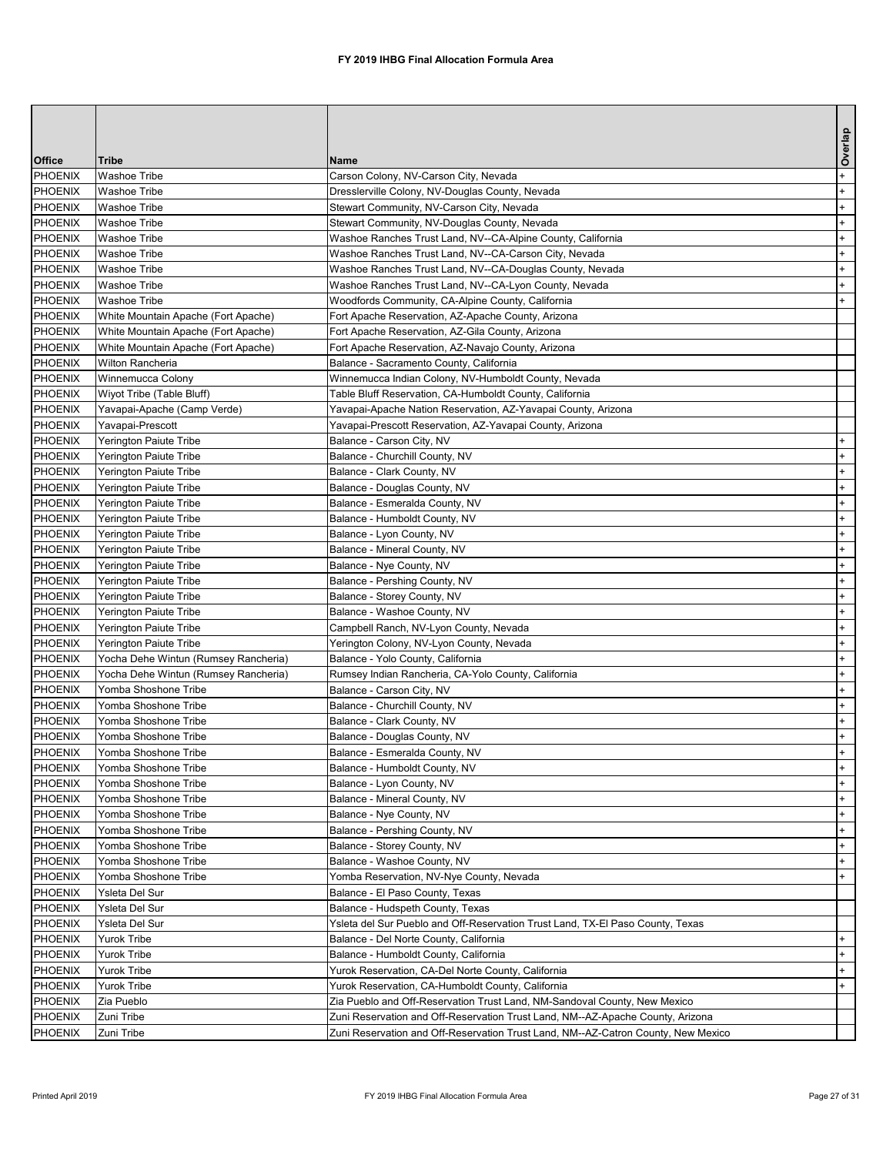|                           |                                                                            |                                                                                                        | Overlap |
|---------------------------|----------------------------------------------------------------------------|--------------------------------------------------------------------------------------------------------|---------|
| <b>Office</b>             | <b>Tribe</b>                                                               | <b>Name</b>                                                                                            |         |
| <b>PHOENIX</b>            | <b>Washoe Tribe</b>                                                        | Carson Colony, NV-Carson City, Nevada                                                                  | $+$     |
| PHOENIX                   | <b>Washoe Tribe</b>                                                        | Dresslerville Colony, NV-Douglas County, Nevada                                                        | $+$     |
| PHOENIX                   | <b>Washoe Tribe</b>                                                        | Stewart Community, NV-Carson City, Nevada                                                              | $+$     |
| PHOENIX                   | <b>Washoe Tribe</b>                                                        | Stewart Community, NV-Douglas County, Nevada                                                           | $+$     |
| PHOENIX                   | <b>Washoe Tribe</b>                                                        | Washoe Ranches Trust Land, NV--CA-Alpine County, California                                            | $+$     |
| PHOENIX                   | <b>Washoe Tribe</b>                                                        | Washoe Ranches Trust Land, NV--CA-Carson City, Nevada                                                  | $+$     |
| PHOENIX                   | <b>Washoe Tribe</b>                                                        | Washoe Ranches Trust Land, NV--CA-Douglas County, Nevada                                               | $+$     |
| PHOENIX                   | <b>Washoe Tribe</b>                                                        | Washoe Ranches Trust Land, NV--CA-Lyon County, Nevada                                                  | $+$     |
| PHOENIX                   | <b>Washoe Tribe</b>                                                        | Woodfords Community, CA-Alpine County, California                                                      | $+$     |
| PHOENIX<br>PHOENIX        | White Mountain Apache (Fort Apache)<br>White Mountain Apache (Fort Apache) | Fort Apache Reservation, AZ-Apache County, Arizona<br>Fort Apache Reservation, AZ-Gila County, Arizona |         |
| PHOENIX                   | White Mountain Apache (Fort Apache)                                        | Fort Apache Reservation, AZ-Navajo County, Arizona                                                     |         |
| PHOENIX                   | <b>Wilton Rancheria</b>                                                    | Balance - Sacramento County, California                                                                |         |
| PHOENIX                   | Winnemucca Colony                                                          | Winnemucca Indian Colony, NV-Humboldt County, Nevada                                                   |         |
| PHOENIX                   | Wiyot Tribe (Table Bluff)                                                  | Table Bluff Reservation, CA-Humboldt County, California                                                |         |
| PHOENIX                   | Yavapai-Apache (Camp Verde)                                                | Yavapai-Apache Nation Reservation, AZ-Yavapai County, Arizona                                          |         |
| <b>PHOENIX</b>            | Yavapai-Prescott                                                           | Yavapai-Prescott Reservation, AZ-Yavapai County, Arizona                                               |         |
| PHOENIX                   | Yerington Paiute Tribe                                                     | Balance - Carson City, NV                                                                              | $+$     |
| PHOENIX                   | Yerington Paiute Tribe                                                     | Balance - Churchill County, NV                                                                         | $+$     |
| PHOENIX                   | <b>Yerington Paiute Tribe</b>                                              | Balance - Clark County, NV                                                                             | $+$     |
| PHOENIX                   | Yerington Paiute Tribe                                                     | Balance - Douglas County, NV                                                                           | $+$     |
| PHOENIX                   | <b>Yerington Paiute Tribe</b>                                              | Balance - Esmeralda County, NV                                                                         | $+$     |
| PHOENIX                   | Yerington Paiute Tribe                                                     | Balance - Humboldt County, NV                                                                          | $+$     |
| <b>PHOENIX</b>            | <b>Yerington Paiute Tribe</b>                                              | Balance - Lyon County, NV                                                                              | $+$     |
| PHOENIX                   | Yerington Paiute Tribe                                                     | Balance - Mineral County, NV                                                                           | $+$     |
| PHOENIX                   | Yerington Paiute Tribe                                                     | Balance - Nye County, NV                                                                               | $+$     |
| PHOENIX                   | Yerington Paiute Tribe                                                     | Balance - Pershing County, NV                                                                          | $+$     |
| <b>PHOENIX</b>            | Yerington Paiute Tribe                                                     | Balance - Storey County, NV                                                                            |         |
| PHOENIX                   | Yerington Paiute Tribe                                                     | Balance - Washoe County, NV                                                                            | $+$     |
| PHOENIX                   | Yerington Paiute Tribe                                                     | Campbell Ranch, NV-Lyon County, Nevada                                                                 | $+$     |
| PHOENIX                   | Yerington Paiute Tribe                                                     | Yerington Colony, NV-Lyon County, Nevada                                                               | $+$     |
| <b>PHOENIX</b>            | Yocha Dehe Wintun (Rumsey Rancheria)                                       | Balance - Yolo County, California                                                                      | $+$     |
| PHOENIX                   | Yocha Dehe Wintun (Rumsey Rancheria)                                       | Rumsey Indian Rancheria, CA-Yolo County, California                                                    | $+$     |
| <b>PHOENIX</b>            | Yomba Shoshone Tribe                                                       | Balance - Carson City, NV                                                                              | $+$     |
| PHOENIX                   | Yomba Shoshone Tribe                                                       | Balance - Churchill County, NV                                                                         | $+$     |
| <b>PHOENIX</b>            | Yomba Shoshone Tribe                                                       | Balance - Clark County, NV                                                                             | $+$     |
| PHOENIX                   | Yomba Shoshone Tribe                                                       | Balance - Douglas County, NV                                                                           | $+$     |
| <b>PHOENIX</b>            | Yomba Shoshone Tribe                                                       | Balance - Esmeralda County, NV                                                                         | $+$     |
| PHOENIX                   | Yomba Shoshone Tribe                                                       | Balance - Humboldt County, NV                                                                          | $+$     |
| <b>PHOENIX</b>            | Yomba Shoshone Tribe                                                       | Balance - Lyon County, NV                                                                              | $+$     |
| PHOENIX                   | Yomba Shoshone Tribe                                                       | Balance - Mineral County, NV                                                                           | $+$     |
| <b>PHOENIX</b>            | Yomba Shoshone Tribe                                                       | Balance - Nye County, NV                                                                               | $+$     |
| PHOENIX                   | Yomba Shoshone Tribe                                                       | Balance - Pershing County, NV                                                                          | $+$     |
| <b>PHOENIX</b>            | Yomba Shoshone Tribe                                                       | Balance - Storey County, NV                                                                            | $+$     |
| PHOENIX                   | Yomba Shoshone Tribe                                                       | Balance - Washoe County, NV                                                                            | $+$     |
| <b>PHOENIX</b>            | Yomba Shoshone Tribe                                                       | Yomba Reservation, NV-Nye County, Nevada                                                               |         |
| PHOENIX                   | Ysleta Del Sur                                                             | Balance - El Paso County, Texas                                                                        |         |
| <b>PHOENIX</b>            | Ysleta Del Sur                                                             | Balance - Hudspeth County, Texas                                                                       |         |
| PHOENIX<br><b>PHOENIX</b> | Ysleta Del Sur<br>Yurok Tribe                                              | Ysleta del Sur Pueblo and Off-Reservation Trust Land, TX-El Paso County, Texas                         |         |
| PHOENIX                   | <b>Yurok Tribe</b>                                                         | Balance - Del Norte County, California<br>Balance - Humboldt County, California                        |         |
| <b>PHOENIX</b>            | <b>Yurok Tribe</b>                                                         | Yurok Reservation, CA-Del Norte County, California                                                     | $+$     |
| PHOENIX                   | <b>Yurok Tribe</b>                                                         | Yurok Reservation, CA-Humboldt County, California                                                      | $+$     |
| <b>PHOENIX</b>            | Zia Pueblo                                                                 | Zia Pueblo and Off-Reservation Trust Land, NM-Sandoval County, New Mexico                              |         |
| PHOENIX                   | Zuni Tribe                                                                 | Zuni Reservation and Off-Reservation Trust Land, NM--AZ-Apache County, Arizona                         |         |
| <b>PHOENIX</b>            | Zuni Tribe                                                                 | IZuni Reservation and Off-Reservation Trust Land. NM--AZ-Catron County. New Mexico                     |         |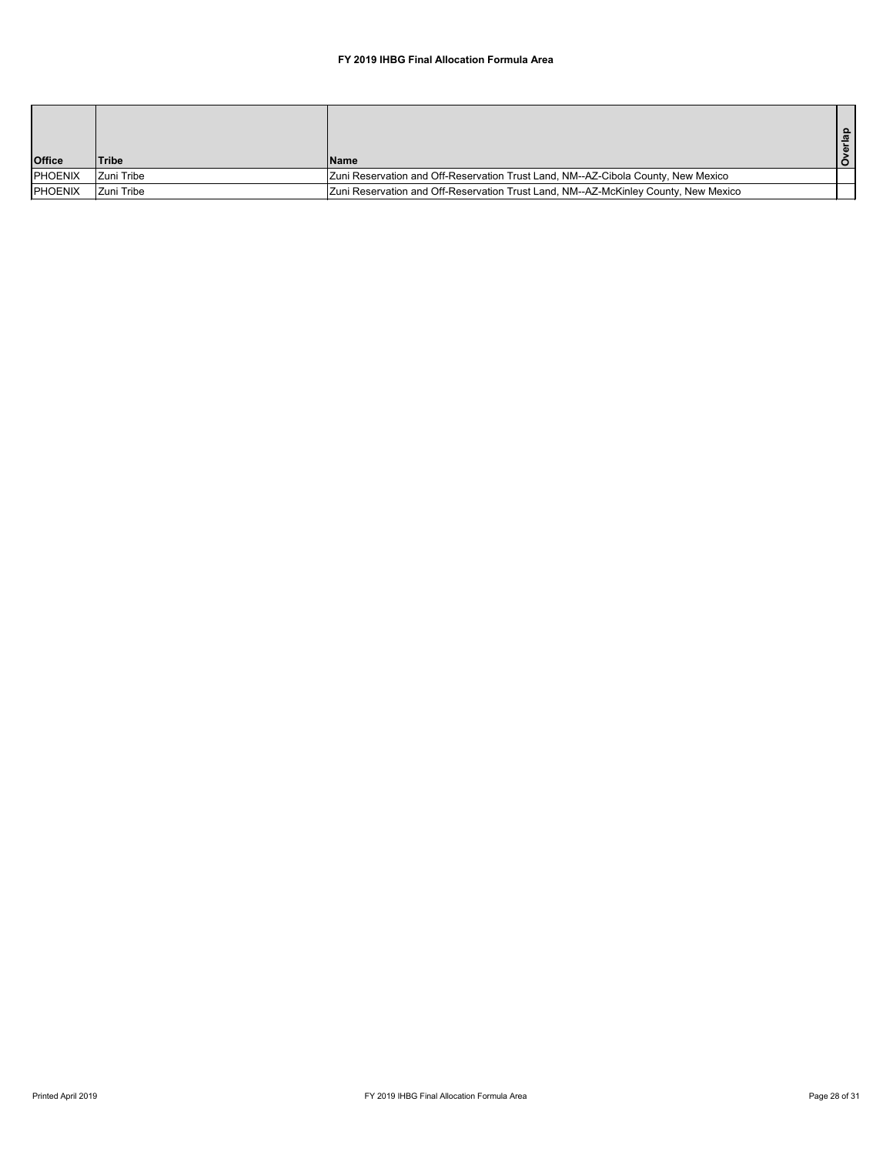|                |              |                                                                                     | ௨ |
|----------------|--------------|-------------------------------------------------------------------------------------|---|
| <b>Office</b>  | <b>Tribe</b> | IName                                                                               |   |
| PHOENIX        | Zuni Tribe   | Zuni Reservation and Off-Reservation Trust Land, NM--AZ-Cibola County, New Mexico   |   |
| <b>PHOENIX</b> | Zuni Tribe   | Zuni Reservation and Off-Reservation Trust Land, NM--AZ-McKinley County, New Mexico |   |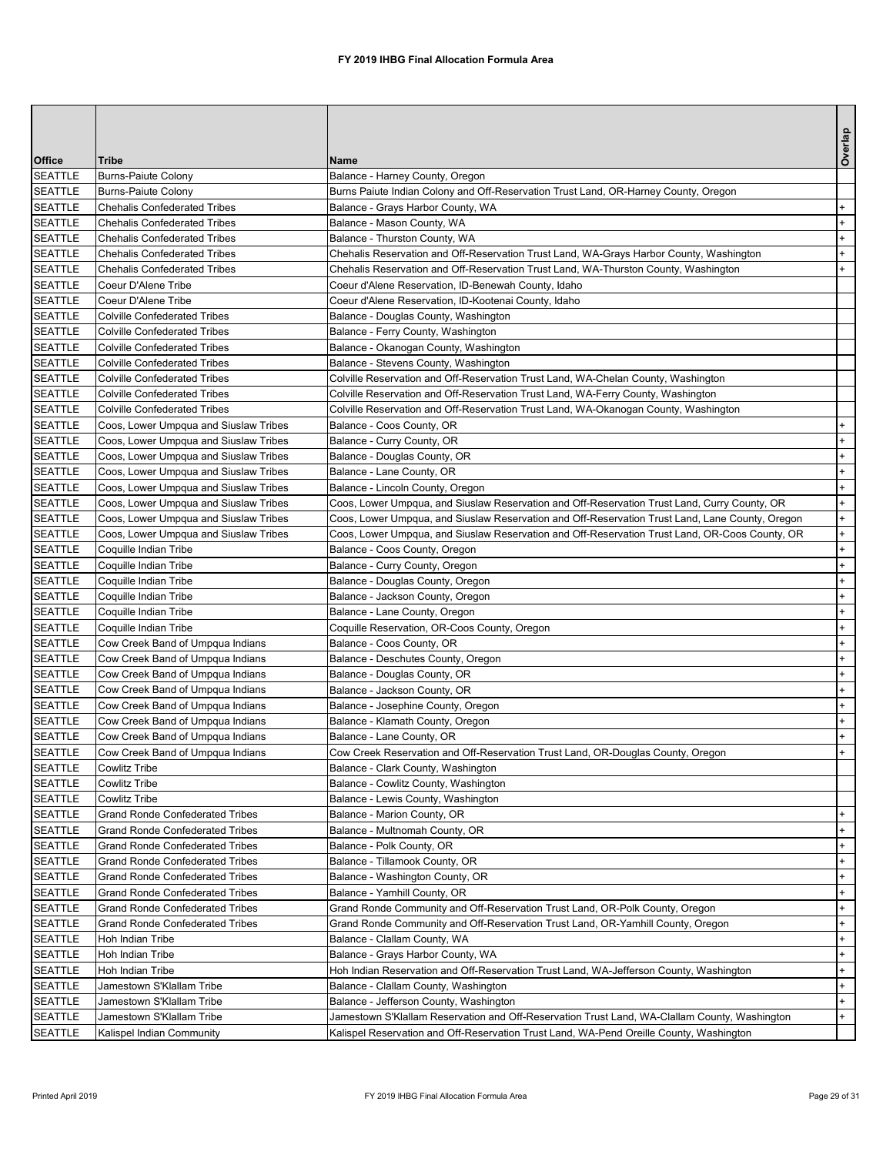|                                  |                                                                                  |                                                                                                                                                                 | Overlap    |
|----------------------------------|----------------------------------------------------------------------------------|-----------------------------------------------------------------------------------------------------------------------------------------------------------------|------------|
| <b>Office</b>                    | <b>Tribe</b>                                                                     | <b>Name</b>                                                                                                                                                     |            |
| <b>SEATTLE</b>                   | Burns-Paiute Colony                                                              | Balance - Harney County, Oregon                                                                                                                                 |            |
| <b>SEATTLE</b>                   | <b>Burns-Paiute Colony</b>                                                       | Burns Paiute Indian Colony and Off-Reservation Trust Land, OR-Harney County, Oregon                                                                             |            |
| <b>SEATTLE</b>                   | <b>Chehalis Confederated Tribes</b>                                              | Balance - Grays Harbor County, WA                                                                                                                               | $+$        |
| <b>SEATTLE</b>                   | <b>Chehalis Confederated Tribes</b>                                              | Balance - Mason County, WA                                                                                                                                      | $+$        |
| <b>SEATTLE</b>                   | <b>Chehalis Confederated Tribes</b>                                              | Balance - Thurston County, WA                                                                                                                                   | $+$        |
| <b>SEATTLE</b>                   | <b>Chehalis Confederated Tribes</b>                                              | Chehalis Reservation and Off-Reservation Trust Land, WA-Grays Harbor County, Washington                                                                         | $+$        |
| <b>SEATTLE</b>                   | <b>Chehalis Confederated Tribes</b>                                              | Chehalis Reservation and Off-Reservation Trust Land, WA-Thurston County, Washington                                                                             | $+$        |
| <b>SEATTLE</b><br><b>SEATTLE</b> | Coeur D'Alene Tribe<br>Coeur D'Alene Tribe                                       | Coeur d'Alene Reservation, ID-Benewah County, Idaho                                                                                                             |            |
| <b>SEATTLE</b>                   | <b>Colville Confederated Tribes</b>                                              | Coeur d'Alene Reservation, ID-Kootenai County, Idaho<br>Balance - Douglas County, Washington                                                                    |            |
| <b>SEATTLE</b>                   | <b>Colville Confederated Tribes</b>                                              | Balance - Ferry County, Washington                                                                                                                              |            |
| <b>SEATTLE</b>                   | <b>Colville Confederated Tribes</b>                                              | Balance - Okanogan County, Washington                                                                                                                           |            |
| <b>SEATTLE</b>                   | <b>Colville Confederated Tribes</b>                                              | Balance - Stevens County, Washington                                                                                                                            |            |
| <b>SEATTLE</b>                   | <b>Colville Confederated Tribes</b>                                              | Colville Reservation and Off-Reservation Trust Land, WA-Chelan County, Washington                                                                               |            |
| <b>SEATTLE</b>                   | <b>Colville Confederated Tribes</b>                                              | Colville Reservation and Off-Reservation Trust Land, WA-Ferry County, Washington                                                                                |            |
| <b>SEATTLE</b>                   | <b>Colville Confederated Tribes</b>                                              | Colville Reservation and Off-Reservation Trust Land, WA-Okanogan County, Washington                                                                             |            |
| <b>SEATTLE</b>                   | Coos, Lower Umpqua and Siuslaw Tribes                                            | Balance - Coos County, OR                                                                                                                                       | $+$        |
| <b>SEATTLE</b>                   | Coos, Lower Umpqua and Siuslaw Tribes                                            | Balance - Curry County, OR                                                                                                                                      | $+$        |
| <b>SEATTLE</b>                   | Coos, Lower Umpqua and Siuslaw Tribes                                            | Balance - Douglas County, OR                                                                                                                                    | $+$        |
| <b>SEATTLE</b>                   | Coos, Lower Umpqua and Siuslaw Tribes                                            | Balance - Lane County, OR                                                                                                                                       | $+$        |
| <b>SEATTLE</b>                   | Coos, Lower Umpqua and Siuslaw Tribes                                            | Balance - Lincoln County, Oregon                                                                                                                                | $+$        |
| <b>SEATTLE</b>                   | Coos, Lower Umpqua and Siuslaw Tribes                                            | Coos, Lower Umpqua, and Siuslaw Reservation and Off-Reservation Trust Land, Curry County, OR                                                                    | $+$        |
| <b>SEATTLE</b>                   | Coos, Lower Umpqua and Siuslaw Tribes                                            | Coos, Lower Umpqua, and Siuslaw Reservation and Off-Reservation Trust Land, Lane County, Oregon                                                                 | $+$        |
| <b>SEATTLE</b>                   | Coos, Lower Umpqua and Siuslaw Tribes                                            | Coos, Lower Umpqua, and Siuslaw Reservation and Off-Reservation Trust Land, OR-Coos County, OR                                                                  | $+$        |
| <b>SEATTLE</b>                   | Coquille Indian Tribe                                                            | Balance - Coos County, Oregon                                                                                                                                   | $+$        |
| <b>SEATTLE</b>                   | Coquille Indian Tribe                                                            | Balance - Curry County, Oregon                                                                                                                                  | $+$        |
| <b>SEATTLE</b>                   | Coquille Indian Tribe                                                            | Balance - Douglas County, Oregon                                                                                                                                | $+$        |
| <b>SEATTLE</b><br><b>SEATTLE</b> | Coquille Indian Tribe<br>Coquille Indian Tribe                                   | Balance - Jackson County, Oregon<br>Balance - Lane County, Oregon                                                                                               | $+$<br>$+$ |
| <b>SEATTLE</b>                   | Coquille Indian Tribe                                                            | Coquille Reservation, OR-Coos County, Oregon                                                                                                                    | $+$        |
| <b>SEATTLE</b>                   | Cow Creek Band of Umpqua Indians                                                 | Balance - Coos County, OR                                                                                                                                       | $+$        |
| <b>SEATTLE</b>                   | Cow Creek Band of Umpqua Indians                                                 | Balance - Deschutes County, Oregon                                                                                                                              | $+$        |
| <b>SEATTLE</b>                   | Cow Creek Band of Umpqua Indians                                                 | Balance - Douglas County, OR                                                                                                                                    | $+$        |
| <b>SEATTLE</b>                   | Cow Creek Band of Umpqua Indians                                                 | Balance - Jackson County, OR                                                                                                                                    | $+$        |
| <b>SEATTLE</b>                   | Cow Creek Band of Umpqua Indians                                                 | Balance - Josephine County, Oregon                                                                                                                              | $+$        |
| <b>SEATTLE</b>                   | Cow Creek Band of Umpqua Indians                                                 | Balance - Klamath County, Oregon                                                                                                                                | $+$        |
| <b>SEATTLE</b>                   | Cow Creek Band of Umpqua Indians                                                 | Balance - Lane County, OR                                                                                                                                       | $+$        |
| <b>SEATTLE</b>                   | Cow Creek Band of Umpqua Indians                                                 | Cow Creek Reservation and Off-Reservation Trust Land, OR-Douglas County, Oregon                                                                                 | $+$        |
| <b>SEATTLE</b>                   | Cowlitz Tribe                                                                    | Balance - Clark County, Washington                                                                                                                              |            |
| <b>SEATTLE</b>                   | Cowlitz Tribe                                                                    | Balance - Cowlitz County, Washington                                                                                                                            |            |
| <b>SEATTLE</b>                   | Cowlitz Tribe                                                                    | Balance - Lewis County, Washington                                                                                                                              |            |
| <b>SEATTLE</b>                   | <b>Grand Ronde Confederated Tribes</b>                                           | Balance - Marion County, OR                                                                                                                                     | $+$        |
| <b>SEATTLE</b>                   | <b>Grand Ronde Confederated Tribes</b>                                           | Balance - Multnomah County, OR                                                                                                                                  | $+$        |
| <b>SEATTLE</b>                   | <b>Grand Ronde Confederated Tribes</b>                                           | Balance - Polk County, OR                                                                                                                                       | $+$        |
| <b>SEATTLE</b>                   | <b>Grand Ronde Confederated Tribes</b>                                           | Balance - Tillamook County, OR                                                                                                                                  | $+$        |
| <b>SEATTLE</b>                   | <b>Grand Ronde Confederated Tribes</b>                                           | Balance - Washington County, OR                                                                                                                                 | $+$        |
| <b>SEATTLE</b>                   | <b>Grand Ronde Confederated Tribes</b>                                           | Balance - Yamhill County, OR                                                                                                                                    | $+$        |
| <b>SEATTLE</b><br><b>SEATTLE</b> | <b>Grand Ronde Confederated Tribes</b><br><b>Grand Ronde Confederated Tribes</b> | Grand Ronde Community and Off-Reservation Trust Land, OR-Polk County, Oregon<br>Grand Ronde Community and Off-Reservation Trust Land, OR-Yamhill County, Oregon | $+$<br>$+$ |
| <b>SEATTLE</b>                   | Hoh Indian Tribe                                                                 | Balance - Clallam County, WA                                                                                                                                    | $+$        |
| <b>SEATTLE</b>                   | Hoh Indian Tribe                                                                 | Balance - Grays Harbor County, WA                                                                                                                               | $+$        |
| <b>SEATTLE</b>                   | Hoh Indian Tribe                                                                 | Hoh Indian Reservation and Off-Reservation Trust Land, WA-Jefferson County, Washington                                                                          | $+$        |
| <b>SEATTLE</b>                   | Jamestown S'Klallam Tribe                                                        | Balance - Clallam County, Washington                                                                                                                            | $+$        |
| <b>SEATTLE</b>                   | Jamestown S'Klallam Tribe                                                        | Balance - Jefferson County, Washington                                                                                                                          | $+$        |
| <b>SEATTLE</b>                   | Jamestown S'Klallam Tribe                                                        | Jamestown S'Klallam Reservation and Off-Reservation Trust Land, WA-Clallam County, Washington                                                                   | $+$        |
| <b>SEATTLE</b>                   | Kalispel Indian Community                                                        | Kalispel Reservation and Off-Reservation Trust Land, WA-Pend Oreille County, Washington                                                                         |            |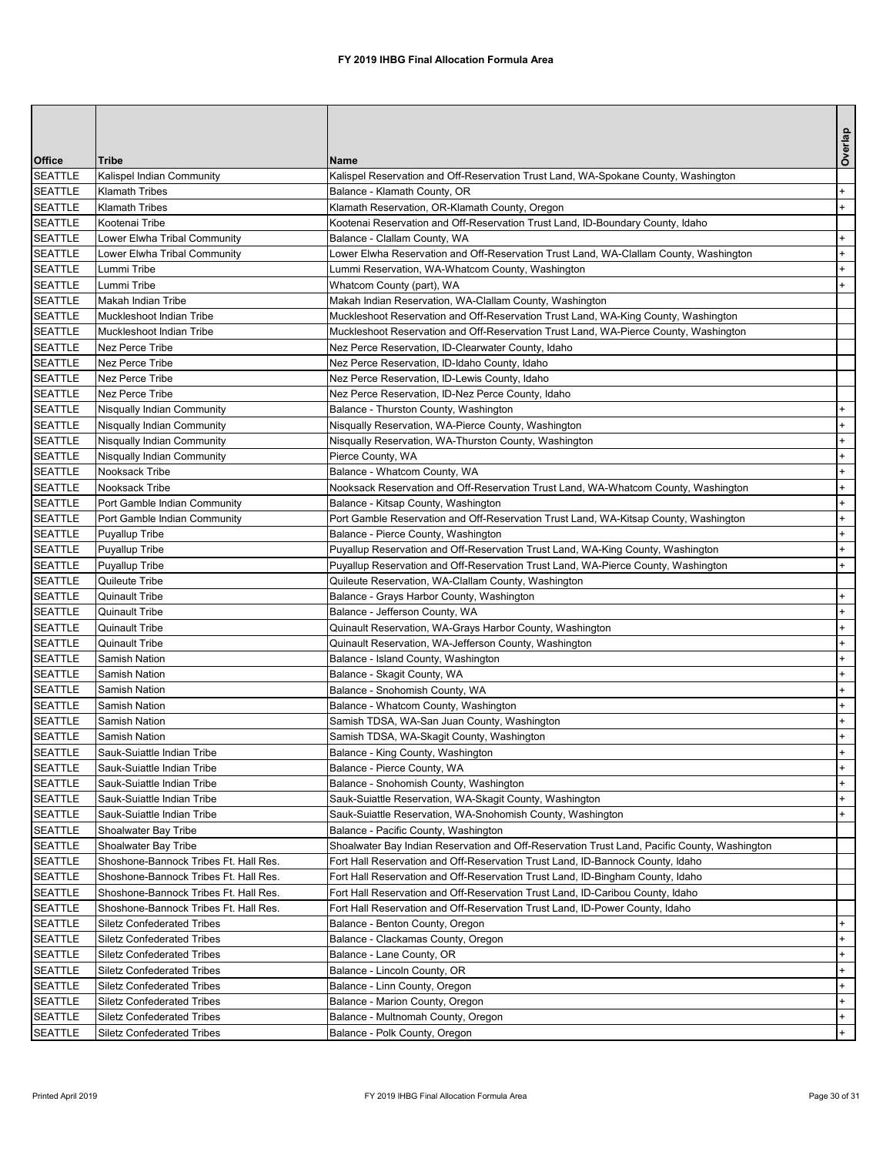|                                  |                                                          |                                                                                                                                                                            | Overlap    |
|----------------------------------|----------------------------------------------------------|----------------------------------------------------------------------------------------------------------------------------------------------------------------------------|------------|
| <b>Office</b>                    | <b>Tribe</b>                                             | <b>IName</b>                                                                                                                                                               |            |
| <b>SEATTLE</b>                   | Kalispel Indian Community                                | Kalispel Reservation and Off-Reservation Trust Land, WA-Spokane County, Washington                                                                                         |            |
| <b>SEATTLE</b>                   | <b>Klamath Tribes</b>                                    | Balance - Klamath County, OR                                                                                                                                               | $+$        |
| <b>SEATTLE</b>                   | <b>Klamath Tribes</b>                                    | Klamath Reservation, OR-Klamath County, Oregon                                                                                                                             | $+$        |
| <b>SEATTLE</b>                   | Kootenai Tribe                                           | Kootenai Reservation and Off-Reservation Trust Land, ID-Boundary County, Idaho                                                                                             |            |
| <b>SEATTLE</b>                   | Lower Elwha Tribal Community                             | Balance - Clallam County, WA                                                                                                                                               | $+$        |
| <b>SEATTLE</b>                   | Lower Elwha Tribal Community                             | Lower Elwha Reservation and Off-Reservation Trust Land, WA-Clallam County, Washington                                                                                      | $+$        |
| <b>SEATTLE</b>                   | Lummi Tribe                                              | Lummi Reservation, WA-Whatcom County, Washington                                                                                                                           | $+$        |
| <b>SEATTLE</b>                   | Lummi Tribe                                              | Whatcom County (part), WA                                                                                                                                                  | $+$        |
| <b>SEATTLE</b>                   | Makah Indian Tribe<br>Muckleshoot Indian Tribe           | Makah Indian Reservation, WA-Clallam County, Washington                                                                                                                    |            |
| <b>SEATTLE</b><br><b>SEATTLE</b> | Muckleshoot Indian Tribe                                 | Muckleshoot Reservation and Off-Reservation Trust Land, WA-King County, Washington<br>Muckleshoot Reservation and Off-Reservation Trust Land, WA-Pierce County, Washington |            |
| <b>SEATTLE</b>                   | Nez Perce Tribe                                          | Nez Perce Reservation, ID-Clearwater County, Idaho                                                                                                                         |            |
| <b>SEATTLE</b>                   | Nez Perce Tribe                                          | Nez Perce Reservation, ID-Idaho County, Idaho                                                                                                                              |            |
| <b>SEATTLE</b>                   | Nez Perce Tribe                                          | Nez Perce Reservation, ID-Lewis County, Idaho                                                                                                                              |            |
| <b>SEATTLE</b>                   | Nez Perce Tribe                                          | Nez Perce Reservation, ID-Nez Perce County, Idaho                                                                                                                          |            |
| <b>SEATTLE</b>                   | Nisqually Indian Community                               | Balance - Thurston County, Washington                                                                                                                                      | $+$        |
| <b>SEATTLE</b>                   | Nisqually Indian Community                               | Nisqually Reservation, WA-Pierce County, Washington                                                                                                                        | $+$        |
| <b>SEATTLE</b>                   | Nisqually Indian Community                               | Nisqually Reservation, WA-Thurston County, Washington                                                                                                                      | $+$        |
| <b>SEATTLE</b>                   | Nisqually Indian Community                               | Pierce County, WA                                                                                                                                                          | $+$        |
| <b>SEATTLE</b>                   | Nooksack Tribe                                           | Balance - Whatcom County, WA                                                                                                                                               | $+$        |
| <b>SEATTLE</b>                   | Nooksack Tribe                                           | Nooksack Reservation and Off-Reservation Trust Land, WA-Whatcom County, Washington                                                                                         | $+$        |
| <b>SEATTLE</b>                   | Port Gamble Indian Community                             | Balance - Kitsap County, Washington                                                                                                                                        | $+$        |
| <b>SEATTLE</b>                   | Port Gamble Indian Community                             | Port Gamble Reservation and Off-Reservation Trust Land, WA-Kitsap County, Washington                                                                                       | $+$        |
| <b>SEATTLE</b>                   | <b>Puyallup Tribe</b>                                    | Balance - Pierce County, Washington                                                                                                                                        | $+$        |
| <b>SEATTLE</b>                   | <b>Puyallup Tribe</b>                                    | Puyallup Reservation and Off-Reservation Trust Land, WA-King County, Washington                                                                                            | $+$        |
| <b>SEATTLE</b>                   | Puyallup Tribe                                           | Puyallup Reservation and Off-Reservation Trust Land, WA-Pierce County, Washington                                                                                          | $+$        |
| <b>SEATTLE</b>                   | Quileute Tribe                                           | Quileute Reservation, WA-Clallam County, Washington                                                                                                                        |            |
| <b>SEATTLE</b>                   | <b>Quinault Tribe</b>                                    | Balance - Grays Harbor County, Washington                                                                                                                                  | $+$        |
| <b>SEATTLE</b>                   | <b>Quinault Tribe</b>                                    | Balance - Jefferson County, WA                                                                                                                                             | $+$        |
| <b>SEATTLE</b>                   | <b>Quinault Tribe</b>                                    | Quinault Reservation, WA-Grays Harbor County, Washington                                                                                                                   | $+$        |
| <b>SEATTLE</b>                   | <b>Quinault Tribe</b>                                    | Quinault Reservation, WA-Jefferson County, Washington                                                                                                                      | $+$        |
| <b>SEATTLE</b>                   | Samish Nation                                            | Balance - Island County, Washington                                                                                                                                        | $+$        |
| <b>SEATTLE</b>                   | Samish Nation                                            | Balance - Skagit County, WA                                                                                                                                                | $+$        |
| <b>SEATTLE</b>                   | Samish Nation                                            | Balance - Snohomish County, WA                                                                                                                                             | $+$        |
| <b>SEATTLE</b>                   | Samish Nation                                            | Balance - Whatcom County, Washington                                                                                                                                       | $+$        |
| <b>SEATTLE</b>                   | Samish Nation                                            | Samish TDSA, WA-San Juan County, Washington                                                                                                                                | $+$        |
| <b>SEATTLE</b>                   | <b>Samish Nation</b>                                     | Samish TDSA, WA-Skagit County, Washington                                                                                                                                  | $+$        |
| <b>SEATTLE</b>                   | Sauk-Suiattle Indian Tribe                               | Balance - King County, Washington                                                                                                                                          | $+$        |
| <b>SEATTLE</b>                   | Sauk-Suiattle Indian Tribe                               | Balance - Pierce County, WA                                                                                                                                                | $+$        |
| <b>SEATTLE</b>                   | Sauk-Suiattle Indian Tribe                               | Balance - Snohomish County, Washington                                                                                                                                     | $+$        |
| <b>SEATTLE</b><br><b>SEATTLE</b> | Sauk-Suiattle Indian Tribe<br>Sauk-Suiattle Indian Tribe | Sauk-Suiattle Reservation, WA-Skagit County, Washington                                                                                                                    | $+$<br>$+$ |
| <b>SEATTLE</b>                   | Shoalwater Bay Tribe                                     | Sauk-Suiattle Reservation, WA-Snohomish County, Washington<br>Balance - Pacific County, Washington                                                                         |            |
| <b>SEATTLE</b>                   | Shoalwater Bay Tribe                                     | Shoalwater Bay Indian Reservation and Off-Reservation Trust Land, Pacific County, Washington                                                                               |            |
| <b>SEATTLE</b>                   | Shoshone-Bannock Tribes Ft. Hall Res.                    | Fort Hall Reservation and Off-Reservation Trust Land, ID-Bannock County, Idaho                                                                                             |            |
| <b>SEATTLE</b>                   | Shoshone-Bannock Tribes Ft. Hall Res.                    | Fort Hall Reservation and Off-Reservation Trust Land, ID-Bingham County, Idaho                                                                                             |            |
| <b>SEATTLE</b>                   | Shoshone-Bannock Tribes Ft. Hall Res.                    | Fort Hall Reservation and Off-Reservation Trust Land, ID-Caribou County, Idaho                                                                                             |            |
| <b>SEATTLE</b>                   | Shoshone-Bannock Tribes Ft. Hall Res.                    | Fort Hall Reservation and Off-Reservation Trust Land, ID-Power County, Idaho                                                                                               |            |
| <b>SEATTLE</b>                   | <b>Siletz Confederated Tribes</b>                        | Balance - Benton County, Oregon                                                                                                                                            | $+$        |
| <b>SEATTLE</b>                   | <b>Siletz Confederated Tribes</b>                        | Balance - Clackamas County, Oregon                                                                                                                                         | $+$        |
| <b>SEATTLE</b>                   | <b>Siletz Confederated Tribes</b>                        | Balance - Lane County, OR                                                                                                                                                  | $+$        |
| <b>SEATTLE</b>                   | <b>Siletz Confederated Tribes</b>                        | Balance - Lincoln County, OR                                                                                                                                               | $+$        |
| <b>SEATTLE</b>                   | <b>Siletz Confederated Tribes</b>                        | Balance - Linn County, Oregon                                                                                                                                              | $+$        |
| <b>SEATTLE</b>                   | <b>Siletz Confederated Tribes</b>                        | Balance - Marion County, Oregon                                                                                                                                            | $+$        |
| <b>SEATTLE</b>                   | <b>Siletz Confederated Tribes</b>                        | Balance - Multnomah County, Oregon                                                                                                                                         | $+$        |
| <b>SEATTLE</b>                   | Siletz Confederated Tribes                               | Balance - Polk County, Oregon                                                                                                                                              | $+$        |